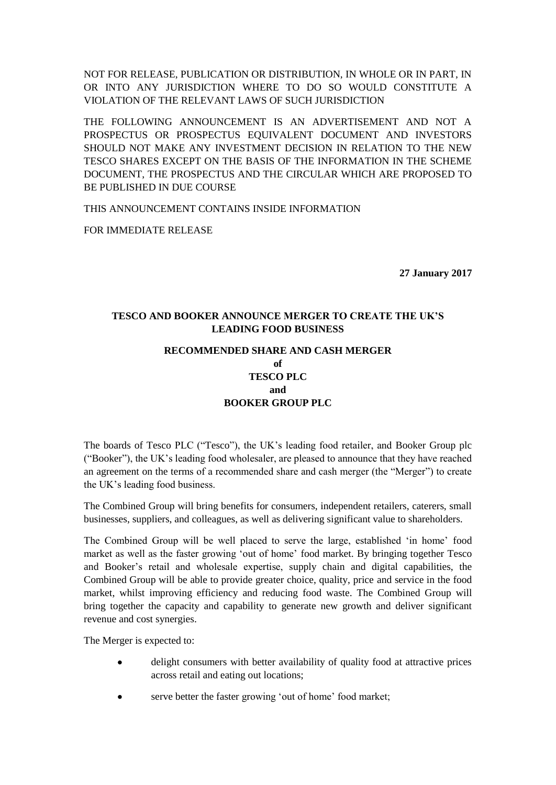NOT FOR RELEASE, PUBLICATION OR DISTRIBUTION, IN WHOLE OR IN PART, IN OR INTO ANY JURISDICTION WHERE TO DO SO WOULD CONSTITUTE A VIOLATION OF THE RELEVANT LAWS OF SUCH JURISDICTION

THE FOLLOWING ANNOUNCEMENT IS AN ADVERTISEMENT AND NOT A PROSPECTUS OR PROSPECTUS EQUIVALENT DOCUMENT AND INVESTORS SHOULD NOT MAKE ANY INVESTMENT DECISION IN RELATION TO THE NEW TESCO SHARES EXCEPT ON THE BASIS OF THE INFORMATION IN THE SCHEME DOCUMENT, THE PROSPECTUS AND THE CIRCULAR WHICH ARE PROPOSED TO BE PUBLISHED IN DUE COURSE

THIS ANNOUNCEMENT CONTAINS INSIDE INFORMATION

FOR IMMEDIATE RELEASE

**27 January 2017**

# **TESCO AND BOOKER ANNOUNCE MERGER TO CREATE THE UK'S LEADING FOOD BUSINESS**

# **RECOMMENDED SHARE AND CASH MERGER of TESCO PLC and BOOKER GROUP PLC**

The boards of Tesco PLC ("Tesco"), the UK's leading food retailer, and Booker Group plc ("Booker"), the UK's leading food wholesaler, are pleased to announce that they have reached an agreement on the terms of a recommended share and cash merger (the "Merger") to create the UK's leading food business.

The Combined Group will bring benefits for consumers, independent retailers, caterers, small businesses, suppliers, and colleagues, as well as delivering significant value to shareholders.

The Combined Group will be well placed to serve the large, established 'in home' food market as well as the faster growing 'out of home' food market. By bringing together Tesco and Booker's retail and wholesale expertise, supply chain and digital capabilities, the Combined Group will be able to provide greater choice, quality, price and service in the food market, whilst improving efficiency and reducing food waste. The Combined Group will bring together the capacity and capability to generate new growth and deliver significant revenue and cost synergies.

The Merger is expected to:

- delight consumers with better availability of quality food at attractive prices across retail and eating out locations;
- serve better the faster growing 'out of home' food market;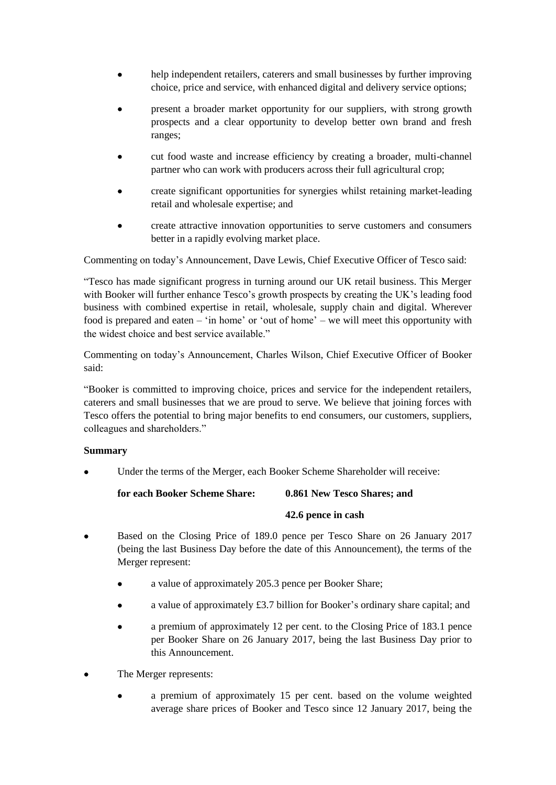- help independent retailers, caterers and small businesses by further improving choice, price and service, with enhanced digital and delivery service options;
- present a broader market opportunity for our suppliers, with strong growth prospects and a clear opportunity to develop better own brand and fresh ranges;
- cut food waste and increase efficiency by creating a broader, multi-channel partner who can work with producers across their full agricultural crop;
- create significant opportunities for synergies whilst retaining market-leading retail and wholesale expertise; and
- create attractive innovation opportunities to serve customers and consumers better in a rapidly evolving market place.

Commenting on today's Announcement, Dave Lewis, Chief Executive Officer of Tesco said:

"Tesco has made significant progress in turning around our UK retail business. This Merger with Booker will further enhance Tesco's growth prospects by creating the UK's leading food business with combined expertise in retail, wholesale, supply chain and digital. Wherever food is prepared and eaten – 'in home' or 'out of home' – we will meet this opportunity with the widest choice and best service available."

Commenting on today's Announcement, Charles Wilson, Chief Executive Officer of Booker said:

"Booker is committed to improving choice, prices and service for the independent retailers, caterers and small businesses that we are proud to serve. We believe that joining forces with Tesco offers the potential to bring major benefits to end consumers, our customers, suppliers, colleagues and shareholders."

# **Summary**

Under the terms of the Merger, each Booker Scheme Shareholder will receive:

**for each Booker Scheme Share: 0.861 New Tesco Shares; and**

# **42.6 pence in cash**

- Based on the Closing Price of 189.0 pence per Tesco Share on 26 January 2017 (being the last Business Day before the date of this Announcement), the terms of the Merger represent:
	- a value of approximately 205.3 pence per Booker Share;
	- a value of approximately £3.7 billion for Booker's ordinary share capital; and
	- a premium of approximately 12 per cent. to the Closing Price of 183.1 pence per Booker Share on 26 January 2017, being the last Business Day prior to this Announcement.
- The Merger represents:
	- a premium of approximately 15 per cent. based on the volume weighted average share prices of Booker and Tesco since 12 January 2017, being the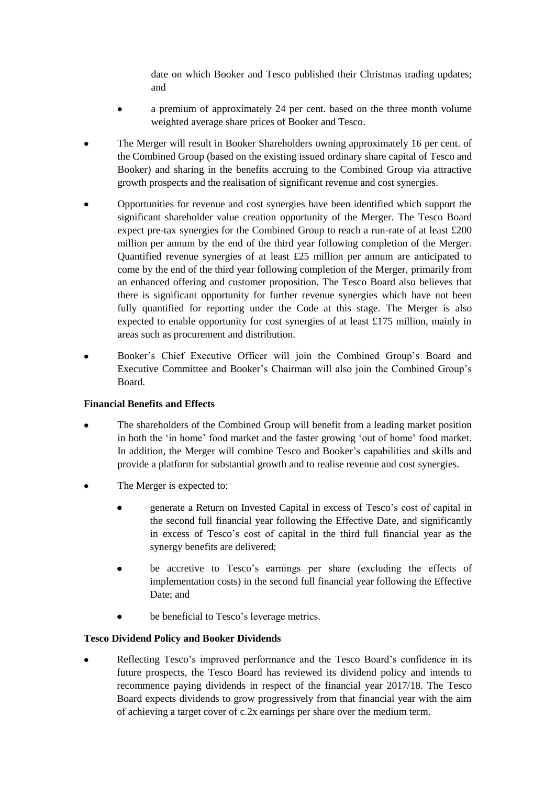date on which Booker and Tesco published their Christmas trading updates; and

- a premium of approximately 24 per cent. based on the three month volume weighted average share prices of Booker and Tesco.
- The Merger will result in Booker Shareholders owning approximately 16 per cent. of the Combined Group (based on the existing issued ordinary share capital of Tesco and Booker) and sharing in the benefits accruing to the Combined Group via attractive growth prospects and the realisation of significant revenue and cost synergies.
- Opportunities for revenue and cost synergies have been identified which support the significant shareholder value creation opportunity of the Merger. The Tesco Board expect pre-tax synergies for the Combined Group to reach a run-rate of at least £200 million per annum by the end of the third year following completion of the Merger. Quantified revenue synergies of at least  $£25$  million per annum are anticipated to come by the end of the third year following completion of the Merger, primarily from an enhanced offering and customer proposition. The Tesco Board also believes that there is significant opportunity for further revenue synergies which have not been fully quantified for reporting under the Code at this stage. The Merger is also expected to enable opportunity for cost synergies of at least £175 million, mainly in areas such as procurement and distribution.
- Booker's Chief Executive Officer will join the Combined Group's Board and Executive Committee and Booker's Chairman will also join the Combined Group's Board.

# **Financial Benefits and Effects**

- The shareholders of the Combined Group will benefit from a leading market position in both the 'in home' food market and the faster growing 'out of home' food market. In addition, the Merger will combine Tesco and Booker's capabilities and skills and provide a platform for substantial growth and to realise revenue and cost synergies.
- The Merger is expected to:
	- generate a Return on Invested Capital in excess of Tesco's cost of capital in the second full financial year following the Effective Date, and significantly in excess of Tesco's cost of capital in the third full financial year as the synergy benefits are delivered;
	- be accretive to Tesco's earnings per share (excluding the effects of implementation costs) in the second full financial year following the Effective Date; and
	- be beneficial to Tesco's leverage metrics.

# **Tesco Dividend Policy and Booker Dividends**

 Reflecting Tesco's improved performance and the Tesco Board's confidence in its future prospects, the Tesco Board has reviewed its dividend policy and intends to recommence paying dividends in respect of the financial year 2017/18. The Tesco Board expects dividends to grow progressively from that financial year with the aim of achieving a target cover of c.2x earnings per share over the medium term.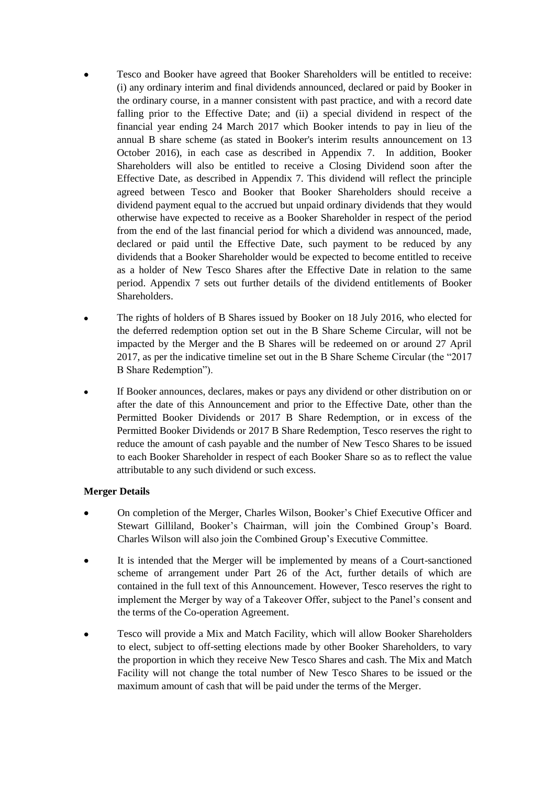- Tesco and Booker have agreed that Booker Shareholders will be entitled to receive: (i) any ordinary interim and final dividends announced, declared or paid by Booker in the ordinary course, in a manner consistent with past practice, and with a record date falling prior to the Effective Date; and (ii) a special dividend in respect of the financial year ending 24 March 2017 which Booker intends to pay in lieu of the annual B share scheme (as stated in Booker's interim results announcement on 13 October 2016), in each case as described in [Appendix 7.](#page-72-0) In addition, Booker Shareholders will also be entitled to receive a Closing Dividend soon after the Effective Date, as described in [Appendix 7.](#page-72-0) This dividend will reflect the principle agreed between Tesco and Booker that Booker Shareholders should receive a dividend payment equal to the accrued but unpaid ordinary dividends that they would otherwise have expected to receive as a Booker Shareholder in respect of the period from the end of the last financial period for which a dividend was announced, made, declared or paid until the Effective Date, such payment to be reduced by any dividends that a Booker Shareholder would be expected to become entitled to receive as a holder of New Tesco Shares after the Effective Date in relation to the same period. [Appendix 7](#page-72-0) sets out further details of the dividend entitlements of Booker Shareholders.
- The rights of holders of B Shares issued by Booker on 18 July 2016, who elected for the deferred redemption option set out in the B Share Scheme Circular, will not be impacted by the Merger and the B Shares will be redeemed on or around 27 April 2017, as per the indicative timeline set out in the B Share Scheme Circular (the "2017 B Share Redemption").
- If Booker announces, declares, makes or pays any dividend or other distribution on or after the date of this Announcement and prior to the Effective Date, other than the Permitted Booker Dividends or 2017 B Share Redemption, or in excess of the Permitted Booker Dividends or 2017 B Share Redemption, Tesco reserves the right to reduce the amount of cash payable and the number of New Tesco Shares to be issued to each Booker Shareholder in respect of each Booker Share so as to reflect the value attributable to any such dividend or such excess.

# **Merger Details**

- On completion of the Merger, Charles Wilson, Booker's Chief Executive Officer and Stewart Gilliland, Booker's Chairman, will join the Combined Group's Board. Charles Wilson will also join the Combined Group's Executive Committee.
- It is intended that the Merger will be implemented by means of a Court-sanctioned scheme of arrangement under Part 26 of the Act, further details of which are contained in the full text of this Announcement. However, Tesco reserves the right to implement the Merger by way of a Takeover Offer, subject to the Panel's consent and the terms of the Co-operation Agreement.
- Tesco will provide a Mix and Match Facility, which will allow Booker Shareholders to elect, subject to off-setting elections made by other Booker Shareholders, to vary the proportion in which they receive New Tesco Shares and cash. The Mix and Match Facility will not change the total number of New Tesco Shares to be issued or the maximum amount of cash that will be paid under the terms of the Merger.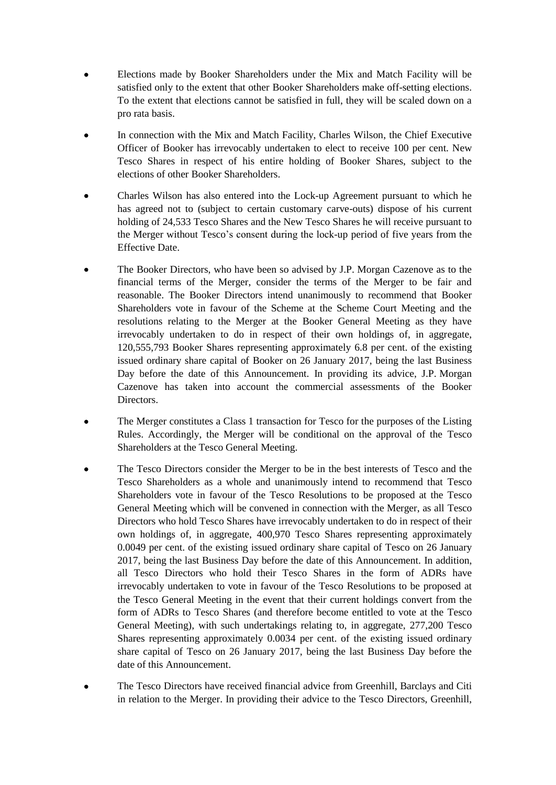- Elections made by Booker Shareholders under the Mix and Match Facility will be satisfied only to the extent that other Booker Shareholders make off-setting elections. To the extent that elections cannot be satisfied in full, they will be scaled down on a pro rata basis.
- In connection with the Mix and Match Facility, Charles Wilson, the Chief Executive Officer of Booker has irrevocably undertaken to elect to receive 100 per cent. New Tesco Shares in respect of his entire holding of Booker Shares, subject to the elections of other Booker Shareholders.
- Charles Wilson has also entered into the Lock-up Agreement pursuant to which he has agreed not to (subject to certain customary carve-outs) dispose of his current holding of 24,533 Tesco Shares and the New Tesco Shares he will receive pursuant to the Merger without Tesco's consent during the lock-up period of five years from the Effective Date.
- The Booker Directors, who have been so advised by J.P. Morgan Cazenove as to the financial terms of the Merger, consider the terms of the Merger to be fair and reasonable. The Booker Directors intend unanimously to recommend that Booker Shareholders vote in favour of the Scheme at the Scheme Court Meeting and the resolutions relating to the Merger at the Booker General Meeting as they have irrevocably undertaken to do in respect of their own holdings of, in aggregate, 120,555,793 Booker Shares representing approximately 6.8 per cent. of the existing issued ordinary share capital of Booker on 26 January 2017, being the last Business Day before the date of this Announcement. In providing its advice, J.P. Morgan Cazenove has taken into account the commercial assessments of the Booker Directors.
- The Merger constitutes a Class 1 transaction for Tesco for the purposes of the Listing Rules. Accordingly, the Merger will be conditional on the approval of the Tesco Shareholders at the Tesco General Meeting.
- The Tesco Directors consider the Merger to be in the best interests of Tesco and the Tesco Shareholders as a whole and unanimously intend to recommend that Tesco Shareholders vote in favour of the Tesco Resolutions to be proposed at the Tesco General Meeting which will be convened in connection with the Merger, as all Tesco Directors who hold Tesco Shares have irrevocably undertaken to do in respect of their own holdings of, in aggregate, 400,970 Tesco Shares representing approximately 0.0049 per cent. of the existing issued ordinary share capital of Tesco on 26 January 2017, being the last Business Day before the date of this Announcement. In addition, all Tesco Directors who hold their Tesco Shares in the form of ADRs have irrevocably undertaken to vote in favour of the Tesco Resolutions to be proposed at the Tesco General Meeting in the event that their current holdings convert from the form of ADRs to Tesco Shares (and therefore become entitled to vote at the Tesco General Meeting), with such undertakings relating to, in aggregate, 277,200 Tesco Shares representing approximately 0.0034 per cent. of the existing issued ordinary share capital of Tesco on 26 January 2017, being the last Business Day before the date of this Announcement.
- The Tesco Directors have received financial advice from Greenhill, Barclays and Citi in relation to the Merger. In providing their advice to the Tesco Directors, Greenhill,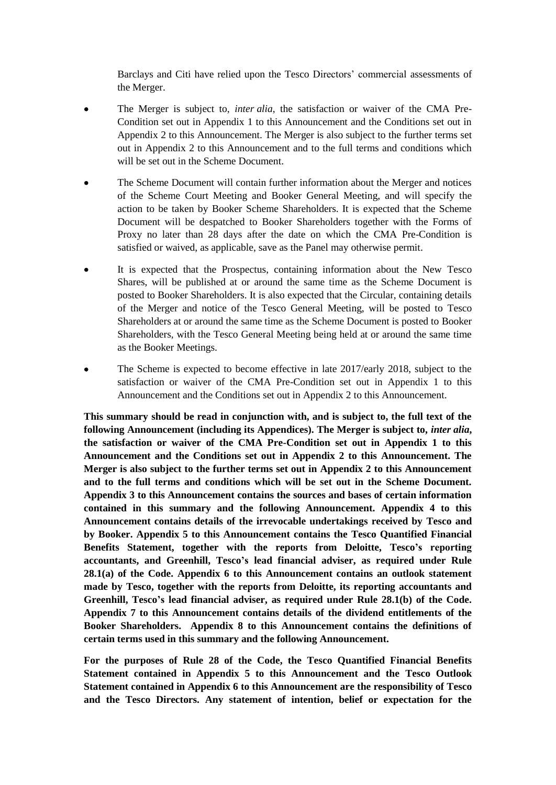Barclays and Citi have relied upon the Tesco Directors' commercial assessments of the Merger.

- The Merger is subject to, *inter alia*, the satisfaction or waiver of the CMA Pre-Condition set out in Appendix 1 to this Announcement and the Conditions set out in Appendix 2 to this Announcement. The Merger is also subject to the further terms set out in Appendix 2 to this Announcement and to the full terms and conditions which will be set out in the Scheme Document.
- The Scheme Document will contain further information about the Merger and notices of the Scheme Court Meeting and Booker General Meeting, and will specify the action to be taken by Booker Scheme Shareholders. It is expected that the Scheme Document will be despatched to Booker Shareholders together with the Forms of Proxy no later than 28 days after the date on which the CMA Pre-Condition is satisfied or waived, as applicable, save as the Panel may otherwise permit.
- It is expected that the Prospectus, containing information about the New Tesco Shares, will be published at or around the same time as the Scheme Document is posted to Booker Shareholders. It is also expected that the Circular, containing details of the Merger and notice of the Tesco General Meeting, will be posted to Tesco Shareholders at or around the same time as the Scheme Document is posted to Booker Shareholders, with the Tesco General Meeting being held at or around the same time as the Booker Meetings.
- The Scheme is expected to become effective in late 2017/early 2018, subject to the satisfaction or waiver of the CMA Pre-Condition set out in Appendix 1 to this Announcement and the Conditions set out in Appendix 2 to this Announcement.

**This summary should be read in conjunction with, and is subject to, the full text of the following Announcement (including its Appendices). The Merger is subject to,** *inter alia***, the satisfaction or waiver of the CMA Pre-Condition set out in Appendix 1 to this Announcement and the Conditions set out in Appendix 2 to this Announcement. The Merger is also subject to the further terms set out in Appendix 2 to this Announcement and to the full terms and conditions which will be set out in the Scheme Document. Appendix 3 to this Announcement contains the sources and bases of certain information contained in this summary and the following Announcement. Appendix 4 to this Announcement contains details of the irrevocable undertakings received by Tesco and by Booker. Appendix 5 to this Announcement contains the Tesco Quantified Financial Benefits Statement, together with the reports from Deloitte, Tesco's reporting accountants, and Greenhill, Tesco's lead financial adviser, as required under Rule 28.1(a) of the Code. Appendix 6 to this Announcement contains an outlook statement made by Tesco, together with the reports from Deloitte, its reporting accountants and Greenhill, Tesco's lead financial adviser, as required under Rule 28.1(b) of the Code. Appendix 7 to this Announcement contains details of the dividend entitlements of the Booker Shareholders. Appendix 8 to this Announcement contains the definitions of certain terms used in this summary and the following Announcement.**

**For the purposes of Rule 28 of the Code, the Tesco Quantified Financial Benefits Statement contained in Appendix 5 to this Announcement and the Tesco Outlook Statement contained in Appendix 6 to this Announcement are the responsibility of Tesco and the Tesco Directors. Any statement of intention, belief or expectation for the**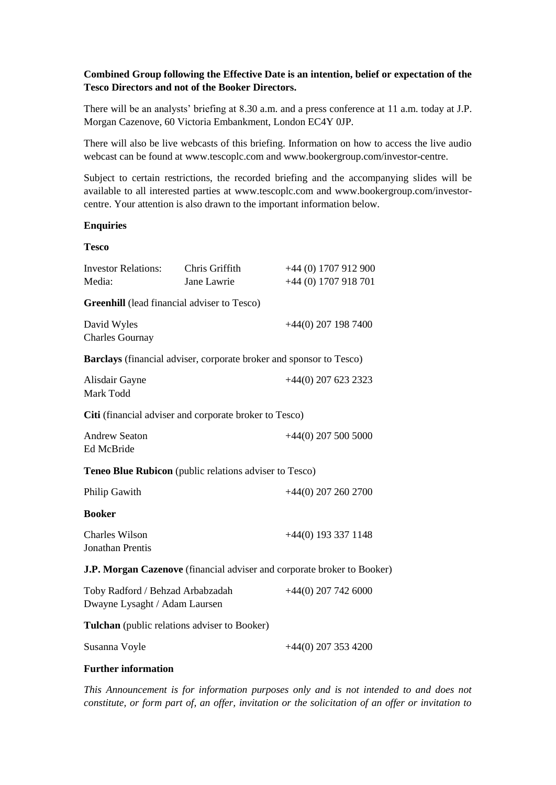# **Combined Group following the Effective Date is an intention, belief or expectation of the Tesco Directors and not of the Booker Directors.**

There will be an analysts' briefing at 8.30 a.m. and a press conference at 11 a.m. today at J.P. Morgan Cazenove, 60 Victoria Embankment, London EC4Y 0JP.

There will also be live webcasts of this briefing. Information on how to access the live audio webcast can be found at www.tescoplc.com and www.bookergroup.com/investor-centre.

Subject to certain restrictions, the recorded briefing and the accompanying slides will be available to all interested parties at www.tescoplc.com and www.bookergroup.com/investorcentre. Your attention is also drawn to the important information below.

#### **Enquiries**

#### **Tesco**

| <b>Investor Relations:</b><br>Media:                              | Chris Griffith<br>Jane Lawrie | +44 (0) 1707 912 900<br>+44 (0) 1707 918 701                            |
|-------------------------------------------------------------------|-------------------------------|-------------------------------------------------------------------------|
| <b>Greenhill</b> (lead financial adviser to Tesco)                |                               |                                                                         |
| David Wyles<br><b>Charles Gournay</b>                             |                               | $+44(0)$ 207 198 7400                                                   |
|                                                                   |                               | Barclays (financial adviser, corporate broker and sponsor to Tesco)     |
| Alisdair Gayne<br>Mark Todd                                       |                               | $+44(0)$ 207 623 2323                                                   |
| Citi (financial adviser and corporate broker to Tesco)            |                               |                                                                         |
| <b>Andrew Seaton</b><br>Ed McBride                                |                               | $+44(0)$ 207 500 5000                                                   |
| Teneo Blue Rubicon (public relations adviser to Tesco)            |                               |                                                                         |
| Philip Gawith                                                     |                               | $+44(0)$ 207 260 2700                                                   |
| <b>Booker</b>                                                     |                               |                                                                         |
| <b>Charles Wilson</b><br><b>Jonathan Prentis</b>                  |                               | $+44(0)$ 193 337 1148                                                   |
|                                                                   |                               | J.P. Morgan Cazenove (financial adviser and corporate broker to Booker) |
| Toby Radford / Behzad Arbabzadah<br>Dwayne Lysaght / Adam Laursen |                               | $+44(0)$ 207 742 6000                                                   |
| <b>Tulchan</b> (public relations adviser to Booker)               |                               |                                                                         |
| Susanna Voyle                                                     |                               | $+44(0)$ 207 353 4200                                                   |

#### **Further information**

*This Announcement is for information purposes only and is not intended to and does not constitute, or form part of, an offer, invitation or the solicitation of an offer or invitation to*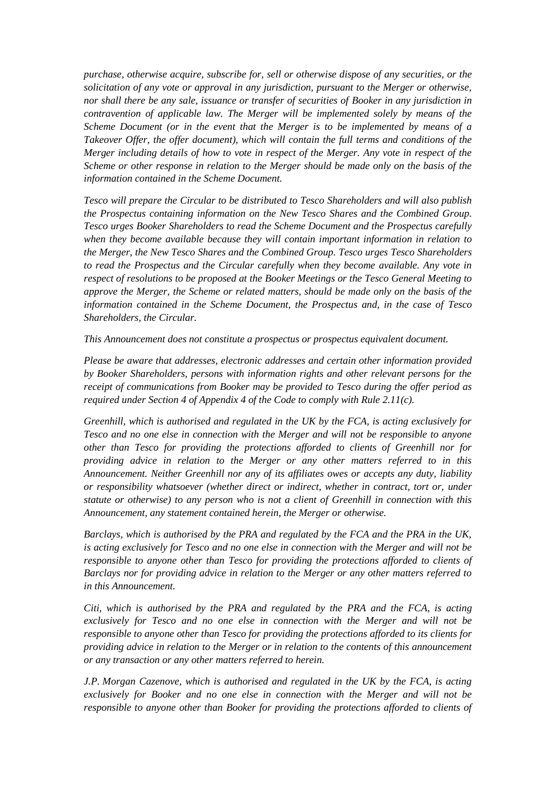*purchase, otherwise acquire, subscribe for, sell or otherwise dispose of any securities, or the solicitation of any vote or approval in any jurisdiction, pursuant to the Merger or otherwise, nor shall there be any sale, issuance or transfer of securities of Booker in any jurisdiction in contravention of applicable law. The Merger will be implemented solely by means of the Scheme Document (or in the event that the Merger is to be implemented by means of a Takeover Offer, the offer document), which will contain the full terms and conditions of the Merger including details of how to vote in respect of the Merger. Any vote in respect of the Scheme or other response in relation to the Merger should be made only on the basis of the information contained in the Scheme Document.*

*Tesco will prepare the Circular to be distributed to Tesco Shareholders and will also publish the Prospectus containing information on the New Tesco Shares and the Combined Group. Tesco urges Booker Shareholders to read the Scheme Document and the Prospectus carefully when they become available because they will contain important information in relation to the Merger, the New Tesco Shares and the Combined Group. Tesco urges Tesco Shareholders to read the Prospectus and the Circular carefully when they become available. Any vote in respect of resolutions to be proposed at the Booker Meetings or the Tesco General Meeting to approve the Merger, the Scheme or related matters, should be made only on the basis of the information contained in the Scheme Document, the Prospectus and, in the case of Tesco Shareholders, the Circular.*

*This Announcement does not constitute a prospectus or prospectus equivalent document.*

*Please be aware that addresses, electronic addresses and certain other information provided by Booker Shareholders, persons with information rights and other relevant persons for the receipt of communications from Booker may be provided to Tesco during the offer period as required under Section 4 of Appendix 4 of the Code to comply with Rule 2.11(c).*

*Greenhill, which is authorised and regulated in the UK by the FCA, is acting exclusively for Tesco and no one else in connection with the Merger and will not be responsible to anyone other than Tesco for providing the protections afforded to clients of Greenhill nor for providing advice in relation to the Merger or any other matters referred to in this Announcement. Neither Greenhill nor any of its affiliates owes or accepts any duty, liability or responsibility whatsoever (whether direct or indirect, whether in contract, tort or, under statute or otherwise) to any person who is not a client of Greenhill in connection with this Announcement, any statement contained herein, the Merger or otherwise.*

*Barclays, which is authorised by the PRA and regulated by the FCA and the PRA in the UK, is acting exclusively for Tesco and no one else in connection with the Merger and will not be responsible to anyone other than Tesco for providing the protections afforded to clients of Barclays nor for providing advice in relation to the Merger or any other matters referred to in this Announcement.*

*Citi, which is authorised by the PRA and regulated by the PRA and the FCA, is acting exclusively for Tesco and no one else in connection with the Merger and will not be responsible to anyone other than Tesco for providing the protections afforded to its clients for providing advice in relation to the Merger or in relation to the contents of this announcement or any transaction or any other matters referred to herein.*

*J.P. Morgan Cazenove, which is authorised and regulated in the UK by the FCA, is acting exclusively for Booker and no one else in connection with the Merger and will not be responsible to anyone other than Booker for providing the protections afforded to clients of*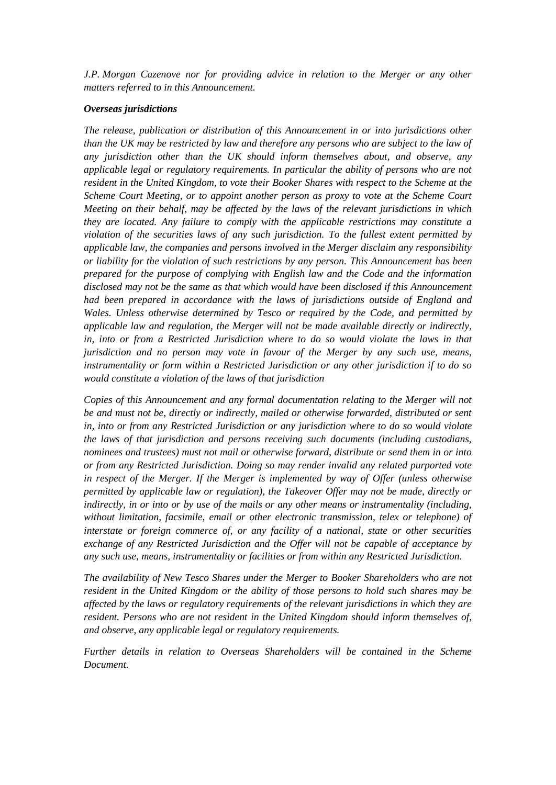*J.P. Morgan Cazenove nor for providing advice in relation to the Merger or any other matters referred to in this Announcement.*

#### *Overseas jurisdictions*

*The release, publication or distribution of this Announcement in or into jurisdictions other than the UK may be restricted by law and therefore any persons who are subject to the law of any jurisdiction other than the UK should inform themselves about, and observe, any applicable legal or regulatory requirements. In particular the ability of persons who are not resident in the United Kingdom, to vote their Booker Shares with respect to the Scheme at the Scheme Court Meeting, or to appoint another person as proxy to vote at the Scheme Court Meeting on their behalf, may be affected by the laws of the relevant jurisdictions in which they are located. Any failure to comply with the applicable restrictions may constitute a violation of the securities laws of any such jurisdiction. To the fullest extent permitted by applicable law, the companies and persons involved in the Merger disclaim any responsibility or liability for the violation of such restrictions by any person. This Announcement has been prepared for the purpose of complying with English law and the Code and the information disclosed may not be the same as that which would have been disclosed if this Announcement had been prepared in accordance with the laws of jurisdictions outside of England and Wales. Unless otherwise determined by Tesco or required by the Code, and permitted by applicable law and regulation, the Merger will not be made available directly or indirectly, in, into or from a Restricted Jurisdiction where to do so would violate the laws in that jurisdiction and no person may vote in favour of the Merger by any such use, means, instrumentality or form within a Restricted Jurisdiction or any other jurisdiction if to do so would constitute a violation of the laws of that jurisdiction*

*Copies of this Announcement and any formal documentation relating to the Merger will not be and must not be, directly or indirectly, mailed or otherwise forwarded, distributed or sent in, into or from any Restricted Jurisdiction or any jurisdiction where to do so would violate the laws of that jurisdiction and persons receiving such documents (including custodians, nominees and trustees) must not mail or otherwise forward, distribute or send them in or into or from any Restricted Jurisdiction. Doing so may render invalid any related purported vote in respect of the Merger. If the Merger is implemented by way of Offer (unless otherwise permitted by applicable law or regulation), the Takeover Offer may not be made, directly or indirectly, in or into or by use of the mails or any other means or instrumentality (including, without limitation, facsimile, email or other electronic transmission, telex or telephone) of interstate or foreign commerce of, or any facility of a national, state or other securities exchange of any Restricted Jurisdiction and the Offer will not be capable of acceptance by any such use, means, instrumentality or facilities or from within any Restricted Jurisdiction.*

*The availability of New Tesco Shares under the Merger to Booker Shareholders who are not resident in the United Kingdom or the ability of those persons to hold such shares may be affected by the laws or regulatory requirements of the relevant jurisdictions in which they are resident. Persons who are not resident in the United Kingdom should inform themselves of, and observe, any applicable legal or regulatory requirements.*

*Further details in relation to Overseas Shareholders will be contained in the Scheme Document.*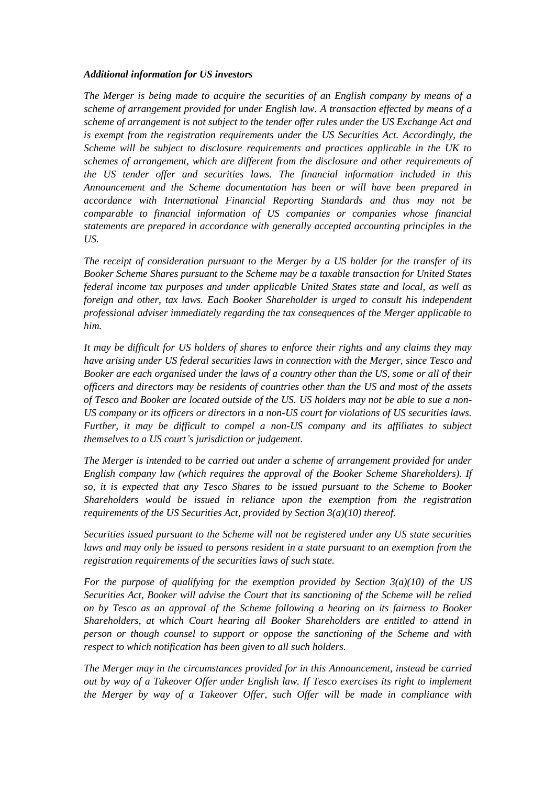## *Additional information for US investors*

*The Merger is being made to acquire the securities of an English company by means of a scheme of arrangement provided for under English law. A transaction effected by means of a scheme of arrangement is not subject to the tender offer rules under the US Exchange Act and is exempt from the registration requirements under the US Securities Act. Accordingly, the Scheme will be subject to disclosure requirements and practices applicable in the UK to schemes of arrangement, which are different from the disclosure and other requirements of the US tender offer and securities laws. The financial information included in this Announcement and the Scheme documentation has been or will have been prepared in accordance with International Financial Reporting Standards and thus may not be comparable to financial information of US companies or companies whose financial statements are prepared in accordance with generally accepted accounting principles in the US.*

*The receipt of consideration pursuant to the Merger by a US holder for the transfer of its Booker Scheme Shares pursuant to the Scheme may be a taxable transaction for United States federal income tax purposes and under applicable United States state and local, as well as foreign and other, tax laws. Each Booker Shareholder is urged to consult his independent professional adviser immediately regarding the tax consequences of the Merger applicable to him.*

*It may be difficult for US holders of shares to enforce their rights and any claims they may have arising under US federal securities laws in connection with the Merger, since Tesco and Booker are each organised under the laws of a country other than the US, some or all of their officers and directors may be residents of countries other than the US and most of the assets of Tesco and Booker are located outside of the US. US holders may not be able to sue a non-US company or its officers or directors in a non-US court for violations of US securities laws. Further, it may be difficult to compel a non-US company and its affiliates to subject themselves to a US court's jurisdiction or judgement.*

*The Merger is intended to be carried out under a scheme of arrangement provided for under English company law (which requires the approval of the Booker Scheme Shareholders). If so, it is expected that any Tesco Shares to be issued pursuant to the Scheme to Booker Shareholders would be issued in reliance upon the exemption from the registration requirements of the US Securities Act, provided by Section 3(a)(10) thereof.*

*Securities issued pursuant to the Scheme will not be registered under any US state securities laws and may only be issued to persons resident in a state pursuant to an exemption from the registration requirements of the securities laws of such state.*

*For the purpose of qualifying for the exemption provided by Section 3(a)(10) of the US Securities Act, Booker will advise the Court that its sanctioning of the Scheme will be relied on by Tesco as an approval of the Scheme following a hearing on its fairness to Booker Shareholders, at which Court hearing all Booker Shareholders are entitled to attend in person or though counsel to support or oppose the sanctioning of the Scheme and with respect to which notification has been given to all such holders.*

*The Merger may in the circumstances provided for in this Announcement, instead be carried out by way of a Takeover Offer under English law. If Tesco exercises its right to implement the Merger by way of a Takeover Offer, such Offer will be made in compliance with*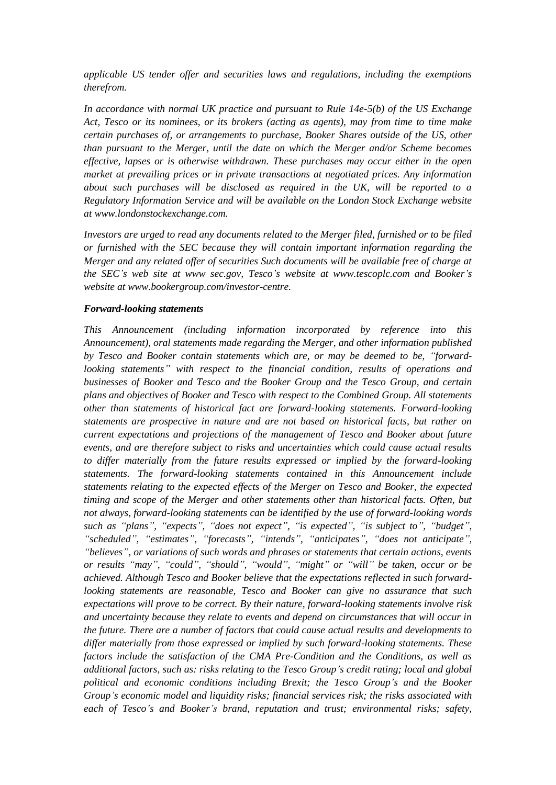*applicable US tender offer and securities laws and regulations, including the exemptions therefrom.*

*In accordance with normal UK practice and pursuant to Rule 14e-5(b) of the US Exchange Act, Tesco or its nominees, or its brokers (acting as agents), may from time to time make certain purchases of, or arrangements to purchase, Booker Shares outside of the US, other than pursuant to the Merger, until the date on which the Merger and/or Scheme becomes effective, lapses or is otherwise withdrawn. These purchases may occur either in the open market at prevailing prices or in private transactions at negotiated prices. Any information about such purchases will be disclosed as required in the UK, will be reported to a Regulatory Information Service and will be available on the London Stock Exchange website at www.londonstockexchange.com.*

*Investors are urged to read any documents related to the Merger filed, furnished or to be filed or furnished with the SEC because they will contain important information regarding the Merger and any related offer of securities Such documents will be available free of charge at the SEC's web site at www sec.gov, Tesco's website at www.tescoplc.com and Booker's website at www.bookergroup.com/investor-centre.*

#### *Forward-looking statements*

*This Announcement (including information incorporated by reference into this Announcement), oral statements made regarding the Merger, and other information published by Tesco and Booker contain statements which are, or may be deemed to be, "forwardlooking statements" with respect to the financial condition, results of operations and businesses of Booker and Tesco and the Booker Group and the Tesco Group, and certain plans and objectives of Booker and Tesco with respect to the Combined Group. All statements other than statements of historical fact are forward-looking statements. Forward-looking statements are prospective in nature and are not based on historical facts, but rather on current expectations and projections of the management of Tesco and Booker about future events, and are therefore subject to risks and uncertainties which could cause actual results to differ materially from the future results expressed or implied by the forward-looking statements. The forward-looking statements contained in this Announcement include statements relating to the expected effects of the Merger on Tesco and Booker, the expected timing and scope of the Merger and other statements other than historical facts. Often, but not always, forward-looking statements can be identified by the use of forward-looking words such as "plans", "expects", "does not expect", "is expected", "is subject to", "budget", "scheduled", "estimates", "forecasts", "intends", "anticipates", "does not anticipate", "believes", or variations of such words and phrases or statements that certain actions, events or results "may", "could", "should", "would", "might" or "will" be taken, occur or be achieved. Although Tesco and Booker believe that the expectations reflected in such forwardlooking statements are reasonable, Tesco and Booker can give no assurance that such expectations will prove to be correct. By their nature, forward-looking statements involve risk and uncertainty because they relate to events and depend on circumstances that will occur in the future. There are a number of factors that could cause actual results and developments to differ materially from those expressed or implied by such forward-looking statements. These factors include the satisfaction of the CMA Pre-Condition and the Conditions, as well as additional factors, such as: risks relating to the Tesco Group's credit rating; local and global political and economic conditions including Brexit; the Tesco Group's and the Booker Group's economic model and liquidity risks; financial services risk; the risks associated with each of Tesco's and Booker's brand, reputation and trust; environmental risks; safety,*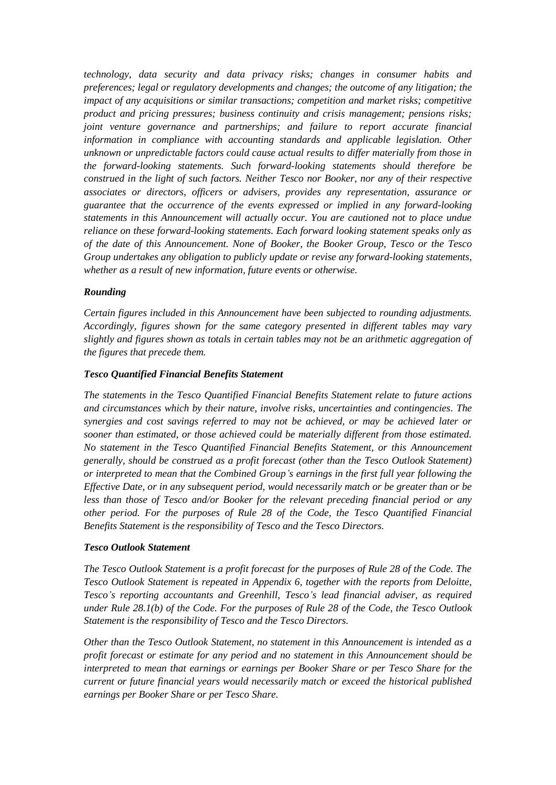*technology, data security and data privacy risks; changes in consumer habits and preferences; legal or regulatory developments and changes; the outcome of any litigation; the impact of any acquisitions or similar transactions; competition and market risks; competitive product and pricing pressures; business continuity and crisis management; pensions risks; joint venture governance and partnerships; and failure to report accurate financial information in compliance with accounting standards and applicable legislation. Other unknown or unpredictable factors could cause actual results to differ materially from those in the forward-looking statements. Such forward-looking statements should therefore be construed in the light of such factors. Neither Tesco nor Booker, nor any of their respective associates or directors, officers or advisers, provides any representation, assurance or guarantee that the occurrence of the events expressed or implied in any forward-looking statements in this Announcement will actually occur. You are cautioned not to place undue reliance on these forward-looking statements. Each forward looking statement speaks only as of the date of this Announcement. None of Booker, the Booker Group, Tesco or the Tesco Group undertakes any obligation to publicly update or revise any forward-looking statements, whether as a result of new information, future events or otherwise.*

## *Rounding*

*Certain figures included in this Announcement have been subjected to rounding adjustments. Accordingly, figures shown for the same category presented in different tables may vary slightly and figures shown as totals in certain tables may not be an arithmetic aggregation of the figures that precede them.*

## *Tesco Quantified Financial Benefits Statement*

*The statements in the Tesco Quantified Financial Benefits Statement relate to future actions and circumstances which by their nature, involve risks, uncertainties and contingencies. The synergies and cost savings referred to may not be achieved, or may be achieved later or sooner than estimated, or those achieved could be materially different from those estimated. No statement in the Tesco Quantified Financial Benefits Statement, or this Announcement generally, should be construed as a profit forecast (other than the Tesco Outlook Statement) or interpreted to mean that the Combined Group's earnings in the first full year following the Effective Date, or in any subsequent period, would necessarily match or be greater than or be less than those of Tesco and/or Booker for the relevant preceding financial period or any other period. For the purposes of Rule 28 of the Code, the Tesco Quantified Financial Benefits Statement is the responsibility of Tesco and the Tesco Directors.*

#### *Tesco Outlook Statement*

*The Tesco Outlook Statement is a profit forecast for the purposes of Rule 28 of the Code. The Tesco Outlook Statement is repeated in [Appendix 6,](#page-67-0) together with the reports from Deloitte, Tesco's reporting accountants and Greenhill, Tesco's lead financial adviser, as required under Rule 28.1(b) of the Code. For the purposes of Rule 28 of the Code, the Tesco Outlook Statement is the responsibility of Tesco and the Tesco Directors.*

*Other than the Tesco Outlook Statement, no statement in this Announcement is intended as a profit forecast or estimate for any period and no statement in this Announcement should be interpreted to mean that earnings or earnings per Booker Share or per Tesco Share for the current or future financial years would necessarily match or exceed the historical published earnings per Booker Share or per Tesco Share.*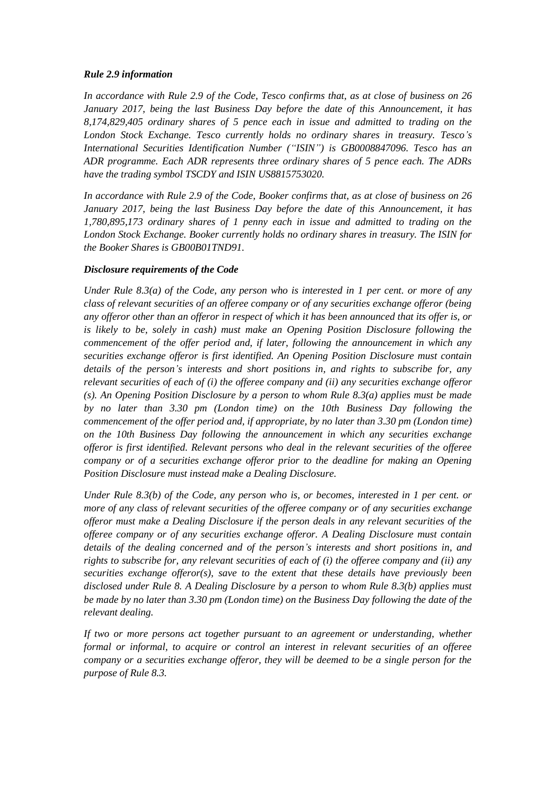## *Rule 2.9 information*

*In accordance with Rule 2.9 of the Code, Tesco confirms that, as at close of business on 26 January 2017, being the last Business Day before the date of this Announcement, it has 8,174,829,405 ordinary shares of 5 pence each in issue and admitted to trading on the London Stock Exchange. Tesco currently holds no ordinary shares in treasury. Tesco's International Securities Identification Number ("ISIN") is GB0008847096. Tesco has an ADR programme. Each ADR represents three ordinary shares of 5 pence each. The ADRs have the trading symbol TSCDY and ISIN US8815753020.*

*In accordance with Rule 2.9 of the Code, Booker confirms that, as at close of business on 26 January 2017, being the last Business Day before the date of this Announcement, it has 1,780,895,173 ordinary shares of 1 penny each in issue and admitted to trading on the London Stock Exchange. Booker currently holds no ordinary shares in treasury. The ISIN for the Booker Shares is GB00B01TND91.*

# *Disclosure requirements of the Code*

*Under Rule 8.3(a) of the Code, any person who is interested in 1 per cent. or more of any class of relevant securities of an offeree company or of any securities exchange offeror (being any offeror other than an offeror in respect of which it has been announced that its offer is, or is likely to be, solely in cash) must make an Opening Position Disclosure following the commencement of the offer period and, if later, following the announcement in which any securities exchange offeror is first identified. An Opening Position Disclosure must contain details of the person's interests and short positions in, and rights to subscribe for, any relevant securities of each of (i) the offeree company and (ii) any securities exchange offeror (s). An Opening Position Disclosure by a person to whom Rule 8.3(a) applies must be made by no later than 3.30 pm (London time) on the 10th Business Day following the commencement of the offer period and, if appropriate, by no later than 3.30 pm (London time) on the 10th Business Day following the announcement in which any securities exchange offeror is first identified. Relevant persons who deal in the relevant securities of the offeree company or of a securities exchange offeror prior to the deadline for making an Opening Position Disclosure must instead make a Dealing Disclosure.*

*Under Rule 8.3(b) of the Code, any person who is, or becomes, interested in 1 per cent. or more of any class of relevant securities of the offeree company or of any securities exchange offeror must make a Dealing Disclosure if the person deals in any relevant securities of the offeree company or of any securities exchange offeror. A Dealing Disclosure must contain details of the dealing concerned and of the person's interests and short positions in, and rights to subscribe for, any relevant securities of each of (i) the offeree company and (ii) any securities exchange offeror(s), save to the extent that these details have previously been disclosed under Rule 8. A Dealing Disclosure by a person to whom Rule 8.3(b) applies must be made by no later than 3.30 pm (London time) on the Business Day following the date of the relevant dealing.*

*If two or more persons act together pursuant to an agreement or understanding, whether formal or informal, to acquire or control an interest in relevant securities of an offeree company or a securities exchange offeror, they will be deemed to be a single person for the purpose of Rule 8.3.*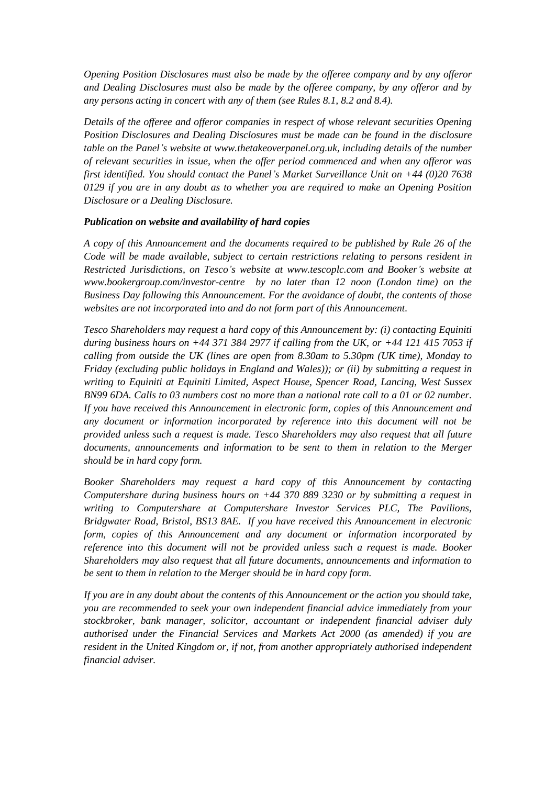*Opening Position Disclosures must also be made by the offeree company and by any offeror and Dealing Disclosures must also be made by the offeree company, by any offeror and by any persons acting in concert with any of them (see Rules 8.1, 8.2 and 8.4).*

*Details of the offeree and offeror companies in respect of whose relevant securities Opening Position Disclosures and Dealing Disclosures must be made can be found in the disclosure table on the Panel's website at www.thetakeoverpanel.org.uk, including details of the number of relevant securities in issue, when the offer period commenced and when any offeror was first identified. You should contact the Panel's Market Surveillance Unit on +44 (0)20 7638 0129 if you are in any doubt as to whether you are required to make an Opening Position Disclosure or a Dealing Disclosure.*

#### *Publication on website and availability of hard copies*

*A copy of this Announcement and the documents required to be published by Rule 26 of the Code will be made available, subject to certain restrictions relating to persons resident in Restricted Jurisdictions, on Tesco's website at www.tescoplc.com and Booker's website at www.bookergroup.com/investor-centre by no later than 12 noon (London time) on the Business Day following this Announcement. For the avoidance of doubt, the contents of those websites are not incorporated into and do not form part of this Announcement.*

*Tesco Shareholders may request a hard copy of this Announcement by: (i) contacting Equiniti during business hours on +44 371 384 2977 if calling from the UK, or +44 121 415 7053 if calling from outside the UK (lines are open from 8.30am to 5.30pm (UK time), Monday to Friday (excluding public holidays in England and Wales)); or (ii) by submitting a request in writing to Equiniti at Equiniti Limited, Aspect House, Spencer Road, Lancing, West Sussex BN99 6DA. Calls to 03 numbers cost no more than a national rate call to a 01 or 02 number. If you have received this Announcement in electronic form, copies of this Announcement and any document or information incorporated by reference into this document will not be provided unless such a request is made. Tesco Shareholders may also request that all future documents, announcements and information to be sent to them in relation to the Merger should be in hard copy form.*

*Booker Shareholders may request a hard copy of this Announcement by contacting Computershare during business hours on +44 370 889 3230 or by submitting a request in writing to Computershare at Computershare Investor Services PLC, The Pavilions, Bridgwater Road, Bristol, BS13 8AE. If you have received this Announcement in electronic form, copies of this Announcement and any document or information incorporated by reference into this document will not be provided unless such a request is made. Booker Shareholders may also request that all future documents, announcements and information to be sent to them in relation to the Merger should be in hard copy form.*

*If you are in any doubt about the contents of this Announcement or the action you should take, you are recommended to seek your own independent financial advice immediately from your stockbroker, bank manager, solicitor, accountant or independent financial adviser duly authorised under the Financial Services and Markets Act 2000 (as amended) if you are resident in the United Kingdom or, if not, from another appropriately authorised independent financial adviser.*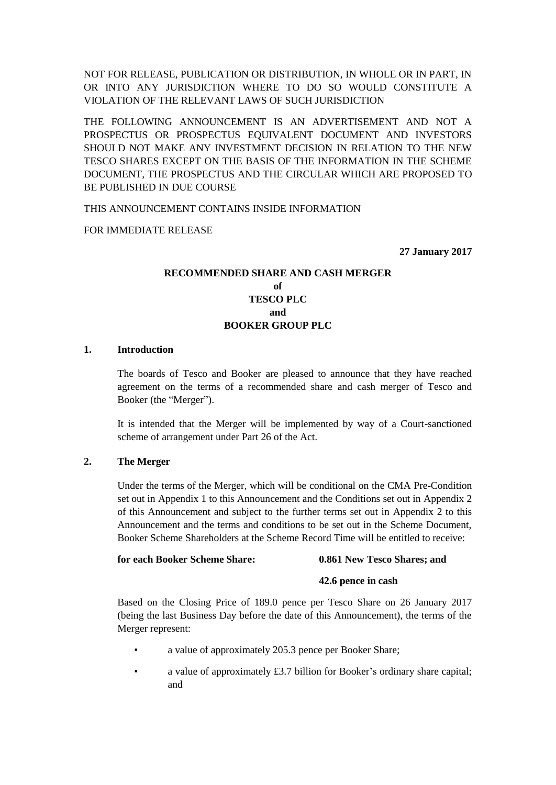NOT FOR RELEASE, PUBLICATION OR DISTRIBUTION, IN WHOLE OR IN PART, IN OR INTO ANY JURISDICTION WHERE TO DO SO WOULD CONSTITUTE A VIOLATION OF THE RELEVANT LAWS OF SUCH JURISDICTION

THE FOLLOWING ANNOUNCEMENT IS AN ADVERTISEMENT AND NOT A PROSPECTUS OR PROSPECTUS EQUIVALENT DOCUMENT AND INVESTORS SHOULD NOT MAKE ANY INVESTMENT DECISION IN RELATION TO THE NEW TESCO SHARES EXCEPT ON THE BASIS OF THE INFORMATION IN THE SCHEME DOCUMENT, THE PROSPECTUS AND THE CIRCULAR WHICH ARE PROPOSED TO BE PUBLISHED IN DUE COURSE

THIS ANNOUNCEMENT CONTAINS INSIDE INFORMATION

FOR IMMEDIATE RELEASE

**27 January 2017**

# **RECOMMENDED SHARE AND CASH MERGER of TESCO PLC and BOOKER GROUP PLC**

#### **1. Introduction**

The boards of Tesco and Booker are pleased to announce that they have reached agreement on the terms of a recommended share and cash merger of Tesco and Booker (the "Merger").

It is intended that the Merger will be implemented by way of a Court-sanctioned scheme of arrangement under Part 26 of the Act.

#### **2. The Merger**

Under the terms of the Merger, which will be conditional on the CMA Pre-Condition set out in [Appendix 1](#page-42-0) to this Announcement and the Conditions set out in [Appendix 2](#page-43-0) of this Announcement and subject to the further terms set out in [Appendix 2](#page-43-0) to this Announcement and the terms and conditions to be set out in the Scheme Document, Booker Scheme Shareholders at the Scheme Record Time will be entitled to receive:

#### **for each Booker Scheme Share: 0.861 New Tesco Shares; and**

#### **42.6 pence in cash**

Based on the Closing Price of 189.0 pence per Tesco Share on 26 January 2017 (being the last Business Day before the date of this Announcement), the terms of the Merger represent:

- a value of approximately 205.3 pence per Booker Share;
- a value of approximately £3.7 billion for Booker's ordinary share capital; and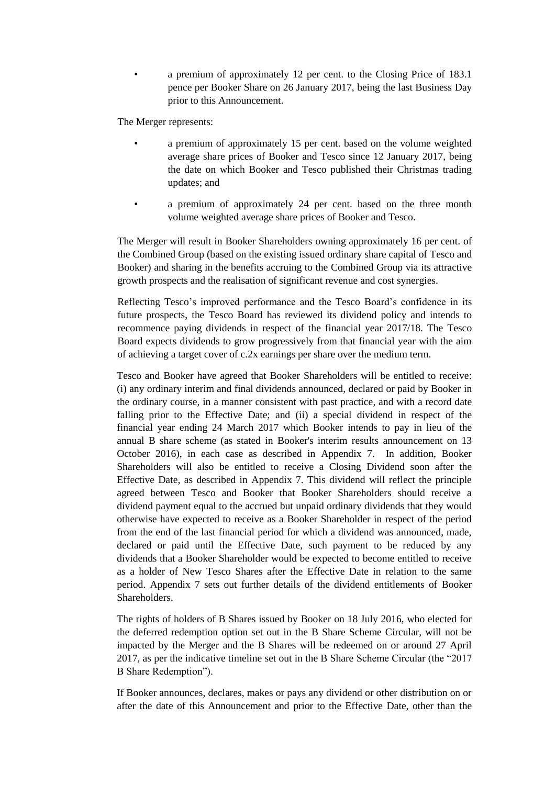• a premium of approximately 12 per cent. to the Closing Price of 183.1 pence per Booker Share on 26 January 2017, being the last Business Day prior to this Announcement.

The Merger represents:

- a premium of approximately 15 per cent. based on the volume weighted average share prices of Booker and Tesco since 12 January 2017, being the date on which Booker and Tesco published their Christmas trading updates; and
- a premium of approximately 24 per cent. based on the three month volume weighted average share prices of Booker and Tesco.

The Merger will result in Booker Shareholders owning approximately 16 per cent. of the Combined Group (based on the existing issued ordinary share capital of Tesco and Booker) and sharing in the benefits accruing to the Combined Group via its attractive growth prospects and the realisation of significant revenue and cost synergies.

Reflecting Tesco's improved performance and the Tesco Board's confidence in its future prospects, the Tesco Board has reviewed its dividend policy and intends to recommence paying dividends in respect of the financial year 2017/18. The Tesco Board expects dividends to grow progressively from that financial year with the aim of achieving a target cover of c.2x earnings per share over the medium term.

Tesco and Booker have agreed that Booker Shareholders will be entitled to receive: (i) any ordinary interim and final dividends announced, declared or paid by Booker in the ordinary course, in a manner consistent with past practice, and with a record date falling prior to the Effective Date; and (ii) a special dividend in respect of the financial year ending 24 March 2017 which Booker intends to pay in lieu of the annual B share scheme (as stated in Booker's interim results announcement on 13 October 2016), in each case as described in [Appendix 7.](#page-72-0) In addition, Booker Shareholders will also be entitled to receive a Closing Dividend soon after the Effective Date, as described in [Appendix 7.](#page-72-0) This dividend will reflect the principle agreed between Tesco and Booker that Booker Shareholders should receive a dividend payment equal to the accrued but unpaid ordinary dividends that they would otherwise have expected to receive as a Booker Shareholder in respect of the period from the end of the last financial period for which a dividend was announced, made, declared or paid until the Effective Date, such payment to be reduced by any dividends that a Booker Shareholder would be expected to become entitled to receive as a holder of New Tesco Shares after the Effective Date in relation to the same period. [Appendix 7](#page-72-0) sets out further details of the dividend entitlements of Booker Shareholders.

The rights of holders of B Shares issued by Booker on 18 July 2016, who elected for the deferred redemption option set out in the B Share Scheme Circular, will not be impacted by the Merger and the B Shares will be redeemed on or around 27 April 2017, as per the indicative timeline set out in the B Share Scheme Circular (the "2017 B Share Redemption").

If Booker announces, declares, makes or pays any dividend or other distribution on or after the date of this Announcement and prior to the Effective Date, other than the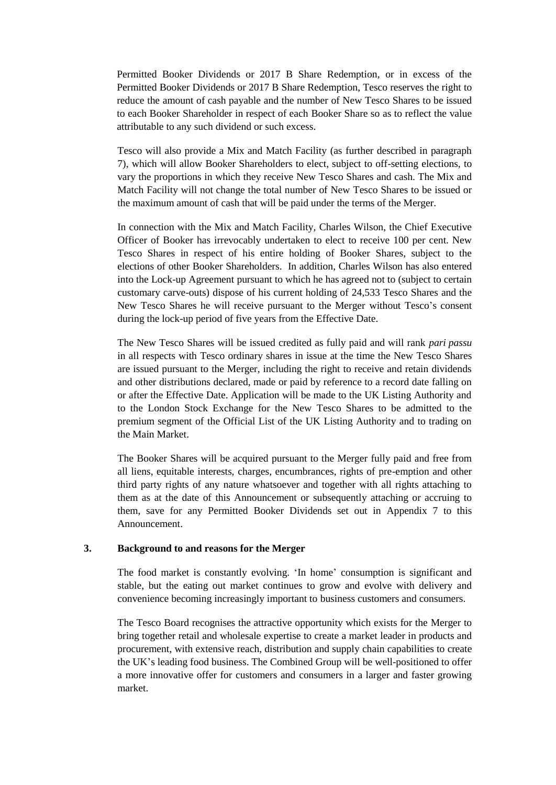Permitted Booker Dividends or 2017 B Share Redemption, or in excess of the Permitted Booker Dividends or 2017 B Share Redemption, Tesco reserves the right to reduce the amount of cash payable and the number of New Tesco Shares to be issued to each Booker Shareholder in respect of each Booker Share so as to reflect the value attributable to any such dividend or such excess.

Tesco will also provide a Mix and Match Facility (as further described in paragraph [7\)](#page-22-0), which will allow Booker Shareholders to elect, subject to off-setting elections, to vary the proportions in which they receive New Tesco Shares and cash. The Mix and Match Facility will not change the total number of New Tesco Shares to be issued or the maximum amount of cash that will be paid under the terms of the Merger.

In connection with the Mix and Match Facility, Charles Wilson, the Chief Executive Officer of Booker has irrevocably undertaken to elect to receive 100 per cent. New Tesco Shares in respect of his entire holding of Booker Shares, subject to the elections of other Booker Shareholders. In addition, Charles Wilson has also entered into the Lock-up Agreement pursuant to which he has agreed not to (subject to certain customary carve-outs) dispose of his current holding of 24,533 Tesco Shares and the New Tesco Shares he will receive pursuant to the Merger without Tesco's consent during the lock-up period of five years from the Effective Date.

The New Tesco Shares will be issued credited as fully paid and will rank *pari passu* in all respects with Tesco ordinary shares in issue at the time the New Tesco Shares are issued pursuant to the Merger, including the right to receive and retain dividends and other distributions declared, made or paid by reference to a record date falling on or after the Effective Date. Application will be made to the UK Listing Authority and to the London Stock Exchange for the New Tesco Shares to be admitted to the premium segment of the Official List of the UK Listing Authority and to trading on the Main Market.

The Booker Shares will be acquired pursuant to the Merger fully paid and free from all liens, equitable interests, charges, encumbrances, rights of pre-emption and other third party rights of any nature whatsoever and together with all rights attaching to them as at the date of this Announcement or subsequently attaching or accruing to them, save for any Permitted Booker Dividends set out in [Appendix 7](#page-72-0) to this Announcement.

## **3. Background to and reasons for the Merger**

The food market is constantly evolving. 'In home' consumption is significant and stable, but the eating out market continues to grow and evolve with delivery and convenience becoming increasingly important to business customers and consumers.

The Tesco Board recognises the attractive opportunity which exists for the Merger to bring together retail and wholesale expertise to create a market leader in products and procurement, with extensive reach, distribution and supply chain capabilities to create the UK's leading food business. The Combined Group will be well-positioned to offer a more innovative offer for customers and consumers in a larger and faster growing market.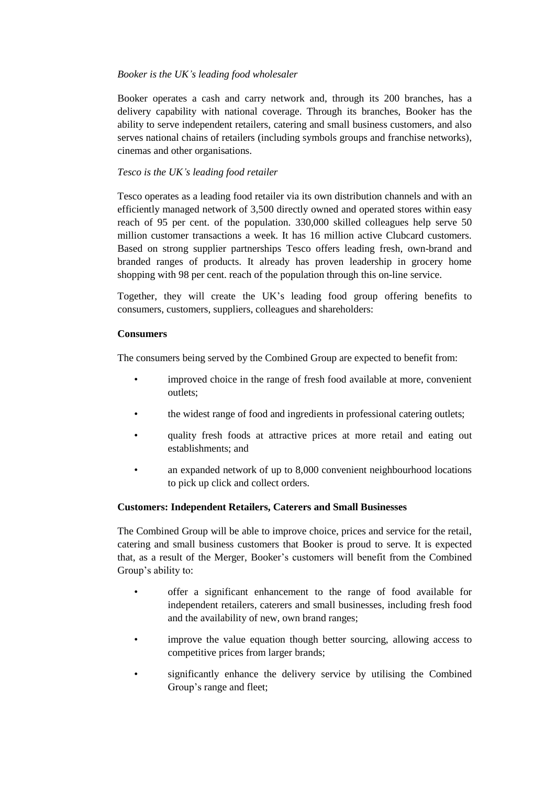# *Booker is the UK's leading food wholesaler*

Booker operates a cash and carry network and, through its 200 branches, has a delivery capability with national coverage. Through its branches, Booker has the ability to serve independent retailers, catering and small business customers, and also serves national chains of retailers (including symbols groups and franchise networks), cinemas and other organisations.

# *Tesco is the UK's leading food retailer*

Tesco operates as a leading food retailer via its own distribution channels and with an efficiently managed network of 3,500 directly owned and operated stores within easy reach of 95 per cent. of the population. 330,000 skilled colleagues help serve 50 million customer transactions a week. It has 16 million active Clubcard customers. Based on strong supplier partnerships Tesco offers leading fresh, own-brand and branded ranges of products. It already has proven leadership in grocery home shopping with 98 per cent. reach of the population through this on-line service.

Together, they will create the UK's leading food group offering benefits to consumers, customers, suppliers, colleagues and shareholders:

# **Consumers**

The consumers being served by the Combined Group are expected to benefit from:

- improved choice in the range of fresh food available at more, convenient outlets;
- the widest range of food and ingredients in professional catering outlets;
- quality fresh foods at attractive prices at more retail and eating out establishments; and
- an expanded network of up to 8,000 convenient neighbourhood locations to pick up click and collect orders.

# **Customers: Independent Retailers, Caterers and Small Businesses**

The Combined Group will be able to improve choice, prices and service for the retail, catering and small business customers that Booker is proud to serve. It is expected that, as a result of the Merger, Booker's customers will benefit from the Combined Group's ability to:

- offer a significant enhancement to the range of food available for independent retailers, caterers and small businesses, including fresh food and the availability of new, own brand ranges;
- improve the value equation though better sourcing, allowing access to competitive prices from larger brands;
- significantly enhance the delivery service by utilising the Combined Group's range and fleet;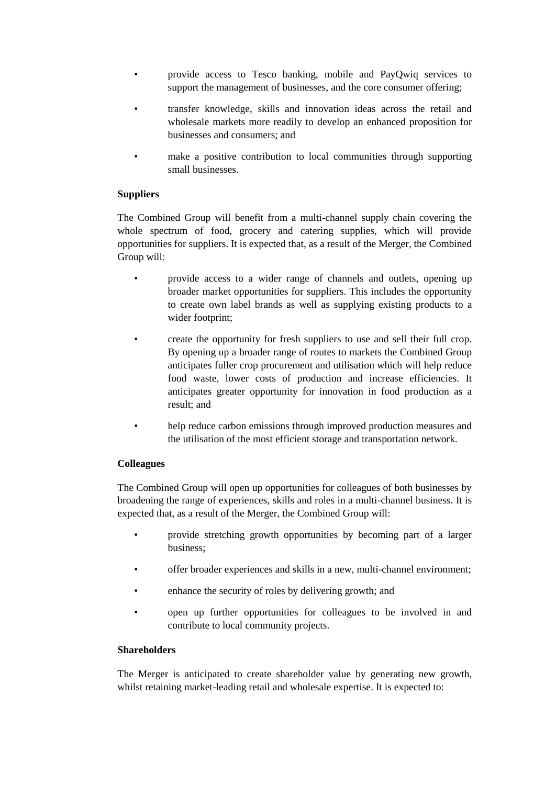- provide access to Tesco banking, mobile and PayQwiq services to support the management of businesses, and the core consumer offering;
- transfer knowledge, skills and innovation ideas across the retail and wholesale markets more readily to develop an enhanced proposition for businesses and consumers; and
- make a positive contribution to local communities through supporting small businesses.

# **Suppliers**

The Combined Group will benefit from a multi-channel supply chain covering the whole spectrum of food, grocery and catering supplies, which will provide opportunities for suppliers. It is expected that, as a result of the Merger, the Combined Group will:

- provide access to a wider range of channels and outlets, opening up broader market opportunities for suppliers. This includes the opportunity to create own label brands as well as supplying existing products to a wider footprint;
- create the opportunity for fresh suppliers to use and sell their full crop. By opening up a broader range of routes to markets the Combined Group anticipates fuller crop procurement and utilisation which will help reduce food waste, lower costs of production and increase efficiencies. It anticipates greater opportunity for innovation in food production as a result; and
- help reduce carbon emissions through improved production measures and the utilisation of the most efficient storage and transportation network.

# **Colleagues**

The Combined Group will open up opportunities for colleagues of both businesses by broadening the range of experiences, skills and roles in a multi-channel business. It is expected that, as a result of the Merger, the Combined Group will:

- provide stretching growth opportunities by becoming part of a larger business;
- offer broader experiences and skills in a new, multi-channel environment;
- enhance the security of roles by delivering growth; and
- open up further opportunities for colleagues to be involved in and contribute to local community projects.

# **Shareholders**

The Merger is anticipated to create shareholder value by generating new growth, whilst retaining market-leading retail and wholesale expertise. It is expected to: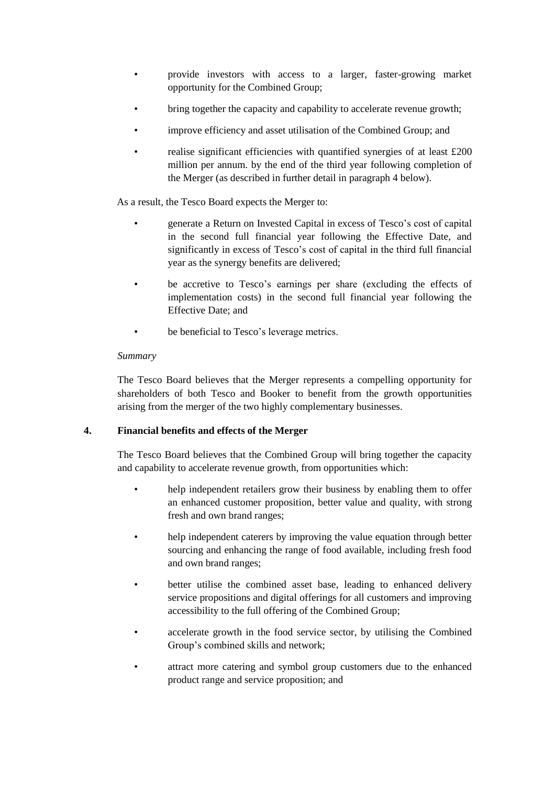- provide investors with access to a larger, faster-growing market opportunity for the Combined Group;
- bring together the capacity and capability to accelerate revenue growth;
- improve efficiency and asset utilisation of the Combined Group; and
- realise significant efficiencies with quantified synergies of at least £200 million per annum. by the end of the third year following completion of the Merger (as described in further detail in paragraph [4](#page-19-0) below).

As a result, the Tesco Board expects the Merger to:

- generate a Return on Invested Capital in excess of Tesco's cost of capital in the second full financial year following the Effective Date, and significantly in excess of Tesco's cost of capital in the third full financial year as the synergy benefits are delivered;
- be accretive to Tesco's earnings per share (excluding the effects of implementation costs) in the second full financial year following the Effective Date; and
- be beneficial to Tesco's leverage metrics.

## *Summary*

The Tesco Board believes that the Merger represents a compelling opportunity for shareholders of both Tesco and Booker to benefit from the growth opportunities arising from the merger of the two highly complementary businesses.

# <span id="page-19-0"></span>**4. Financial benefits and effects of the Merger**

The Tesco Board believes that the Combined Group will bring together the capacity and capability to accelerate revenue growth, from opportunities which:

- help independent retailers grow their business by enabling them to offer an enhanced customer proposition, better value and quality, with strong fresh and own brand ranges;
- help independent caterers by improving the value equation through better sourcing and enhancing the range of food available, including fresh food and own brand ranges;
- better utilise the combined asset base, leading to enhanced delivery service propositions and digital offerings for all customers and improving accessibility to the full offering of the Combined Group;
- accelerate growth in the food service sector, by utilising the Combined Group's combined skills and network;
- attract more catering and symbol group customers due to the enhanced product range and service proposition; and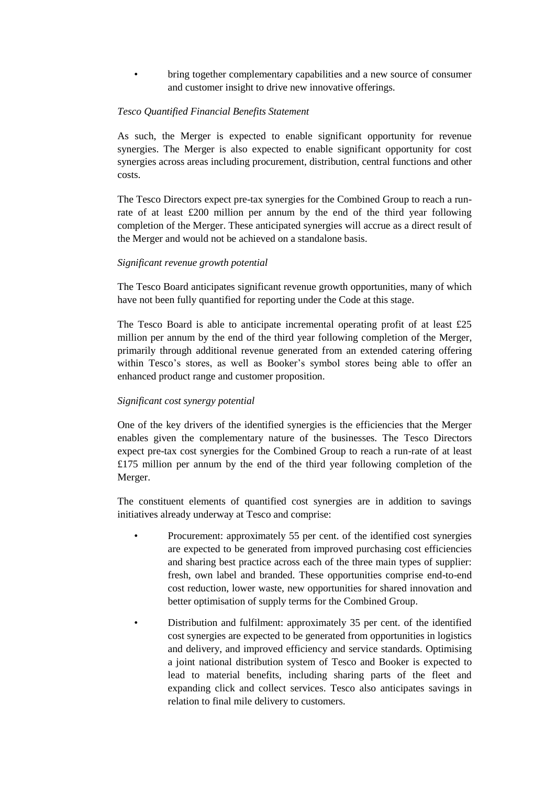• bring together complementary capabilities and a new source of consumer and customer insight to drive new innovative offerings.

## *Tesco Quantified Financial Benefits Statement*

As such, the Merger is expected to enable significant opportunity for revenue synergies. The Merger is also expected to enable significant opportunity for cost synergies across areas including procurement, distribution, central functions and other costs.

The Tesco Directors expect pre-tax synergies for the Combined Group to reach a runrate of at least £200 million per annum by the end of the third year following completion of the Merger. These anticipated synergies will accrue as a direct result of the Merger and would not be achieved on a standalone basis.

## *Significant revenue growth potential*

The Tesco Board anticipates significant revenue growth opportunities, many of which have not been fully quantified for reporting under the Code at this stage.

The Tesco Board is able to anticipate incremental operating profit of at least  $£25$ million per annum by the end of the third year following completion of the Merger, primarily through additional revenue generated from an extended catering offering within Tesco's stores, as well as Booker's symbol stores being able to offer an enhanced product range and customer proposition.

## *Significant cost synergy potential*

One of the key drivers of the identified synergies is the efficiencies that the Merger enables given the complementary nature of the businesses. The Tesco Directors expect pre-tax cost synergies for the Combined Group to reach a run-rate of at least £175 million per annum by the end of the third year following completion of the Merger.

The constituent elements of quantified cost synergies are in addition to savings initiatives already underway at Tesco and comprise:

- Procurement: approximately 55 per cent. of the identified cost synergies are expected to be generated from improved purchasing cost efficiencies and sharing best practice across each of the three main types of supplier: fresh, own label and branded. These opportunities comprise end-to-end cost reduction, lower waste, new opportunities for shared innovation and better optimisation of supply terms for the Combined Group.
- Distribution and fulfilment: approximately 35 per cent. of the identified cost synergies are expected to be generated from opportunities in logistics and delivery, and improved efficiency and service standards. Optimising a joint national distribution system of Tesco and Booker is expected to lead to material benefits, including sharing parts of the fleet and expanding click and collect services. Tesco also anticipates savings in relation to final mile delivery to customers.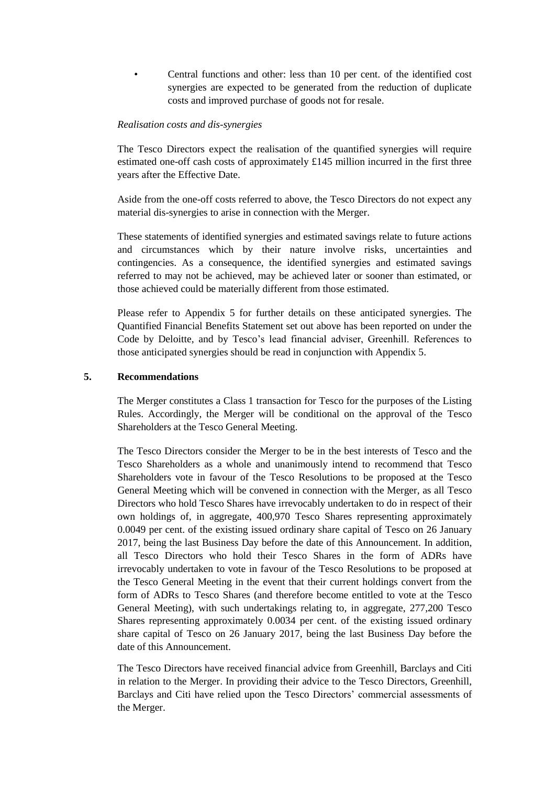• Central functions and other: less than 10 per cent. of the identified cost synergies are expected to be generated from the reduction of duplicate costs and improved purchase of goods not for resale.

#### *Realisation costs and dis-synergies*

The Tesco Directors expect the realisation of the quantified synergies will require estimated one-off cash costs of approximately £145 million incurred in the first three years after the Effective Date.

Aside from the one-off costs referred to above, the Tesco Directors do not expect any material dis-synergies to arise in connection with the Merger.

These statements of identified synergies and estimated savings relate to future actions and circumstances which by their nature involve risks, uncertainties and contingencies. As a consequence, the identified synergies and estimated savings referred to may not be achieved, may be achieved later or sooner than estimated, or those achieved could be materially different from those estimated.

Please refer to Appendix 5 for further details on these anticipated synergies. The Quantified Financial Benefits Statement set out above has been reported on under the Code by Deloitte, and by Tesco's lead financial adviser, Greenhill. References to those anticipated synergies should be read in conjunction with Appendix 5.

#### **5. Recommendations**

The Merger constitutes a Class 1 transaction for Tesco for the purposes of the Listing Rules. Accordingly, the Merger will be conditional on the approval of the Tesco Shareholders at the Tesco General Meeting.

The Tesco Directors consider the Merger to be in the best interests of Tesco and the Tesco Shareholders as a whole and unanimously intend to recommend that Tesco Shareholders vote in favour of the Tesco Resolutions to be proposed at the Tesco General Meeting which will be convened in connection with the Merger, as all Tesco Directors who hold Tesco Shares have irrevocably undertaken to do in respect of their own holdings of, in aggregate, 400,970 Tesco Shares representing approximately 0.0049 per cent. of the existing issued ordinary share capital of Tesco on 26 January 2017, being the last Business Day before the date of this Announcement. In addition, all Tesco Directors who hold their Tesco Shares in the form of ADRs have irrevocably undertaken to vote in favour of the Tesco Resolutions to be proposed at the Tesco General Meeting in the event that their current holdings convert from the form of ADRs to Tesco Shares (and therefore become entitled to vote at the Tesco General Meeting), with such undertakings relating to, in aggregate, 277,200 Tesco Shares representing approximately 0.0034 per cent. of the existing issued ordinary share capital of Tesco on 26 January 2017, being the last Business Day before the date of this Announcement.

The Tesco Directors have received financial advice from Greenhill, Barclays and Citi in relation to the Merger. In providing their advice to the Tesco Directors, Greenhill, Barclays and Citi have relied upon the Tesco Directors' commercial assessments of the Merger.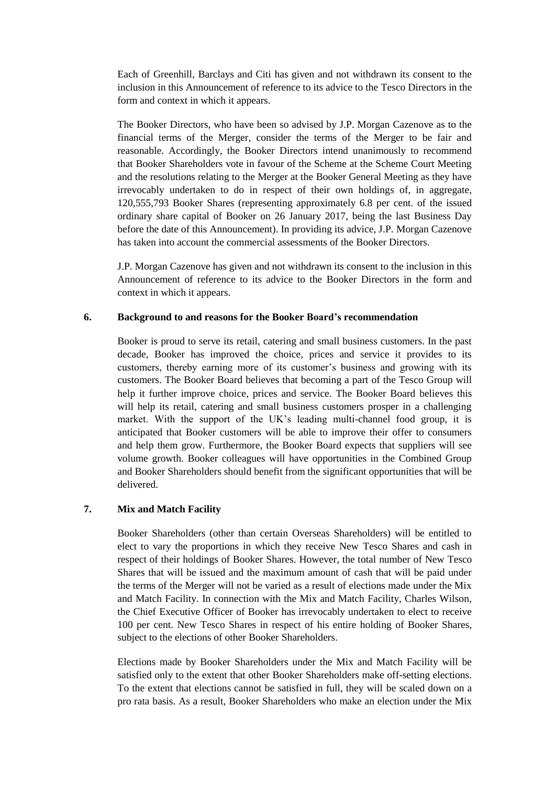Each of Greenhill, Barclays and Citi has given and not withdrawn its consent to the inclusion in this Announcement of reference to its advice to the Tesco Directors in the form and context in which it appears.

The Booker Directors, who have been so advised by J.P. Morgan Cazenove as to the financial terms of the Merger, consider the terms of the Merger to be fair and reasonable. Accordingly, the Booker Directors intend unanimously to recommend that Booker Shareholders vote in favour of the Scheme at the Scheme Court Meeting and the resolutions relating to the Merger at the Booker General Meeting as they have irrevocably undertaken to do in respect of their own holdings of, in aggregate, 120,555,793 Booker Shares (representing approximately 6.8 per cent. of the issued ordinary share capital of Booker on 26 January 2017, being the last Business Day before the date of this Announcement). In providing its advice, J.P. Morgan Cazenove has taken into account the commercial assessments of the Booker Directors.

J.P. Morgan Cazenove has given and not withdrawn its consent to the inclusion in this Announcement of reference to its advice to the Booker Directors in the form and context in which it appears.

#### **6. Background to and reasons for the Booker Board's recommendation**

Booker is proud to serve its retail, catering and small business customers. In the past decade, Booker has improved the choice, prices and service it provides to its customers, thereby earning more of its customer's business and growing with its customers. The Booker Board believes that becoming a part of the Tesco Group will help it further improve choice, prices and service. The Booker Board believes this will help its retail, catering and small business customers prosper in a challenging market. With the support of the UK's leading multi-channel food group, it is anticipated that Booker customers will be able to improve their offer to consumers and help them grow. Furthermore, the Booker Board expects that suppliers will see volume growth. Booker colleagues will have opportunities in the Combined Group and Booker Shareholders should benefit from the significant opportunities that will be delivered.

## <span id="page-22-0"></span>**7. Mix and Match Facility**

Booker Shareholders (other than certain Overseas Shareholders) will be entitled to elect to vary the proportions in which they receive New Tesco Shares and cash in respect of their holdings of Booker Shares. However, the total number of New Tesco Shares that will be issued and the maximum amount of cash that will be paid under the terms of the Merger will not be varied as a result of elections made under the Mix and Match Facility. In connection with the Mix and Match Facility, Charles Wilson, the Chief Executive Officer of Booker has irrevocably undertaken to elect to receive 100 per cent. New Tesco Shares in respect of his entire holding of Booker Shares, subject to the elections of other Booker Shareholders.

Elections made by Booker Shareholders under the Mix and Match Facility will be satisfied only to the extent that other Booker Shareholders make off-setting elections. To the extent that elections cannot be satisfied in full, they will be scaled down on a pro rata basis. As a result, Booker Shareholders who make an election under the Mix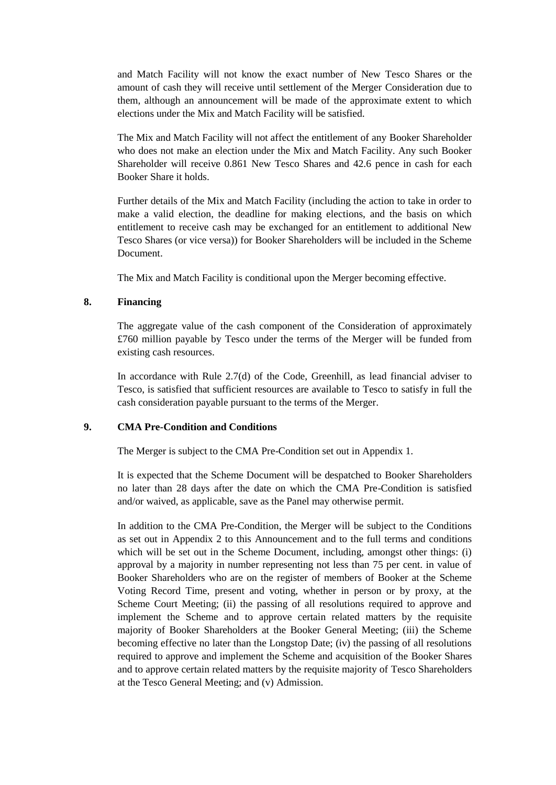and Match Facility will not know the exact number of New Tesco Shares or the amount of cash they will receive until settlement of the Merger Consideration due to them, although an announcement will be made of the approximate extent to which elections under the Mix and Match Facility will be satisfied.

The Mix and Match Facility will not affect the entitlement of any Booker Shareholder who does not make an election under the Mix and Match Facility. Any such Booker Shareholder will receive 0.861 New Tesco Shares and 42.6 pence in cash for each Booker Share it holds.

Further details of the Mix and Match Facility (including the action to take in order to make a valid election, the deadline for making elections, and the basis on which entitlement to receive cash may be exchanged for an entitlement to additional New Tesco Shares (or vice versa)) for Booker Shareholders will be included in the Scheme Document.

The Mix and Match Facility is conditional upon the Merger becoming effective.

## **8. Financing**

The aggregate value of the cash component of the Consideration of approximately £760 million payable by Tesco under the terms of the Merger will be funded from existing cash resources.

In accordance with Rule 2.7(d) of the Code, Greenhill, as lead financial adviser to Tesco, is satisfied that sufficient resources are available to Tesco to satisfy in full the cash consideration payable pursuant to the terms of the Merger.

#### **9. CMA Pre-Condition and Conditions**

The Merger is subject to the CMA Pre-Condition set out in [Appendix 1.](#page-42-0)

It is expected that the Scheme Document will be despatched to Booker Shareholders no later than 28 days after the date on which the CMA Pre-Condition is satisfied and/or waived, as applicable, save as the Panel may otherwise permit.

In addition to the CMA Pre-Condition, the Merger will be subject to the Conditions as set out in [Appendix 2](#page-43-0) to this Announcement and to the full terms and conditions which will be set out in the Scheme Document, including, amongst other things: (i) approval by a majority in number representing not less than 75 per cent. in value of Booker Shareholders who are on the register of members of Booker at the Scheme Voting Record Time, present and voting, whether in person or by proxy, at the Scheme Court Meeting; (ii) the passing of all resolutions required to approve and implement the Scheme and to approve certain related matters by the requisite majority of Booker Shareholders at the Booker General Meeting; (iii) the Scheme becoming effective no later than the Longstop Date; (iv) the passing of all resolutions required to approve and implement the Scheme and acquisition of the Booker Shares and to approve certain related matters by the requisite majority of Tesco Shareholders at the Tesco General Meeting; and (v) Admission.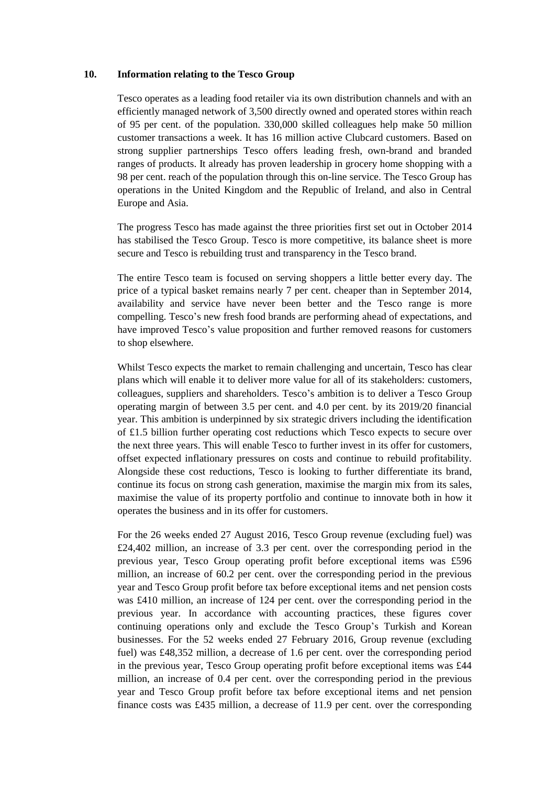## **10. Information relating to the Tesco Group**

Tesco operates as a leading food retailer via its own distribution channels and with an efficiently managed network of 3,500 directly owned and operated stores within reach of 95 per cent. of the population. 330,000 skilled colleagues help make 50 million customer transactions a week. It has 16 million active Clubcard customers. Based on strong supplier partnerships Tesco offers leading fresh, own-brand and branded ranges of products. It already has proven leadership in grocery home shopping with a 98 per cent. reach of the population through this on-line service. The Tesco Group has operations in the United Kingdom and the Republic of Ireland, and also in Central Europe and Asia.

The progress Tesco has made against the three priorities first set out in October 2014 has stabilised the Tesco Group. Tesco is more competitive, its balance sheet is more secure and Tesco is rebuilding trust and transparency in the Tesco brand.

The entire Tesco team is focused on serving shoppers a little better every day. The price of a typical basket remains nearly 7 per cent. cheaper than in September 2014, availability and service have never been better and the Tesco range is more compelling. Tesco's new fresh food brands are performing ahead of expectations, and have improved Tesco's value proposition and further removed reasons for customers to shop elsewhere.

Whilst Tesco expects the market to remain challenging and uncertain, Tesco has clear plans which will enable it to deliver more value for all of its stakeholders: customers, colleagues, suppliers and shareholders. Tesco's ambition is to deliver a Tesco Group operating margin of between 3.5 per cent. and 4.0 per cent. by its 2019/20 financial year. This ambition is underpinned by six strategic drivers including the identification of £1.5 billion further operating cost reductions which Tesco expects to secure over the next three years. This will enable Tesco to further invest in its offer for customers, offset expected inflationary pressures on costs and continue to rebuild profitability. Alongside these cost reductions, Tesco is looking to further differentiate its brand, continue its focus on strong cash generation, maximise the margin mix from its sales, maximise the value of its property portfolio and continue to innovate both in how it operates the business and in its offer for customers.

For the 26 weeks ended 27 August 2016, Tesco Group revenue (excluding fuel) was £24,402 million, an increase of 3.3 per cent. over the corresponding period in the previous year, Tesco Group operating profit before exceptional items was £596 million, an increase of 60.2 per cent. over the corresponding period in the previous year and Tesco Group profit before tax before exceptional items and net pension costs was £410 million, an increase of 124 per cent. over the corresponding period in the previous year. In accordance with accounting practices, these figures cover continuing operations only and exclude the Tesco Group's Turkish and Korean businesses. For the 52 weeks ended 27 February 2016, Group revenue (excluding fuel) was £48,352 million, a decrease of 1.6 per cent. over the corresponding period in the previous year, Tesco Group operating profit before exceptional items was £44 million, an increase of 0.4 per cent. over the corresponding period in the previous year and Tesco Group profit before tax before exceptional items and net pension finance costs was £435 million, a decrease of 11.9 per cent. over the corresponding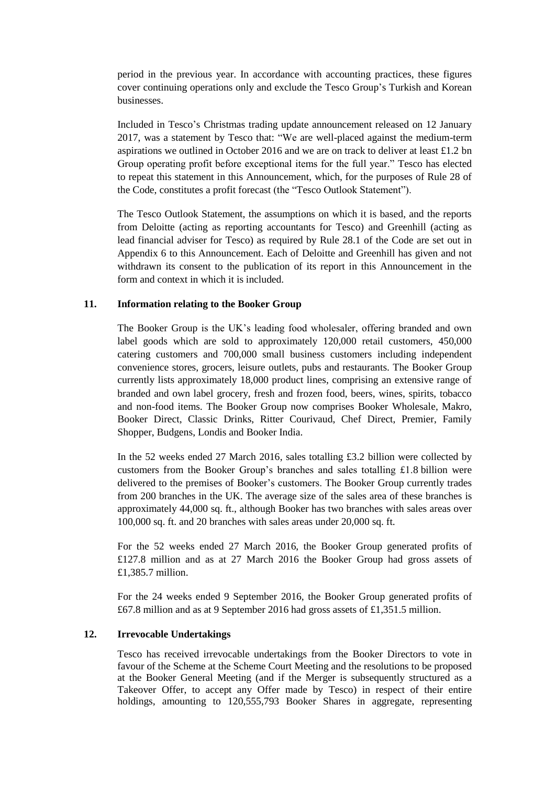period in the previous year. In accordance with accounting practices, these figures cover continuing operations only and exclude the Tesco Group's Turkish and Korean businesses.

Included in Tesco's Christmas trading update announcement released on 12 January 2017, was a statement by Tesco that: "We are well-placed against the medium-term aspirations we outlined in October 2016 and we are on track to deliver at least £1.2 bn Group operating profit before exceptional items for the full year." Tesco has elected to repeat this statement in this Announcement, which, for the purposes of Rule 28 of the Code, constitutes a profit forecast (the "Tesco Outlook Statement").

The Tesco Outlook Statement, the assumptions on which it is based, and the reports from Deloitte (acting as reporting accountants for Tesco) and Greenhill (acting as lead financial adviser for Tesco) as required by Rule 28.1 of the Code are set out in [Appendix 6](#page-67-0) to this Announcement. Each of Deloitte and Greenhill has given and not withdrawn its consent to the publication of its report in this Announcement in the form and context in which it is included.

# **11. Information relating to the Booker Group**

The Booker Group is the UK's leading food wholesaler, offering branded and own label goods which are sold to approximately 120,000 retail customers, 450,000 catering customers and 700,000 small business customers including independent convenience stores, grocers, leisure outlets, pubs and restaurants. The Booker Group currently lists approximately 18,000 product lines, comprising an extensive range of branded and own label grocery, fresh and frozen food, beers, wines, spirits, tobacco and non-food items. The Booker Group now comprises Booker Wholesale, Makro, Booker Direct, Classic Drinks, Ritter Courivaud, Chef Direct, Premier, Family Shopper, Budgens, Londis and Booker India.

In the 52 weeks ended 27 March 2016, sales totalling £3.2 billion were collected by customers from the Booker Group's branches and sales totalling £1.8 billion were delivered to the premises of Booker's customers. The Booker Group currently trades from 200 branches in the UK. The average size of the sales area of these branches is approximately 44,000 sq. ft., although Booker has two branches with sales areas over 100,000 sq. ft. and 20 branches with sales areas under 20,000 sq. ft.

For the 52 weeks ended 27 March 2016, the Booker Group generated profits of £127.8 million and as at 27 March 2016 the Booker Group had gross assets of £1,385.7 million.

For the 24 weeks ended 9 September 2016, the Booker Group generated profits of £67.8 million and as at 9 September 2016 had gross assets of £1,351.5 million.

#### **12. Irrevocable Undertakings**

Tesco has received irrevocable undertakings from the Booker Directors to vote in favour of the Scheme at the Scheme Court Meeting and the resolutions to be proposed at the Booker General Meeting (and if the Merger is subsequently structured as a Takeover Offer, to accept any Offer made by Tesco) in respect of their entire holdings, amounting to 120,555,793 Booker Shares in aggregate, representing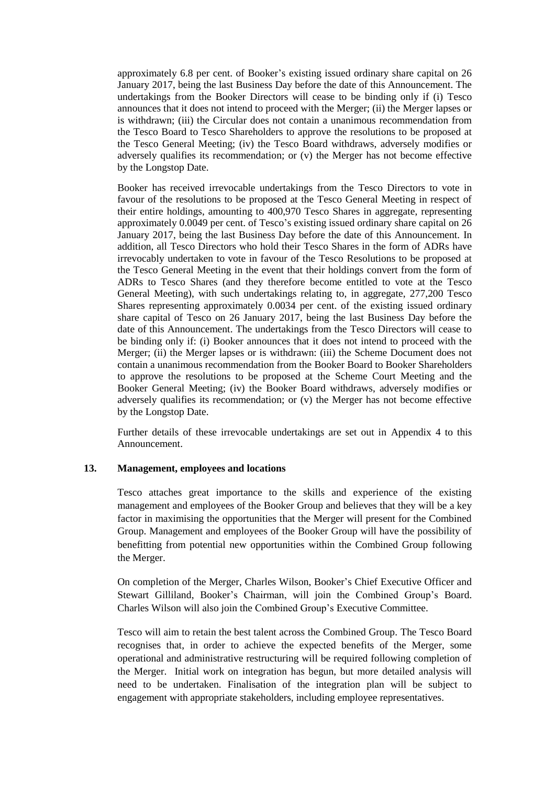approximately 6.8 per cent. of Booker's existing issued ordinary share capital on 26 January 2017, being the last Business Day before the date of this Announcement. The undertakings from the Booker Directors will cease to be binding only if (i) Tesco announces that it does not intend to proceed with the Merger; (ii) the Merger lapses or is withdrawn; (iii) the Circular does not contain a unanimous recommendation from the Tesco Board to Tesco Shareholders to approve the resolutions to be proposed at the Tesco General Meeting; (iv) the Tesco Board withdraws, adversely modifies or adversely qualifies its recommendation; or (v) the Merger has not become effective by the Longstop Date.

Booker has received irrevocable undertakings from the Tesco Directors to vote in favour of the resolutions to be proposed at the Tesco General Meeting in respect of their entire holdings, amounting to 400,970 Tesco Shares in aggregate, representing approximately 0.0049 per cent. of Tesco's existing issued ordinary share capital on 26 January 2017, being the last Business Day before the date of this Announcement. In addition, all Tesco Directors who hold their Tesco Shares in the form of ADRs have irrevocably undertaken to vote in favour of the Tesco Resolutions to be proposed at the Tesco General Meeting in the event that their holdings convert from the form of ADRs to Tesco Shares (and they therefore become entitled to vote at the Tesco General Meeting), with such undertakings relating to, in aggregate, 277,200 Tesco Shares representing approximately 0.0034 per cent. of the existing issued ordinary share capital of Tesco on 26 January 2017, being the last Business Day before the date of this Announcement. The undertakings from the Tesco Directors will cease to be binding only if: (i) Booker announces that it does not intend to proceed with the Merger; (ii) the Merger lapses or is withdrawn: (iii) the Scheme Document does not contain a unanimous recommendation from the Booker Board to Booker Shareholders to approve the resolutions to be proposed at the Scheme Court Meeting and the Booker General Meeting; (iv) the Booker Board withdraws, adversely modifies or adversely qualifies its recommendation; or (v) the Merger has not become effective by the Longstop Date.

Further details of these irrevocable undertakings are set out in [Appendix 4](#page-57-0) to this Announcement.

## **13. Management, employees and locations**

Tesco attaches great importance to the skills and experience of the existing management and employees of the Booker Group and believes that they will be a key factor in maximising the opportunities that the Merger will present for the Combined Group. Management and employees of the Booker Group will have the possibility of benefitting from potential new opportunities within the Combined Group following the Merger.

On completion of the Merger, Charles Wilson, Booker's Chief Executive Officer and Stewart Gilliland, Booker's Chairman, will join the Combined Group's Board. Charles Wilson will also join the Combined Group's Executive Committee.

Tesco will aim to retain the best talent across the Combined Group. The Tesco Board recognises that, in order to achieve the expected benefits of the Merger, some operational and administrative restructuring will be required following completion of the Merger. Initial work on integration has begun, but more detailed analysis will need to be undertaken. Finalisation of the integration plan will be subject to engagement with appropriate stakeholders, including employee representatives.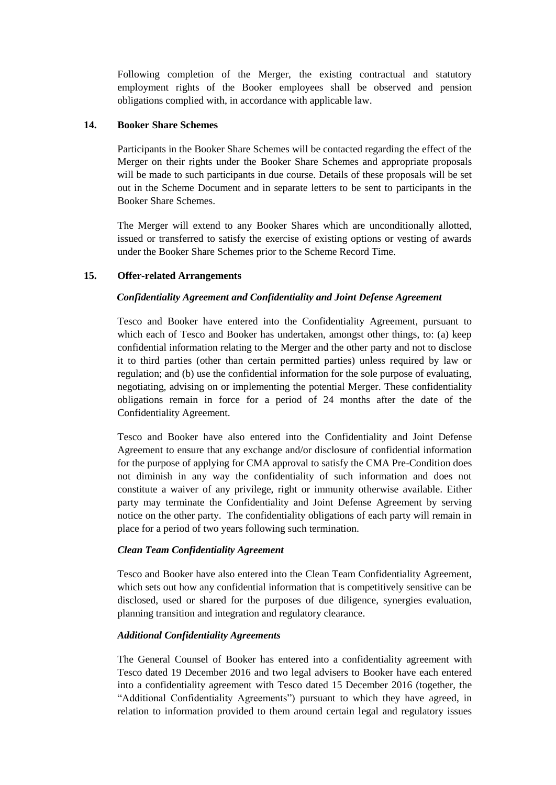Following completion of the Merger, the existing contractual and statutory employment rights of the Booker employees shall be observed and pension obligations complied with, in accordance with applicable law.

## **14. Booker Share Schemes**

Participants in the Booker Share Schemes will be contacted regarding the effect of the Merger on their rights under the Booker Share Schemes and appropriate proposals will be made to such participants in due course. Details of these proposals will be set out in the Scheme Document and in separate letters to be sent to participants in the Booker Share Schemes.

The Merger will extend to any Booker Shares which are unconditionally allotted, issued or transferred to satisfy the exercise of existing options or vesting of awards under the Booker Share Schemes prior to the Scheme Record Time.

# <span id="page-27-0"></span>**15. Offer-related Arrangements**

# *Confidentiality Agreement and Confidentiality and Joint Defense Agreement*

Tesco and Booker have entered into the Confidentiality Agreement, pursuant to which each of Tesco and Booker has undertaken, amongst other things, to: (a) keep confidential information relating to the Merger and the other party and not to disclose it to third parties (other than certain permitted parties) unless required by law or regulation; and (b) use the confidential information for the sole purpose of evaluating, negotiating, advising on or implementing the potential Merger. These confidentiality obligations remain in force for a period of 24 months after the date of the Confidentiality Agreement.

Tesco and Booker have also entered into the Confidentiality and Joint Defense Agreement to ensure that any exchange and/or disclosure of confidential information for the purpose of applying for CMA approval to satisfy the CMA Pre-Condition does not diminish in any way the confidentiality of such information and does not constitute a waiver of any privilege, right or immunity otherwise available. Either party may terminate the Confidentiality and Joint Defense Agreement by serving notice on the other party. The confidentiality obligations of each party will remain in place for a period of two years following such termination.

## *Clean Team Confidentiality Agreement*

Tesco and Booker have also entered into the Clean Team Confidentiality Agreement, which sets out how any confidential information that is competitively sensitive can be disclosed, used or shared for the purposes of due diligence, synergies evaluation, planning transition and integration and regulatory clearance.

# *Additional Confidentiality Agreements*

The General Counsel of Booker has entered into a confidentiality agreement with Tesco dated 19 December 2016 and two legal advisers to Booker have each entered into a confidentiality agreement with Tesco dated 15 December 2016 (together, the "Additional Confidentiality Agreements") pursuant to which they have agreed, in relation to information provided to them around certain legal and regulatory issues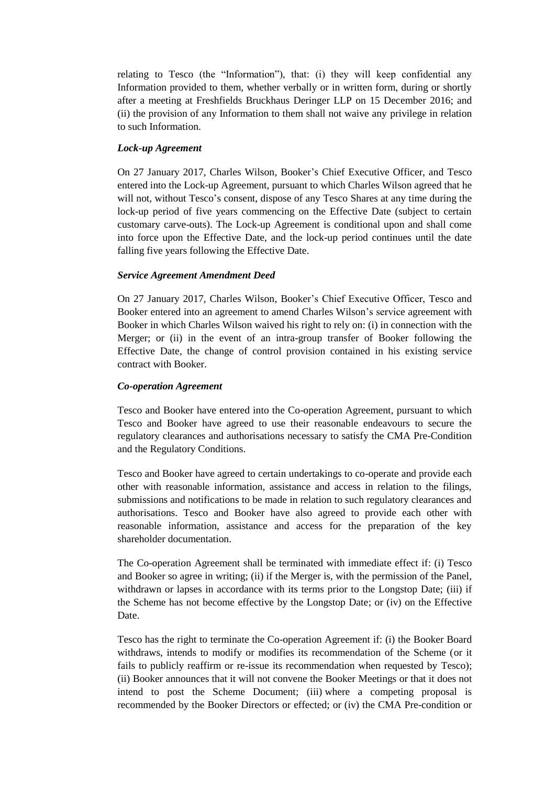relating to Tesco (the "Information"), that: (i) they will keep confidential any Information provided to them, whether verbally or in written form, during or shortly after a meeting at Freshfields Bruckhaus Deringer LLP on 15 December 2016; and (ii) the provision of any Information to them shall not waive any privilege in relation to such Information.

#### *Lock-up Agreement*

On 27 January 2017, Charles Wilson, Booker's Chief Executive Officer, and Tesco entered into the Lock-up Agreement, pursuant to which Charles Wilson agreed that he will not, without Tesco's consent, dispose of any Tesco Shares at any time during the lock-up period of five years commencing on the Effective Date (subject to certain customary carve-outs). The Lock-up Agreement is conditional upon and shall come into force upon the Effective Date, and the lock-up period continues until the date falling five years following the Effective Date.

## *Service Agreement Amendment Deed*

On 27 January 2017, Charles Wilson, Booker's Chief Executive Officer, Tesco and Booker entered into an agreement to amend Charles Wilson's service agreement with Booker in which Charles Wilson waived his right to rely on: (i) in connection with the Merger; or (ii) in the event of an intra-group transfer of Booker following the Effective Date, the change of control provision contained in his existing service contract with Booker.

#### *Co-operation Agreement*

Tesco and Booker have entered into the Co-operation Agreement, pursuant to which Tesco and Booker have agreed to use their reasonable endeavours to secure the regulatory clearances and authorisations necessary to satisfy the CMA Pre-Condition and the Regulatory Conditions.

Tesco and Booker have agreed to certain undertakings to co-operate and provide each other with reasonable information, assistance and access in relation to the filings, submissions and notifications to be made in relation to such regulatory clearances and authorisations. Tesco and Booker have also agreed to provide each other with reasonable information, assistance and access for the preparation of the key shareholder documentation.

The Co-operation Agreement shall be terminated with immediate effect if: (i) Tesco and Booker so agree in writing; (ii) if the Merger is, with the permission of the Panel, withdrawn or lapses in accordance with its terms prior to the Longstop Date; (iii) if the Scheme has not become effective by the Longstop Date; or (iv) on the Effective Date.

Tesco has the right to terminate the Co-operation Agreement if: (i) the Booker Board withdraws, intends to modify or modifies its recommendation of the Scheme (or it fails to publicly reaffirm or re-issue its recommendation when requested by Tesco); (ii) Booker announces that it will not convene the Booker Meetings or that it does not intend to post the Scheme Document; (iii) where a competing proposal is recommended by the Booker Directors or effected; or (iv) the CMA Pre-condition or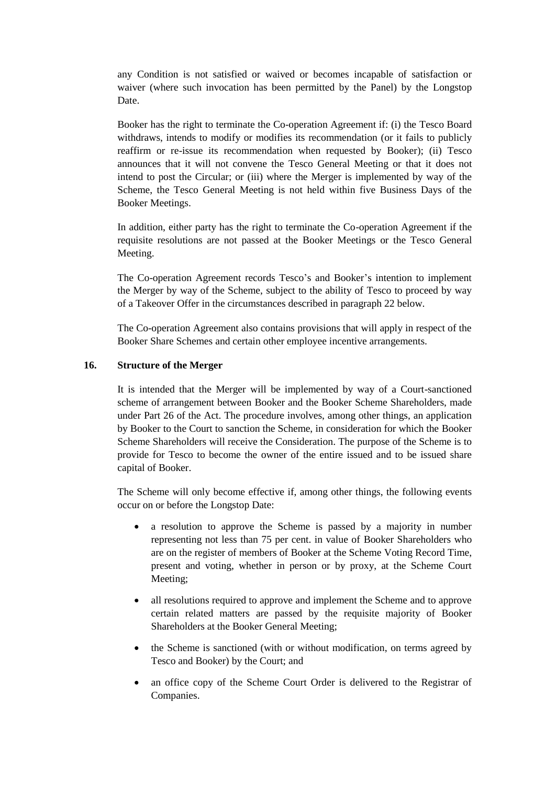any Condition is not satisfied or waived or becomes incapable of satisfaction or waiver (where such invocation has been permitted by the Panel) by the Longstop Date.

Booker has the right to terminate the Co-operation Agreement if: (i) the Tesco Board withdraws, intends to modify or modifies its recommendation (or it fails to publicly reaffirm or re-issue its recommendation when requested by Booker); (ii) Tesco announces that it will not convene the Tesco General Meeting or that it does not intend to post the Circular; or (iii) where the Merger is implemented by way of the Scheme, the Tesco General Meeting is not held within five Business Days of the Booker Meetings.

In addition, either party has the right to terminate the Co-operation Agreement if the requisite resolutions are not passed at the Booker Meetings or the Tesco General Meeting.

The Co-operation Agreement records Tesco's and Booker's intention to implement the Merger by way of the Scheme, subject to the ability of Tesco to proceed by way of a Takeover Offer in the circumstances described in paragrap[h 22](#page-32-0) below.

The Co-operation Agreement also contains provisions that will apply in respect of the Booker Share Schemes and certain other employee incentive arrangements.

## **16. Structure of the Merger**

It is intended that the Merger will be implemented by way of a Court-sanctioned scheme of arrangement between Booker and the Booker Scheme Shareholders, made under Part 26 of the Act. The procedure involves, among other things, an application by Booker to the Court to sanction the Scheme, in consideration for which the Booker Scheme Shareholders will receive the Consideration. The purpose of the Scheme is to provide for Tesco to become the owner of the entire issued and to be issued share capital of Booker.

The Scheme will only become effective if, among other things, the following events occur on or before the Longstop Date:

- a resolution to approve the Scheme is passed by a majority in number representing not less than 75 per cent. in value of Booker Shareholders who are on the register of members of Booker at the Scheme Voting Record Time, present and voting, whether in person or by proxy, at the Scheme Court Meeting;
- all resolutions required to approve and implement the Scheme and to approve certain related matters are passed by the requisite majority of Booker Shareholders at the Booker General Meeting;
- the Scheme is sanctioned (with or without modification, on terms agreed by Tesco and Booker) by the Court; and
- an office copy of the Scheme Court Order is delivered to the Registrar of Companies.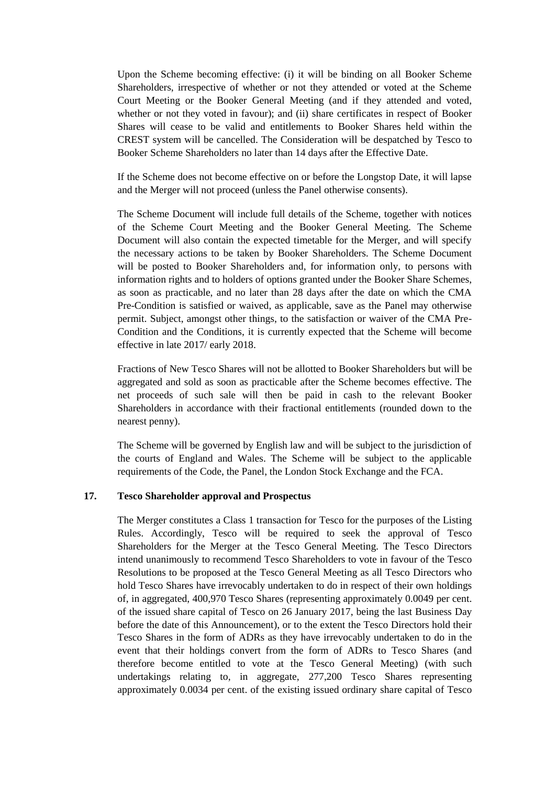Upon the Scheme becoming effective: (i) it will be binding on all Booker Scheme Shareholders, irrespective of whether or not they attended or voted at the Scheme Court Meeting or the Booker General Meeting (and if they attended and voted, whether or not they voted in favour); and (ii) share certificates in respect of Booker Shares will cease to be valid and entitlements to Booker Shares held within the CREST system will be cancelled. The Consideration will be despatched by Tesco to Booker Scheme Shareholders no later than 14 days after the Effective Date.

If the Scheme does not become effective on or before the Longstop Date, it will lapse and the Merger will not proceed (unless the Panel otherwise consents).

The Scheme Document will include full details of the Scheme, together with notices of the Scheme Court Meeting and the Booker General Meeting. The Scheme Document will also contain the expected timetable for the Merger, and will specify the necessary actions to be taken by Booker Shareholders. The Scheme Document will be posted to Booker Shareholders and, for information only, to persons with information rights and to holders of options granted under the Booker Share Schemes, as soon as practicable, and no later than 28 days after the date on which the CMA Pre-Condition is satisfied or waived, as applicable, save as the Panel may otherwise permit. Subject, amongst other things, to the satisfaction or waiver of the CMA Pre-Condition and the Conditions, it is currently expected that the Scheme will become effective in late 2017/ early 2018.

Fractions of New Tesco Shares will not be allotted to Booker Shareholders but will be aggregated and sold as soon as practicable after the Scheme becomes effective. The net proceeds of such sale will then be paid in cash to the relevant Booker Shareholders in accordance with their fractional entitlements (rounded down to the nearest penny).

The Scheme will be governed by English law and will be subject to the jurisdiction of the courts of England and Wales. The Scheme will be subject to the applicable requirements of the Code, the Panel, the London Stock Exchange and the FCA.

# **17. Tesco Shareholder approval and Prospectus**

The Merger constitutes a Class 1 transaction for Tesco for the purposes of the Listing Rules. Accordingly, Tesco will be required to seek the approval of Tesco Shareholders for the Merger at the Tesco General Meeting. The Tesco Directors intend unanimously to recommend Tesco Shareholders to vote in favour of the Tesco Resolutions to be proposed at the Tesco General Meeting as all Tesco Directors who hold Tesco Shares have irrevocably undertaken to do in respect of their own holdings of, in aggregated, 400,970 Tesco Shares (representing approximately 0.0049 per cent. of the issued share capital of Tesco on 26 January 2017, being the last Business Day before the date of this Announcement), or to the extent the Tesco Directors hold their Tesco Shares in the form of ADRs as they have irrevocably undertaken to do in the event that their holdings convert from the form of ADRs to Tesco Shares (and therefore become entitled to vote at the Tesco General Meeting) (with such undertakings relating to, in aggregate, 277,200 Tesco Shares representing approximately 0.0034 per cent. of the existing issued ordinary share capital of Tesco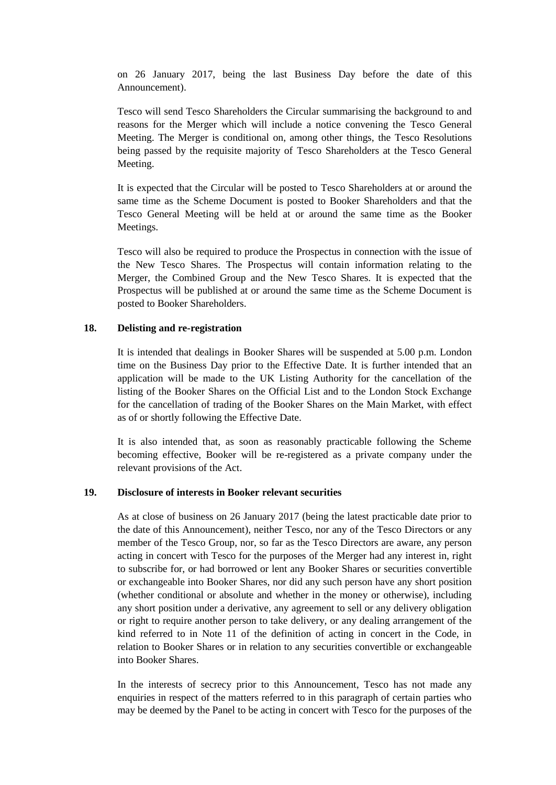on 26 January 2017, being the last Business Day before the date of this Announcement).

Tesco will send Tesco Shareholders the Circular summarising the background to and reasons for the Merger which will include a notice convening the Tesco General Meeting. The Merger is conditional on, among other things, the Tesco Resolutions being passed by the requisite majority of Tesco Shareholders at the Tesco General Meeting.

It is expected that the Circular will be posted to Tesco Shareholders at or around the same time as the Scheme Document is posted to Booker Shareholders and that the Tesco General Meeting will be held at or around the same time as the Booker Meetings.

Tesco will also be required to produce the Prospectus in connection with the issue of the New Tesco Shares. The Prospectus will contain information relating to the Merger, the Combined Group and the New Tesco Shares. It is expected that the Prospectus will be published at or around the same time as the Scheme Document is posted to Booker Shareholders.

## **18. Delisting and re-registration**

It is intended that dealings in Booker Shares will be suspended at 5.00 p.m. London time on the Business Day prior to the Effective Date. It is further intended that an application will be made to the UK Listing Authority for the cancellation of the listing of the Booker Shares on the Official List and to the London Stock Exchange for the cancellation of trading of the Booker Shares on the Main Market, with effect as of or shortly following the Effective Date.

It is also intended that, as soon as reasonably practicable following the Scheme becoming effective, Booker will be re-registered as a private company under the relevant provisions of the Act.

#### **19. Disclosure of interests in Booker relevant securities**

As at close of business on 26 January 2017 (being the latest practicable date prior to the date of this Announcement), neither Tesco, nor any of the Tesco Directors or any member of the Tesco Group, nor, so far as the Tesco Directors are aware, any person acting in concert with Tesco for the purposes of the Merger had any interest in, right to subscribe for, or had borrowed or lent any Booker Shares or securities convertible or exchangeable into Booker Shares, nor did any such person have any short position (whether conditional or absolute and whether in the money or otherwise), including any short position under a derivative, any agreement to sell or any delivery obligation or right to require another person to take delivery, or any dealing arrangement of the kind referred to in Note 11 of the definition of acting in concert in the Code, in relation to Booker Shares or in relation to any securities convertible or exchangeable into Booker Shares.

In the interests of secrecy prior to this Announcement, Tesco has not made any enquiries in respect of the matters referred to in this paragraph of certain parties who may be deemed by the Panel to be acting in concert with Tesco for the purposes of the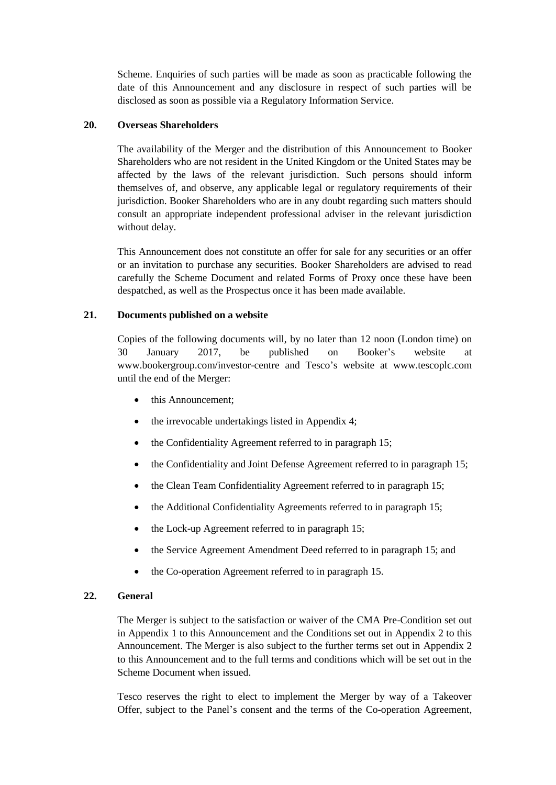Scheme. Enquiries of such parties will be made as soon as practicable following the date of this Announcement and any disclosure in respect of such parties will be disclosed as soon as possible via a Regulatory Information Service.

## **20. Overseas Shareholders**

The availability of the Merger and the distribution of this Announcement to Booker Shareholders who are not resident in the United Kingdom or the United States may be affected by the laws of the relevant jurisdiction. Such persons should inform themselves of, and observe, any applicable legal or regulatory requirements of their jurisdiction. Booker Shareholders who are in any doubt regarding such matters should consult an appropriate independent professional adviser in the relevant jurisdiction without delay.

This Announcement does not constitute an offer for sale for any securities or an offer or an invitation to purchase any securities. Booker Shareholders are advised to read carefully the Scheme Document and related Forms of Proxy once these have been despatched, as well as the Prospectus once it has been made available.

# **21. Documents published on a website**

Copies of the following documents will, by no later than 12 noon (London time) on 30 January 2017, be published on Booker's website at www.bookergroup.com/investor-centre and Tesco's website at www.tescoplc.com until the end of the Merger:

- this Announcement;
- the irrevocable undertakings listed i[n Appendix 4;](#page-57-0)
- the Confidentiality Agreement referred to in paragraph [15;](#page-27-0)
- the Confidentiality and Joint Defense Agreement referred to in paragraph [15;](#page-27-0)
- the Clean Team Confidentiality Agreement referred to in paragraph [15;](#page-27-0)
- the Additional Confidentiality Agreements referred to in paragraph [15;](#page-27-0)
- the Lock-up Agreement referred to in paragraph [15;](#page-27-0)
- the Service Agreement Amendment Deed referred to in paragraph [15;](#page-27-0) and
- the Co-operation Agreement referred to in paragraph [15.](#page-27-0)

# <span id="page-32-0"></span>**22. General**

The Merger is subject to the satisfaction or waiver of the CMA Pre-Condition set out in [Appendix 1](#page-42-0) to this Announcement and the Conditions set out in [Appendix 2](#page-43-0) to this Announcement. The Merger is also subject to the further terms set out in [Appendix 2](#page-43-0) to this Announcement and to the full terms and conditions which will be set out in the Scheme Document when issued.

Tesco reserves the right to elect to implement the Merger by way of a Takeover Offer, subject to the Panel's consent and the terms of the Co-operation Agreement,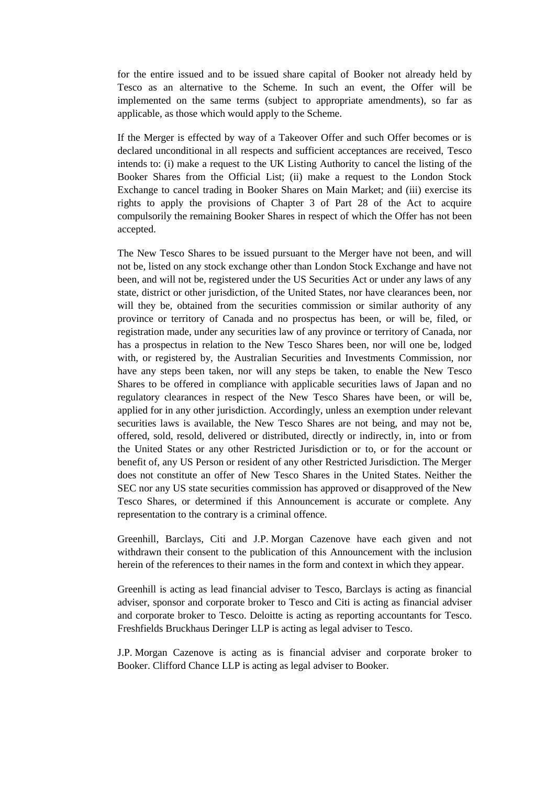for the entire issued and to be issued share capital of Booker not already held by Tesco as an alternative to the Scheme. In such an event, the Offer will be implemented on the same terms (subject to appropriate amendments), so far as applicable, as those which would apply to the Scheme.

If the Merger is effected by way of a Takeover Offer and such Offer becomes or is declared unconditional in all respects and sufficient acceptances are received, Tesco intends to: (i) make a request to the UK Listing Authority to cancel the listing of the Booker Shares from the Official List; (ii) make a request to the London Stock Exchange to cancel trading in Booker Shares on Main Market; and (iii) exercise its rights to apply the provisions of Chapter 3 of Part 28 of the Act to acquire compulsorily the remaining Booker Shares in respect of which the Offer has not been accepted.

The New Tesco Shares to be issued pursuant to the Merger have not been, and will not be, listed on any stock exchange other than London Stock Exchange and have not been, and will not be, registered under the US Securities Act or under any laws of any state, district or other jurisdiction, of the United States, nor have clearances been, nor will they be, obtained from the securities commission or similar authority of any province or territory of Canada and no prospectus has been, or will be, filed, or registration made, under any securities law of any province or territory of Canada, nor has a prospectus in relation to the New Tesco Shares been, nor will one be, lodged with, or registered by, the Australian Securities and Investments Commission, nor have any steps been taken, nor will any steps be taken, to enable the New Tesco Shares to be offered in compliance with applicable securities laws of Japan and no regulatory clearances in respect of the New Tesco Shares have been, or will be, applied for in any other jurisdiction. Accordingly, unless an exemption under relevant securities laws is available, the New Tesco Shares are not being, and may not be, offered, sold, resold, delivered or distributed, directly or indirectly, in, into or from the United States or any other Restricted Jurisdiction or to, or for the account or benefit of, any US Person or resident of any other Restricted Jurisdiction. The Merger does not constitute an offer of New Tesco Shares in the United States. Neither the SEC nor any US state securities commission has approved or disapproved of the New Tesco Shares, or determined if this Announcement is accurate or complete. Any representation to the contrary is a criminal offence.

Greenhill, Barclays, Citi and J.P. Morgan Cazenove have each given and not withdrawn their consent to the publication of this Announcement with the inclusion herein of the references to their names in the form and context in which they appear.

Greenhill is acting as lead financial adviser to Tesco, Barclays is acting as financial adviser, sponsor and corporate broker to Tesco and Citi is acting as financial adviser and corporate broker to Tesco. Deloitte is acting as reporting accountants for Tesco. Freshfields Bruckhaus Deringer LLP is acting as legal adviser to Tesco.

J.P. Morgan Cazenove is acting as is financial adviser and corporate broker to Booker. Clifford Chance LLP is acting as legal adviser to Booker.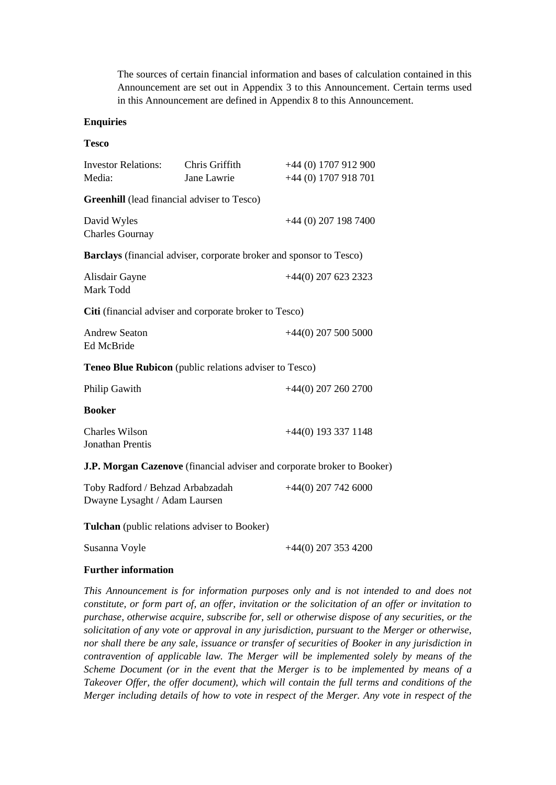The sources of certain financial information and bases of calculation contained in this Announcement are set out in [Appendix 3](#page-55-0) to this Announcement. Certain terms used in this Announcement are defined in [Appendix 8](#page-77-0) to this Announcement.

#### **Enquiries**

#### **Tesco**

| <b>Investor Relations:</b>                                        | Chris Griffith | +44 (0) 1707 912 900                                                    |
|-------------------------------------------------------------------|----------------|-------------------------------------------------------------------------|
| Media:                                                            | Jane Lawrie    | +44 (0) 1707 918 701                                                    |
| <b>Greenhill</b> (lead financial adviser to Tesco)                |                |                                                                         |
| David Wyles<br><b>Charles Gournay</b>                             |                | +44 (0) 207 198 7400                                                    |
|                                                                   |                | Barclays (financial adviser, corporate broker and sponsor to Tesco)     |
| Alisdair Gayne<br>Mark Todd                                       |                | $+44(0)$ 207 623 2323                                                   |
| Citi (financial adviser and corporate broker to Tesco)            |                |                                                                         |
| <b>Andrew Seaton</b><br>Ed McBride                                |                | $+44(0)$ 207 500 5000                                                   |
| Teneo Blue Rubicon (public relations adviser to Tesco)            |                |                                                                         |
| Philip Gawith                                                     |                | $+44(0)$ 207 260 2700                                                   |
| <b>Booker</b>                                                     |                |                                                                         |
| <b>Charles Wilson</b><br><b>Jonathan Prentis</b>                  |                | $+44(0)$ 193 337 1148                                                   |
|                                                                   |                | J.P. Morgan Cazenove (financial adviser and corporate broker to Booker) |
| Toby Radford / Behzad Arbabzadah<br>Dwayne Lysaght / Adam Laursen |                | $+44(0)$ 207 742 6000                                                   |

**Tulchan** (public relations adviser to Booker)

Susanna Voyle +44(0) 207 353 4200

#### **Further information**

*This Announcement is for information purposes only and is not intended to and does not constitute, or form part of, an offer, invitation or the solicitation of an offer or invitation to purchase, otherwise acquire, subscribe for, sell or otherwise dispose of any securities, or the solicitation of any vote or approval in any jurisdiction, pursuant to the Merger or otherwise, nor shall there be any sale, issuance or transfer of securities of Booker in any jurisdiction in contravention of applicable law. The Merger will be implemented solely by means of the Scheme Document (or in the event that the Merger is to be implemented by means of a Takeover Offer, the offer document), which will contain the full terms and conditions of the Merger including details of how to vote in respect of the Merger. Any vote in respect of the*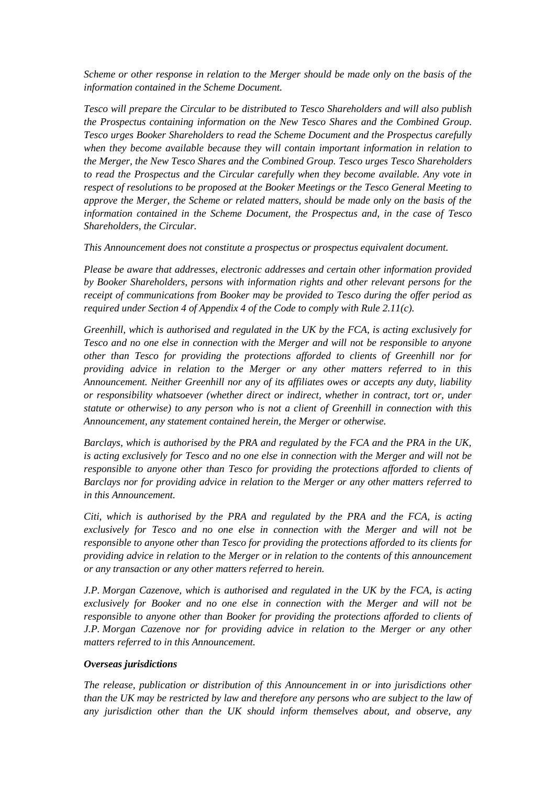*Scheme or other response in relation to the Merger should be made only on the basis of the information contained in the Scheme Document.*

*Tesco will prepare the Circular to be distributed to Tesco Shareholders and will also publish the Prospectus containing information on the New Tesco Shares and the Combined Group. Tesco urges Booker Shareholders to read the Scheme Document and the Prospectus carefully when they become available because they will contain important information in relation to the Merger, the New Tesco Shares and the Combined Group. Tesco urges Tesco Shareholders to read the Prospectus and the Circular carefully when they become available. Any vote in respect of resolutions to be proposed at the Booker Meetings or the Tesco General Meeting to approve the Merger, the Scheme or related matters, should be made only on the basis of the information contained in the Scheme Document, the Prospectus and, in the case of Tesco Shareholders, the Circular.*

*This Announcement does not constitute a prospectus or prospectus equivalent document.*

*Please be aware that addresses, electronic addresses and certain other information provided by Booker Shareholders, persons with information rights and other relevant persons for the receipt of communications from Booker may be provided to Tesco during the offer period as required under Section 4 of Appendix 4 of the Code to comply with Rule 2.11(c).*

*Greenhill, which is authorised and regulated in the UK by the FCA, is acting exclusively for Tesco and no one else in connection with the Merger and will not be responsible to anyone other than Tesco for providing the protections afforded to clients of Greenhill nor for providing advice in relation to the Merger or any other matters referred to in this Announcement. Neither Greenhill nor any of its affiliates owes or accepts any duty, liability or responsibility whatsoever (whether direct or indirect, whether in contract, tort or, under statute or otherwise) to any person who is not a client of Greenhill in connection with this Announcement, any statement contained herein, the Merger or otherwise.*

*Barclays, which is authorised by the PRA and regulated by the FCA and the PRA in the UK, is acting exclusively for Tesco and no one else in connection with the Merger and will not be responsible to anyone other than Tesco for providing the protections afforded to clients of Barclays nor for providing advice in relation to the Merger or any other matters referred to in this Announcement.*

*Citi, which is authorised by the PRA and regulated by the PRA and the FCA, is acting exclusively for Tesco and no one else in connection with the Merger and will not be responsible to anyone other than Tesco for providing the protections afforded to its clients for providing advice in relation to the Merger or in relation to the contents of this announcement or any transaction or any other matters referred to herein.*

*J.P. Morgan Cazenove, which is authorised and regulated in the UK by the FCA, is acting exclusively for Booker and no one else in connection with the Merger and will not be responsible to anyone other than Booker for providing the protections afforded to clients of J.P. Morgan Cazenove nor for providing advice in relation to the Merger or any other matters referred to in this Announcement.*

#### *Overseas jurisdictions*

*The release, publication or distribution of this Announcement in or into jurisdictions other than the UK may be restricted by law and therefore any persons who are subject to the law of any jurisdiction other than the UK should inform themselves about, and observe, any*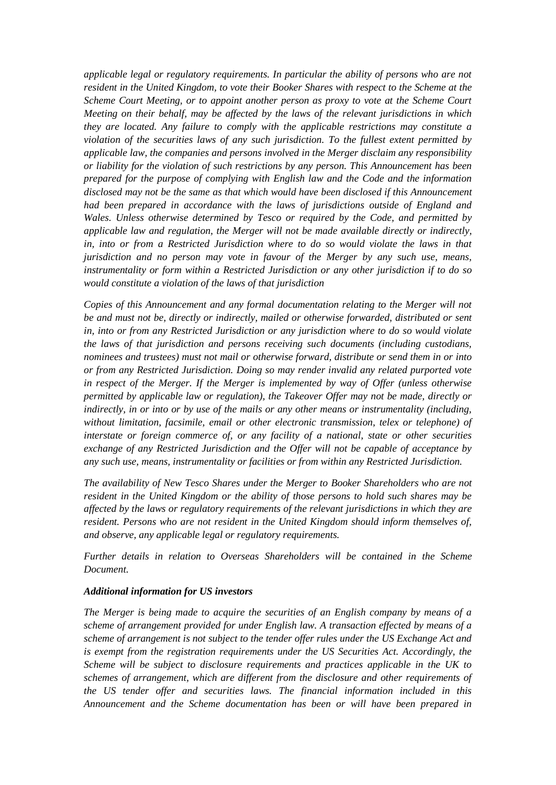*applicable legal or regulatory requirements. In particular the ability of persons who are not resident in the United Kingdom, to vote their Booker Shares with respect to the Scheme at the Scheme Court Meeting, or to appoint another person as proxy to vote at the Scheme Court Meeting on their behalf, may be affected by the laws of the relevant jurisdictions in which they are located. Any failure to comply with the applicable restrictions may constitute a violation of the securities laws of any such jurisdiction. To the fullest extent permitted by applicable law, the companies and persons involved in the Merger disclaim any responsibility or liability for the violation of such restrictions by any person. This Announcement has been prepared for the purpose of complying with English law and the Code and the information disclosed may not be the same as that which would have been disclosed if this Announcement had been prepared in accordance with the laws of jurisdictions outside of England and Wales. Unless otherwise determined by Tesco or required by the Code, and permitted by applicable law and regulation, the Merger will not be made available directly or indirectly, in, into or from a Restricted Jurisdiction where to do so would violate the laws in that jurisdiction and no person may vote in favour of the Merger by any such use, means, instrumentality or form within a Restricted Jurisdiction or any other jurisdiction if to do so would constitute a violation of the laws of that jurisdiction*

*Copies of this Announcement and any formal documentation relating to the Merger will not be and must not be, directly or indirectly, mailed or otherwise forwarded, distributed or sent in, into or from any Restricted Jurisdiction or any jurisdiction where to do so would violate the laws of that jurisdiction and persons receiving such documents (including custodians, nominees and trustees) must not mail or otherwise forward, distribute or send them in or into or from any Restricted Jurisdiction. Doing so may render invalid any related purported vote in respect of the Merger. If the Merger is implemented by way of Offer (unless otherwise permitted by applicable law or regulation), the Takeover Offer may not be made, directly or indirectly, in or into or by use of the mails or any other means or instrumentality (including, without limitation, facsimile, email or other electronic transmission, telex or telephone) of interstate or foreign commerce of, or any facility of a national, state or other securities exchange of any Restricted Jurisdiction and the Offer will not be capable of acceptance by any such use, means, instrumentality or facilities or from within any Restricted Jurisdiction.*

*The availability of New Tesco Shares under the Merger to Booker Shareholders who are not resident in the United Kingdom or the ability of those persons to hold such shares may be affected by the laws or regulatory requirements of the relevant jurisdictions in which they are resident. Persons who are not resident in the United Kingdom should inform themselves of, and observe, any applicable legal or regulatory requirements.*

*Further details in relation to Overseas Shareholders will be contained in the Scheme Document.*

#### *Additional information for US investors*

*The Merger is being made to acquire the securities of an English company by means of a scheme of arrangement provided for under English law. A transaction effected by means of a scheme of arrangement is not subject to the tender offer rules under the US Exchange Act and is exempt from the registration requirements under the US Securities Act. Accordingly, the Scheme will be subject to disclosure requirements and practices applicable in the UK to schemes of arrangement, which are different from the disclosure and other requirements of the US tender offer and securities laws. The financial information included in this Announcement and the Scheme documentation has been or will have been prepared in*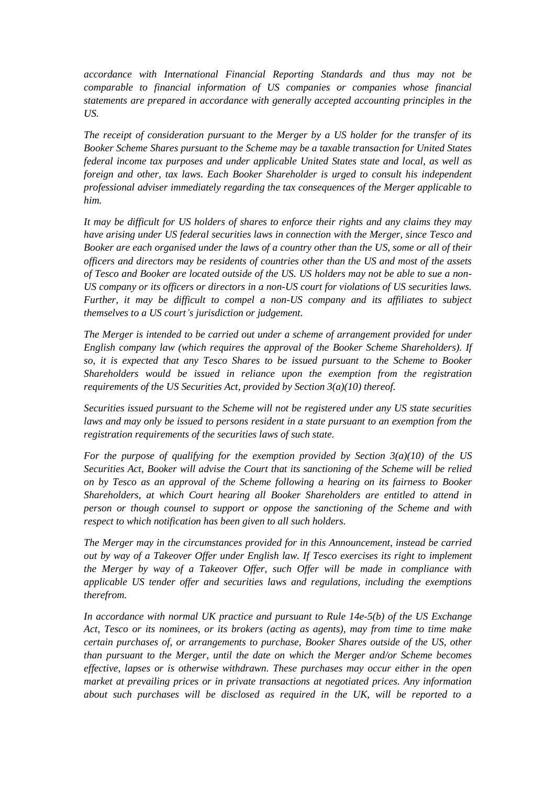*accordance with International Financial Reporting Standards and thus may not be comparable to financial information of US companies or companies whose financial statements are prepared in accordance with generally accepted accounting principles in the US.*

*The receipt of consideration pursuant to the Merger by a US holder for the transfer of its Booker Scheme Shares pursuant to the Scheme may be a taxable transaction for United States federal income tax purposes and under applicable United States state and local, as well as foreign and other, tax laws. Each Booker Shareholder is urged to consult his independent professional adviser immediately regarding the tax consequences of the Merger applicable to him.*

*It may be difficult for US holders of shares to enforce their rights and any claims they may have arising under US federal securities laws in connection with the Merger, since Tesco and Booker are each organised under the laws of a country other than the US, some or all of their officers and directors may be residents of countries other than the US and most of the assets of Tesco and Booker are located outside of the US. US holders may not be able to sue a non-US company or its officers or directors in a non-US court for violations of US securities laws. Further, it may be difficult to compel a non-US company and its affiliates to subject themselves to a US court's jurisdiction or judgement.*

*The Merger is intended to be carried out under a scheme of arrangement provided for under English company law (which requires the approval of the Booker Scheme Shareholders). If so, it is expected that any Tesco Shares to be issued pursuant to the Scheme to Booker Shareholders would be issued in reliance upon the exemption from the registration requirements of the US Securities Act, provided by Section 3(a)(10) thereof.*

*Securities issued pursuant to the Scheme will not be registered under any US state securities laws and may only be issued to persons resident in a state pursuant to an exemption from the registration requirements of the securities laws of such state.*

*For the purpose of qualifying for the exemption provided by Section 3(a)(10) of the US Securities Act, Booker will advise the Court that its sanctioning of the Scheme will be relied on by Tesco as an approval of the Scheme following a hearing on its fairness to Booker Shareholders, at which Court hearing all Booker Shareholders are entitled to attend in person or though counsel to support or oppose the sanctioning of the Scheme and with respect to which notification has been given to all such holders.*

*The Merger may in the circumstances provided for in this Announcement, instead be carried out by way of a Takeover Offer under English law. If Tesco exercises its right to implement the Merger by way of a Takeover Offer, such Offer will be made in compliance with applicable US tender offer and securities laws and regulations, including the exemptions therefrom.*

*In accordance with normal UK practice and pursuant to Rule 14e-5(b) of the US Exchange Act, Tesco or its nominees, or its brokers (acting as agents), may from time to time make certain purchases of, or arrangements to purchase, Booker Shares outside of the US, other than pursuant to the Merger, until the date on which the Merger and/or Scheme becomes effective, lapses or is otherwise withdrawn. These purchases may occur either in the open market at prevailing prices or in private transactions at negotiated prices. Any information about such purchases will be disclosed as required in the UK, will be reported to a*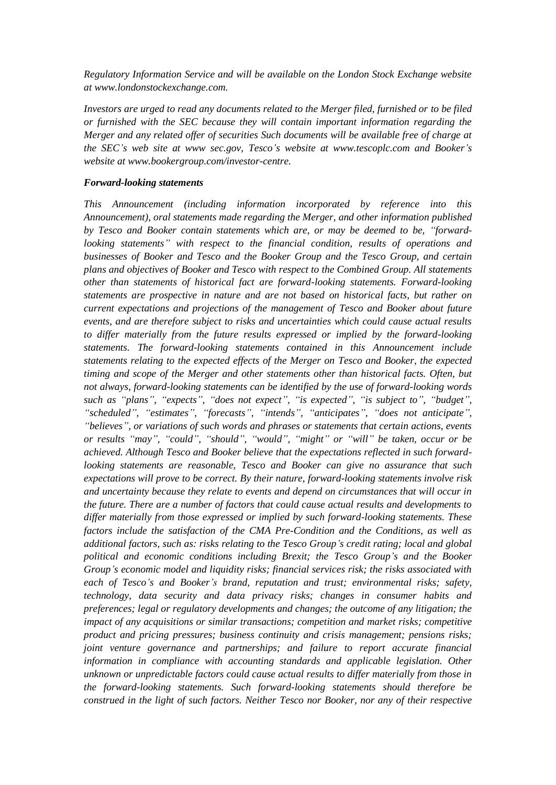*Regulatory Information Service and will be available on the London Stock Exchange website at www.londonstockexchange.com.*

*Investors are urged to read any documents related to the Merger filed, furnished or to be filed or furnished with the SEC because they will contain important information regarding the Merger and any related offer of securities Such documents will be available free of charge at the SEC's web site at www sec.gov, Tesco's website at www.tescoplc.com and Booker's website at www.bookergroup.com/investor-centre.*

#### *Forward-looking statements*

*This Announcement (including information incorporated by reference into this Announcement), oral statements made regarding the Merger, and other information published by Tesco and Booker contain statements which are, or may be deemed to be, "forwardlooking statements" with respect to the financial condition, results of operations and businesses of Booker and Tesco and the Booker Group and the Tesco Group, and certain plans and objectives of Booker and Tesco with respect to the Combined Group. All statements other than statements of historical fact are forward-looking statements. Forward-looking statements are prospective in nature and are not based on historical facts, but rather on current expectations and projections of the management of Tesco and Booker about future events, and are therefore subject to risks and uncertainties which could cause actual results to differ materially from the future results expressed or implied by the forward-looking statements. The forward-looking statements contained in this Announcement include statements relating to the expected effects of the Merger on Tesco and Booker, the expected timing and scope of the Merger and other statements other than historical facts. Often, but not always, forward-looking statements can be identified by the use of forward-looking words such as "plans", "expects", "does not expect", "is expected", "is subject to", "budget", "scheduled", "estimates", "forecasts", "intends", "anticipates", "does not anticipate", "believes", or variations of such words and phrases or statements that certain actions, events or results "may", "could", "should", "would", "might" or "will" be taken, occur or be achieved. Although Tesco and Booker believe that the expectations reflected in such forwardlooking statements are reasonable, Tesco and Booker can give no assurance that such expectations will prove to be correct. By their nature, forward-looking statements involve risk and uncertainty because they relate to events and depend on circumstances that will occur in the future. There are a number of factors that could cause actual results and developments to differ materially from those expressed or implied by such forward-looking statements. These factors include the satisfaction of the CMA Pre-Condition and the Conditions, as well as additional factors, such as: risks relating to the Tesco Group's credit rating; local and global political and economic conditions including Brexit; the Tesco Group's and the Booker Group's economic model and liquidity risks; financial services risk; the risks associated with each of Tesco's and Booker's brand, reputation and trust; environmental risks; safety, technology, data security and data privacy risks; changes in consumer habits and preferences; legal or regulatory developments and changes; the outcome of any litigation; the impact of any acquisitions or similar transactions; competition and market risks; competitive product and pricing pressures; business continuity and crisis management; pensions risks; joint venture governance and partnerships; and failure to report accurate financial information in compliance with accounting standards and applicable legislation. Other unknown or unpredictable factors could cause actual results to differ materially from those in the forward-looking statements. Such forward-looking statements should therefore be construed in the light of such factors. Neither Tesco nor Booker, nor any of their respective*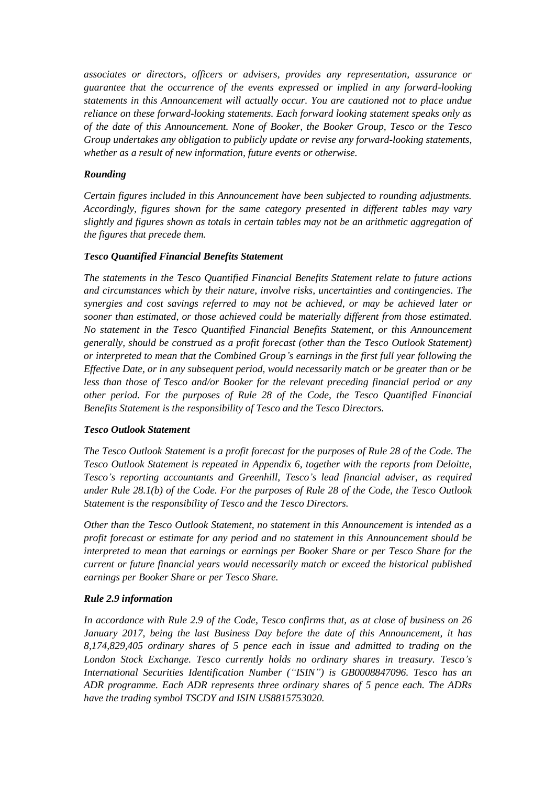*associates or directors, officers or advisers, provides any representation, assurance or guarantee that the occurrence of the events expressed or implied in any forward-looking statements in this Announcement will actually occur. You are cautioned not to place undue reliance on these forward-looking statements. Each forward looking statement speaks only as of the date of this Announcement. None of Booker, the Booker Group, Tesco or the Tesco Group undertakes any obligation to publicly update or revise any forward-looking statements, whether as a result of new information, future events or otherwise.*

## *Rounding*

*Certain figures included in this Announcement have been subjected to rounding adjustments. Accordingly, figures shown for the same category presented in different tables may vary slightly and figures shown as totals in certain tables may not be an arithmetic aggregation of the figures that precede them.*

### *Tesco Quantified Financial Benefits Statement*

*The statements in the Tesco Quantified Financial Benefits Statement relate to future actions and circumstances which by their nature, involve risks, uncertainties and contingencies. The synergies and cost savings referred to may not be achieved, or may be achieved later or sooner than estimated, or those achieved could be materially different from those estimated. No statement in the Tesco Quantified Financial Benefits Statement, or this Announcement generally, should be construed as a profit forecast (other than the Tesco Outlook Statement) or interpreted to mean that the Combined Group's earnings in the first full year following the Effective Date, or in any subsequent period, would necessarily match or be greater than or be less than those of Tesco and/or Booker for the relevant preceding financial period or any other period. For the purposes of Rule 28 of the Code, the Tesco Quantified Financial Benefits Statement is the responsibility of Tesco and the Tesco Directors.*

### *Tesco Outlook Statement*

*The Tesco Outlook Statement is a profit forecast for the purposes of Rule 28 of the Code. The Tesco Outlook Statement is repeated in [Appendix 6,](#page-67-0) together with the reports from Deloitte, Tesco's reporting accountants and Greenhill, Tesco's lead financial adviser, as required under Rule 28.1(b) of the Code. For the purposes of Rule 28 of the Code, the Tesco Outlook Statement is the responsibility of Tesco and the Tesco Directors.*

*Other than the Tesco Outlook Statement, no statement in this Announcement is intended as a profit forecast or estimate for any period and no statement in this Announcement should be interpreted to mean that earnings or earnings per Booker Share or per Tesco Share for the current or future financial years would necessarily match or exceed the historical published earnings per Booker Share or per Tesco Share.*

## *Rule 2.9 information*

*In accordance with Rule 2.9 of the Code, Tesco confirms that, as at close of business on 26 January 2017, being the last Business Day before the date of this Announcement, it has 8,174,829,405 ordinary shares of 5 pence each in issue and admitted to trading on the London Stock Exchange. Tesco currently holds no ordinary shares in treasury. Tesco's International Securities Identification Number ("ISIN") is GB0008847096. Tesco has an ADR programme. Each ADR represents three ordinary shares of 5 pence each. The ADRs have the trading symbol TSCDY and ISIN US8815753020.*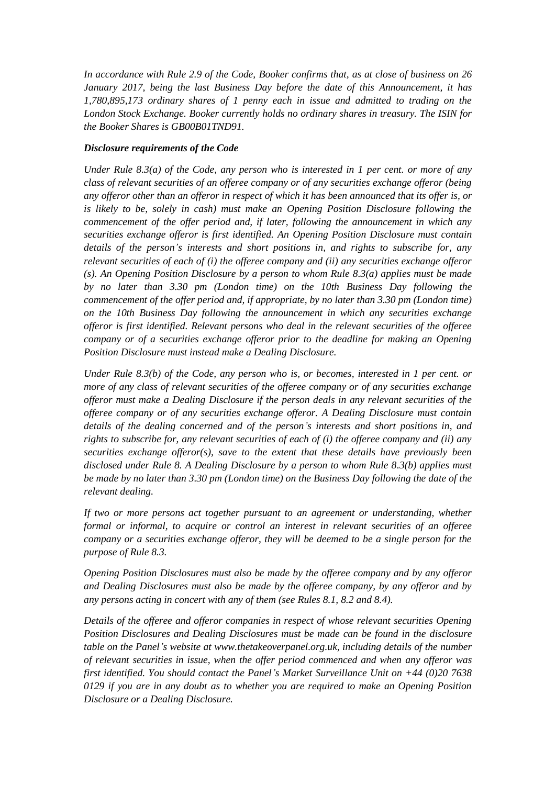*In accordance with Rule 2.9 of the Code, Booker confirms that, as at close of business on 26 January 2017, being the last Business Day before the date of this Announcement, it has 1,780,895,173 ordinary shares of 1 penny each in issue and admitted to trading on the London Stock Exchange. Booker currently holds no ordinary shares in treasury. The ISIN for the Booker Shares is GB00B01TND91.*

### *Disclosure requirements of the Code*

*Under Rule 8.3(a) of the Code, any person who is interested in 1 per cent. or more of any class of relevant securities of an offeree company or of any securities exchange offeror (being any offeror other than an offeror in respect of which it has been announced that its offer is, or is likely to be, solely in cash) must make an Opening Position Disclosure following the commencement of the offer period and, if later, following the announcement in which any securities exchange offeror is first identified. An Opening Position Disclosure must contain details of the person's interests and short positions in, and rights to subscribe for, any relevant securities of each of (i) the offeree company and (ii) any securities exchange offeror (s). An Opening Position Disclosure by a person to whom Rule 8.3(a) applies must be made by no later than 3.30 pm (London time) on the 10th Business Day following the commencement of the offer period and, if appropriate, by no later than 3.30 pm (London time) on the 10th Business Day following the announcement in which any securities exchange offeror is first identified. Relevant persons who deal in the relevant securities of the offeree company or of a securities exchange offeror prior to the deadline for making an Opening Position Disclosure must instead make a Dealing Disclosure.*

*Under Rule 8.3(b) of the Code, any person who is, or becomes, interested in 1 per cent. or more of any class of relevant securities of the offeree company or of any securities exchange offeror must make a Dealing Disclosure if the person deals in any relevant securities of the offeree company or of any securities exchange offeror. A Dealing Disclosure must contain details of the dealing concerned and of the person's interests and short positions in, and rights to subscribe for, any relevant securities of each of (i) the offeree company and (ii) any securities exchange offeror(s), save to the extent that these details have previously been disclosed under Rule 8. A Dealing Disclosure by a person to whom Rule 8.3(b) applies must be made by no later than 3.30 pm (London time) on the Business Day following the date of the relevant dealing.*

*If two or more persons act together pursuant to an agreement or understanding, whether formal or informal, to acquire or control an interest in relevant securities of an offeree company or a securities exchange offeror, they will be deemed to be a single person for the purpose of Rule 8.3.*

*Opening Position Disclosures must also be made by the offeree company and by any offeror and Dealing Disclosures must also be made by the offeree company, by any offeror and by any persons acting in concert with any of them (see Rules 8.1, 8.2 and 8.4).*

*Details of the offeree and offeror companies in respect of whose relevant securities Opening Position Disclosures and Dealing Disclosures must be made can be found in the disclosure table on the Panel's website at www.thetakeoverpanel.org.uk, including details of the number of relevant securities in issue, when the offer period commenced and when any offeror was first identified. You should contact the Panel's Market Surveillance Unit on +44 (0)20 7638 0129 if you are in any doubt as to whether you are required to make an Opening Position Disclosure or a Dealing Disclosure.*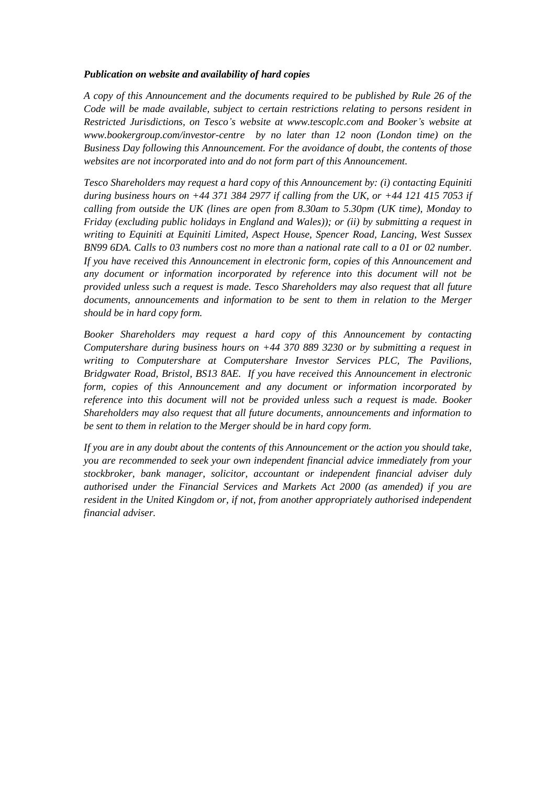## *Publication on website and availability of hard copies*

*A copy of this Announcement and the documents required to be published by Rule 26 of the Code will be made available, subject to certain restrictions relating to persons resident in Restricted Jurisdictions, on Tesco's website at www.tescoplc.com and Booker's website at www.bookergroup.com/investor-centre by no later than 12 noon (London time) on the Business Day following this Announcement. For the avoidance of doubt, the contents of those websites are not incorporated into and do not form part of this Announcement.*

*Tesco Shareholders may request a hard copy of this Announcement by: (i) contacting Equiniti during business hours on +44 371 384 2977 if calling from the UK, or +44 121 415 7053 if calling from outside the UK (lines are open from 8.30am to 5.30pm (UK time), Monday to Friday (excluding public holidays in England and Wales)); or (ii) by submitting a request in writing to Equiniti at Equiniti Limited, Aspect House, Spencer Road, Lancing, West Sussex BN99 6DA. Calls to 03 numbers cost no more than a national rate call to a 01 or 02 number. If you have received this Announcement in electronic form, copies of this Announcement and any document or information incorporated by reference into this document will not be provided unless such a request is made. Tesco Shareholders may also request that all future documents, announcements and information to be sent to them in relation to the Merger should be in hard copy form.*

*Booker Shareholders may request a hard copy of this Announcement by contacting Computershare during business hours on +44 370 889 3230 or by submitting a request in writing to Computershare at Computershare Investor Services PLC, The Pavilions, Bridgwater Road, Bristol, BS13 8AE. If you have received this Announcement in electronic form, copies of this Announcement and any document or information incorporated by reference into this document will not be provided unless such a request is made. Booker Shareholders may also request that all future documents, announcements and information to be sent to them in relation to the Merger should be in hard copy form.*

*If you are in any doubt about the contents of this Announcement or the action you should take, you are recommended to seek your own independent financial advice immediately from your stockbroker, bank manager, solicitor, accountant or independent financial adviser duly authorised under the Financial Services and Markets Act 2000 (as amended) if you are resident in the United Kingdom or, if not, from another appropriately authorised independent financial adviser.*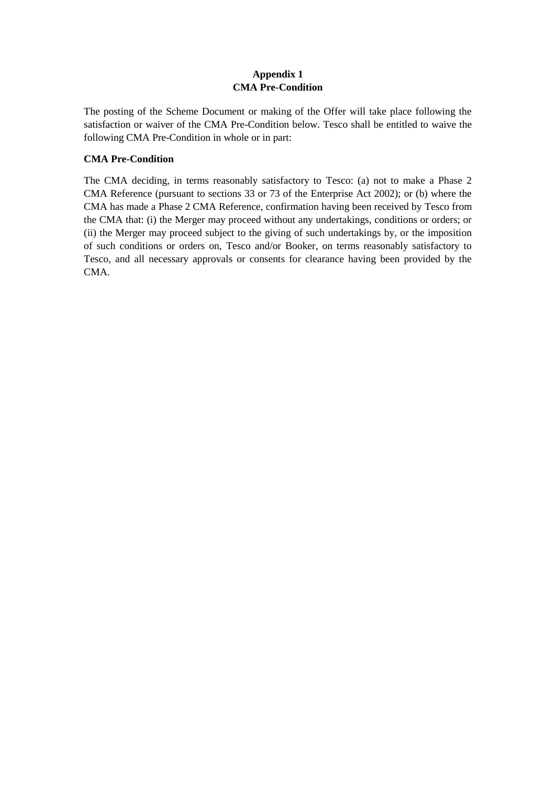# **Appendix 1 CMA Pre-Condition**

<span id="page-42-0"></span>The posting of the Scheme Document or making of the Offer will take place following the satisfaction or waiver of the CMA Pre-Condition below. Tesco shall be entitled to waive the following CMA Pre-Condition in whole or in part:

# **CMA Pre-Condition**

The CMA deciding, in terms reasonably satisfactory to Tesco: (a) not to make a Phase 2 CMA Reference (pursuant to sections 33 or 73 of the Enterprise Act 2002); or (b) where the CMA has made a Phase 2 CMA Reference, confirmation having been received by Tesco from the CMA that: (i) the Merger may proceed without any undertakings, conditions or orders; or (ii) the Merger may proceed subject to the giving of such undertakings by, or the imposition of such conditions or orders on, Tesco and/or Booker, on terms reasonably satisfactory to Tesco, and all necessary approvals or consents for clearance having been provided by the CMA.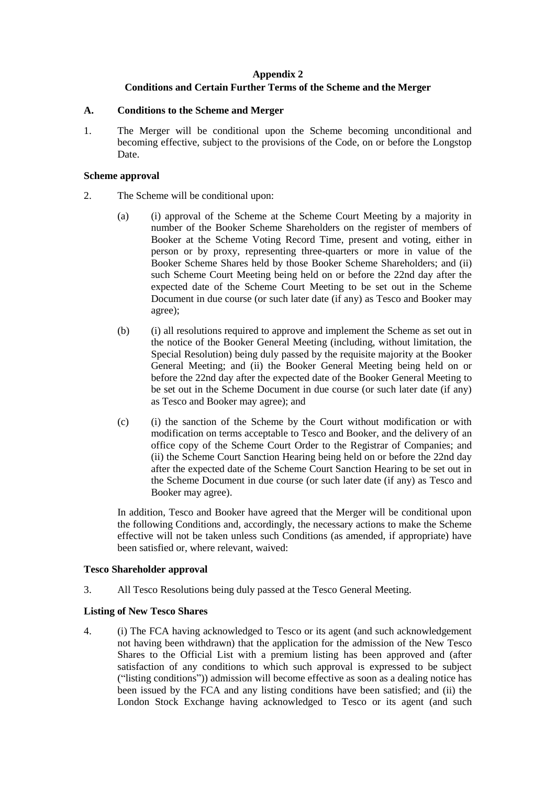# **Appendix 2 Conditions and Certain Further Terms of the Scheme and the Merger**

#### <span id="page-43-1"></span><span id="page-43-0"></span>**A. Conditions to the Scheme and Merger**

1. The Merger will be conditional upon the Scheme becoming unconditional and becoming effective, subject to the provisions of the Code, on or before the Longstop Date.

#### **Scheme approval**

- 2. The Scheme will be conditional upon:
	- (a) (i) approval of the Scheme at the Scheme Court Meeting by a majority in number of the Booker Scheme Shareholders on the register of members of Booker at the Scheme Voting Record Time, present and voting, either in person or by proxy, representing three-quarters or more in value of the Booker Scheme Shares held by those Booker Scheme Shareholders; and (ii) such Scheme Court Meeting being held on or before the 22nd day after the expected date of the Scheme Court Meeting to be set out in the Scheme Document in due course (or such later date (if any) as Tesco and Booker may agree);
	- (b) (i) all resolutions required to approve and implement the Scheme as set out in the notice of the Booker General Meeting (including, without limitation, the Special Resolution) being duly passed by the requisite majority at the Booker General Meeting; and (ii) the Booker General Meeting being held on or before the 22nd day after the expected date of the Booker General Meeting to be set out in the Scheme Document in due course (or such later date (if any) as Tesco and Booker may agree); and
	- (c) (i) the sanction of the Scheme by the Court without modification or with modification on terms acceptable to Tesco and Booker, and the delivery of an office copy of the Scheme Court Order to the Registrar of Companies; and (ii) the Scheme Court Sanction Hearing being held on or before the 22nd day after the expected date of the Scheme Court Sanction Hearing to be set out in the Scheme Document in due course (or such later date (if any) as Tesco and Booker may agree).

In addition, Tesco and Booker have agreed that the Merger will be conditional upon the following Conditions and, accordingly, the necessary actions to make the Scheme effective will not be taken unless such Conditions (as amended, if appropriate) have been satisfied or, where relevant, waived:

### **Tesco Shareholder approval**

3. All Tesco Resolutions being duly passed at the Tesco General Meeting.

### **Listing of New Tesco Shares**

4. (i) The FCA having acknowledged to Tesco or its agent (and such acknowledgement not having been withdrawn) that the application for the admission of the New Tesco Shares to the Official List with a premium listing has been approved and (after satisfaction of any conditions to which such approval is expressed to be subject ("listing conditions")) admission will become effective as soon as a dealing notice has been issued by the FCA and any listing conditions have been satisfied; and (ii) the London Stock Exchange having acknowledged to Tesco or its agent (and such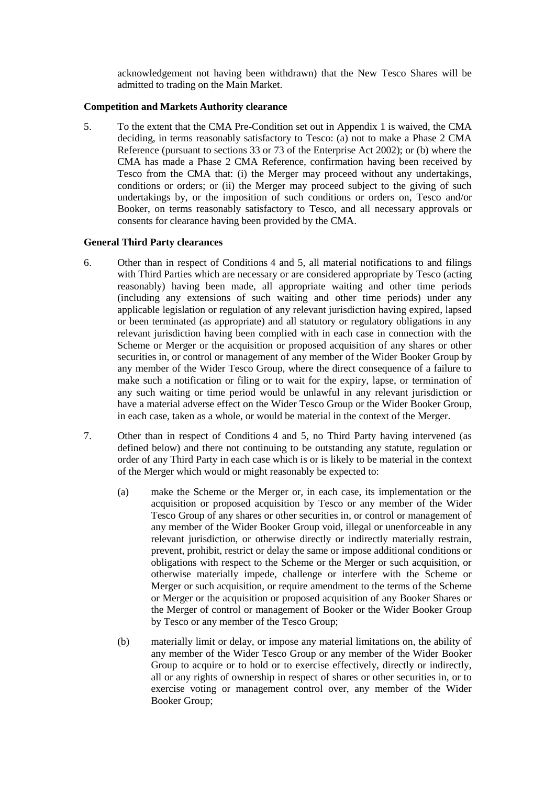acknowledgement not having been withdrawn) that the New Tesco Shares will be admitted to trading on the Main Market.

### **Competition and Markets Authority clearance**

5. To the extent that the CMA Pre-Condition set out in [Appendix 1](#page-42-0) is waived, the CMA deciding, in terms reasonably satisfactory to Tesco: (a) not to make a Phase 2 CMA Reference (pursuant to sections 33 or 73 of the Enterprise Act 2002); or (b) where the CMA has made a Phase 2 CMA Reference, confirmation having been received by Tesco from the CMA that: (i) the Merger may proceed without any undertakings, conditions or orders; or (ii) the Merger may proceed subject to the giving of such undertakings by, or the imposition of such conditions or orders on, Tesco and/or Booker, on terms reasonably satisfactory to Tesco, and all necessary approvals or consents for clearance having been provided by the CMA.

#### **General Third Party clearances**

- 6. Other than in respect of Conditions 4 and 5, all material notifications to and filings with Third Parties which are necessary or are considered appropriate by Tesco (acting reasonably) having been made, all appropriate waiting and other time periods (including any extensions of such waiting and other time periods) under any applicable legislation or regulation of any relevant jurisdiction having expired, lapsed or been terminated (as appropriate) and all statutory or regulatory obligations in any relevant jurisdiction having been complied with in each case in connection with the Scheme or Merger or the acquisition or proposed acquisition of any shares or other securities in, or control or management of any member of the Wider Booker Group by any member of the Wider Tesco Group, where the direct consequence of a failure to make such a notification or filing or to wait for the expiry, lapse, or termination of any such waiting or time period would be unlawful in any relevant jurisdiction or have a material adverse effect on the Wider Tesco Group or the Wider Booker Group, in each case, taken as a whole, or would be material in the context of the Merger.
- 7. Other than in respect of Conditions 4 and 5, no Third Party having intervened (as defined below) and there not continuing to be outstanding any statute, regulation or order of any Third Party in each case which is or is likely to be material in the context of the Merger which would or might reasonably be expected to:
	- (a) make the Scheme or the Merger or, in each case, its implementation or the acquisition or proposed acquisition by Tesco or any member of the Wider Tesco Group of any shares or other securities in, or control or management of any member of the Wider Booker Group void, illegal or unenforceable in any relevant jurisdiction, or otherwise directly or indirectly materially restrain, prevent, prohibit, restrict or delay the same or impose additional conditions or obligations with respect to the Scheme or the Merger or such acquisition, or otherwise materially impede, challenge or interfere with the Scheme or Merger or such acquisition, or require amendment to the terms of the Scheme or Merger or the acquisition or proposed acquisition of any Booker Shares or the Merger of control or management of Booker or the Wider Booker Group by Tesco or any member of the Tesco Group;
	- (b) materially limit or delay, or impose any material limitations on, the ability of any member of the Wider Tesco Group or any member of the Wider Booker Group to acquire or to hold or to exercise effectively, directly or indirectly, all or any rights of ownership in respect of shares or other securities in, or to exercise voting or management control over, any member of the Wider Booker Group;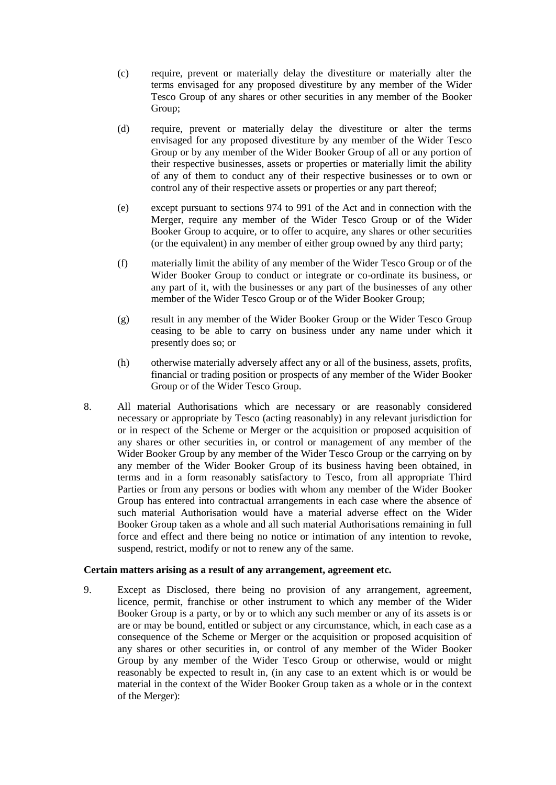- (c) require, prevent or materially delay the divestiture or materially alter the terms envisaged for any proposed divestiture by any member of the Wider Tesco Group of any shares or other securities in any member of the Booker Group;
- (d) require, prevent or materially delay the divestiture or alter the terms envisaged for any proposed divestiture by any member of the Wider Tesco Group or by any member of the Wider Booker Group of all or any portion of their respective businesses, assets or properties or materially limit the ability of any of them to conduct any of their respective businesses or to own or control any of their respective assets or properties or any part thereof;
- (e) except pursuant to sections 974 to 991 of the Act and in connection with the Merger, require any member of the Wider Tesco Group or of the Wider Booker Group to acquire, or to offer to acquire, any shares or other securities (or the equivalent) in any member of either group owned by any third party;
- (f) materially limit the ability of any member of the Wider Tesco Group or of the Wider Booker Group to conduct or integrate or co-ordinate its business, or any part of it, with the businesses or any part of the businesses of any other member of the Wider Tesco Group or of the Wider Booker Group;
- (g) result in any member of the Wider Booker Group or the Wider Tesco Group ceasing to be able to carry on business under any name under which it presently does so; or
- (h) otherwise materially adversely affect any or all of the business, assets, profits, financial or trading position or prospects of any member of the Wider Booker Group or of the Wider Tesco Group.
- 8. All material Authorisations which are necessary or are reasonably considered necessary or appropriate by Tesco (acting reasonably) in any relevant jurisdiction for or in respect of the Scheme or Merger or the acquisition or proposed acquisition of any shares or other securities in, or control or management of any member of the Wider Booker Group by any member of the Wider Tesco Group or the carrying on by any member of the Wider Booker Group of its business having been obtained, in terms and in a form reasonably satisfactory to Tesco, from all appropriate Third Parties or from any persons or bodies with whom any member of the Wider Booker Group has entered into contractual arrangements in each case where the absence of such material Authorisation would have a material adverse effect on the Wider Booker Group taken as a whole and all such material Authorisations remaining in full force and effect and there being no notice or intimation of any intention to revoke, suspend, restrict, modify or not to renew any of the same.

### **Certain matters arising as a result of any arrangement, agreement etc.**

<span id="page-45-0"></span>9. Except as Disclosed, there being no provision of any arrangement, agreement, licence, permit, franchise or other instrument to which any member of the Wider Booker Group is a party, or by or to which any such member or any of its assets is or are or may be bound, entitled or subject or any circumstance, which, in each case as a consequence of the Scheme or Merger or the acquisition or proposed acquisition of any shares or other securities in, or control of any member of the Wider Booker Group by any member of the Wider Tesco Group or otherwise, would or might reasonably be expected to result in, (in any case to an extent which is or would be material in the context of the Wider Booker Group taken as a whole or in the context of the Merger):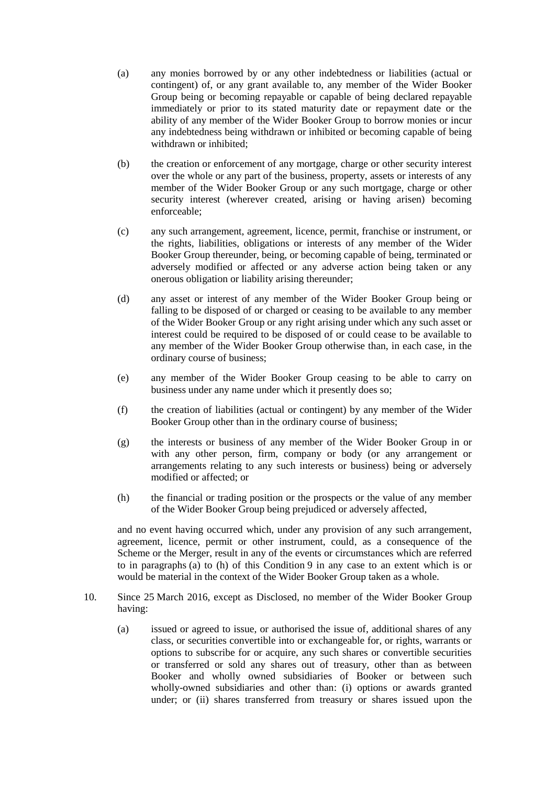- <span id="page-46-0"></span>(a) any monies borrowed by or any other indebtedness or liabilities (actual or contingent) of, or any grant available to, any member of the Wider Booker Group being or becoming repayable or capable of being declared repayable immediately or prior to its stated maturity date or repayment date or the ability of any member of the Wider Booker Group to borrow monies or incur any indebtedness being withdrawn or inhibited or becoming capable of being withdrawn or inhibited;
- (b) the creation or enforcement of any mortgage, charge or other security interest over the whole or any part of the business, property, assets or interests of any member of the Wider Booker Group or any such mortgage, charge or other security interest (wherever created, arising or having arisen) becoming enforceable;
- (c) any such arrangement, agreement, licence, permit, franchise or instrument, or the rights, liabilities, obligations or interests of any member of the Wider Booker Group thereunder, being, or becoming capable of being, terminated or adversely modified or affected or any adverse action being taken or any onerous obligation or liability arising thereunder;
- (d) any asset or interest of any member of the Wider Booker Group being or falling to be disposed of or charged or ceasing to be available to any member of the Wider Booker Group or any right arising under which any such asset or interest could be required to be disposed of or could cease to be available to any member of the Wider Booker Group otherwise than, in each case, in the ordinary course of business;
- (e) any member of the Wider Booker Group ceasing to be able to carry on business under any name under which it presently does so;
- (f) the creation of liabilities (actual or contingent) by any member of the Wider Booker Group other than in the ordinary course of business;
- (g) the interests or business of any member of the Wider Booker Group in or with any other person, firm, company or body (or any arrangement or arrangements relating to any such interests or business) being or adversely modified or affected; or
- <span id="page-46-1"></span>(h) the financial or trading position or the prospects or the value of any member of the Wider Booker Group being prejudiced or adversely affected,

and no event having occurred which, under any provision of any such arrangement, agreement, licence, permit or other instrument, could, as a consequence of the Scheme or the Merger, result in any of the events or circumstances which are referred to in paragraphs [\(a\)](#page-46-0) to [\(h\)](#page-46-1) of this Condition [9](#page-45-0) in any case to an extent which is or would be material in the context of the Wider Booker Group taken as a whole.

- <span id="page-46-2"></span>10. Since 25 March 2016, except as Disclosed, no member of the Wider Booker Group having:
	- (a) issued or agreed to issue, or authorised the issue of, additional shares of any class, or securities convertible into or exchangeable for, or rights, warrants or options to subscribe for or acquire, any such shares or convertible securities or transferred or sold any shares out of treasury, other than as between Booker and wholly owned subsidiaries of Booker or between such wholly-owned subsidiaries and other than: (i) options or awards granted under; or (ii) shares transferred from treasury or shares issued upon the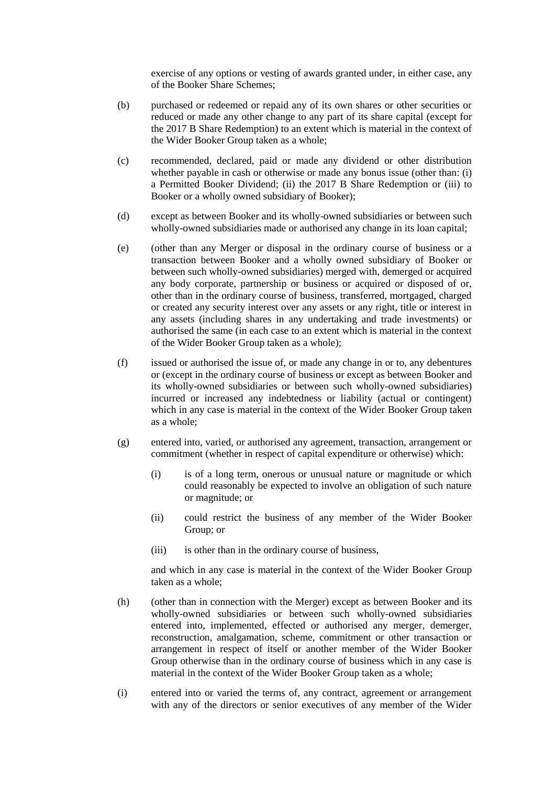exercise of any options or vesting of awards granted under, in either case, any of the Booker Share Schemes;

- (b) purchased or redeemed or repaid any of its own shares or other securities or reduced or made any other change to any part of its share capital (except for the 2017 B Share Redemption) to an extent which is material in the context of the Wider Booker Group taken as a whole;
- (c) recommended, declared, paid or made any dividend or other distribution whether payable in cash or otherwise or made any bonus issue (other than: (i) a Permitted Booker Dividend; (ii) the 2017 B Share Redemption or (iii) to Booker or a wholly owned subsidiary of Booker);
- (d) except as between Booker and its wholly-owned subsidiaries or between such wholly-owned subsidiaries made or authorised any change in its loan capital;
- (e) (other than any Merger or disposal in the ordinary course of business or a transaction between Booker and a wholly owned subsidiary of Booker or between such wholly-owned subsidiaries) merged with, demerged or acquired any body corporate, partnership or business or acquired or disposed of or, other than in the ordinary course of business, transferred, mortgaged, charged or created any security interest over any assets or any right, title or interest in any assets (including shares in any undertaking and trade investments) or authorised the same (in each case to an extent which is material in the context of the Wider Booker Group taken as a whole);
- (f) issued or authorised the issue of, or made any change in or to, any debentures or (except in the ordinary course of business or except as between Booker and its wholly-owned subsidiaries or between such wholly-owned subsidiaries) incurred or increased any indebtedness or liability (actual or contingent) which in any case is material in the context of the Wider Booker Group taken as a whole;
- (g) entered into, varied, or authorised any agreement, transaction, arrangement or commitment (whether in respect of capital expenditure or otherwise) which:
	- (i) is of a long term, onerous or unusual nature or magnitude or which could reasonably be expected to involve an obligation of such nature or magnitude; or
	- (ii) could restrict the business of any member of the Wider Booker Group; or
	- (iii) is other than in the ordinary course of business,

and which in any case is material in the context of the Wider Booker Group taken as a whole;

- (h) (other than in connection with the Merger) except as between Booker and its wholly-owned subsidiaries or between such wholly-owned subsidiaries entered into, implemented, effected or authorised any merger, demerger, reconstruction, amalgamation, scheme, commitment or other transaction or arrangement in respect of itself or another member of the Wider Booker Group otherwise than in the ordinary course of business which in any case is material in the context of the Wider Booker Group taken as a whole;
- (i) entered into or varied the terms of, any contract, agreement or arrangement with any of the directors or senior executives of any member of the Wider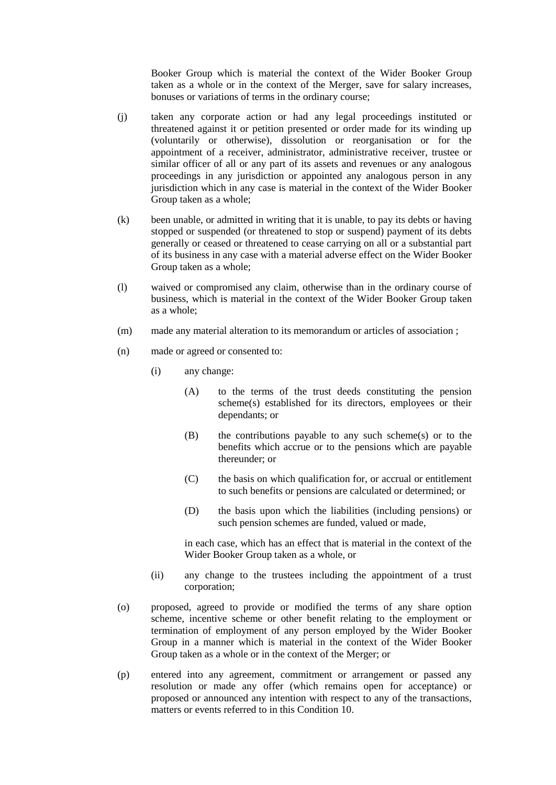Booker Group which is material the context of the Wider Booker Group taken as a whole or in the context of the Merger, save for salary increases, bonuses or variations of terms in the ordinary course;

- (j) taken any corporate action or had any legal proceedings instituted or threatened against it or petition presented or order made for its winding up (voluntarily or otherwise), dissolution or reorganisation or for the appointment of a receiver, administrator, administrative receiver, trustee or similar officer of all or any part of its assets and revenues or any analogous proceedings in any jurisdiction or appointed any analogous person in any jurisdiction which in any case is material in the context of the Wider Booker Group taken as a whole;
- (k) been unable, or admitted in writing that it is unable, to pay its debts or having stopped or suspended (or threatened to stop or suspend) payment of its debts generally or ceased or threatened to cease carrying on all or a substantial part of its business in any case with a material adverse effect on the Wider Booker Group taken as a whole;
- (l) waived or compromised any claim, otherwise than in the ordinary course of business, which is material in the context of the Wider Booker Group taken as a whole;
- (m) made any material alteration to its memorandum or articles of association ;
- (n) made or agreed or consented to:
	- (i) any change:
		- (A) to the terms of the trust deeds constituting the pension scheme(s) established for its directors, employees or their dependants; or
		- (B) the contributions payable to any such scheme(s) or to the benefits which accrue or to the pensions which are payable thereunder; or
		- (C) the basis on which qualification for, or accrual or entitlement to such benefits or pensions are calculated or determined; or
		- (D) the basis upon which the liabilities (including pensions) or such pension schemes are funded, valued or made,

in each case, which has an effect that is material in the context of the Wider Booker Group taken as a whole, or

- (ii) any change to the trustees including the appointment of a trust corporation;
- (o) proposed, agreed to provide or modified the terms of any share option scheme, incentive scheme or other benefit relating to the employment or termination of employment of any person employed by the Wider Booker Group in a manner which is material in the context of the Wider Booker Group taken as a whole or in the context of the Merger; or
- (p) entered into any agreement, commitment or arrangement or passed any resolution or made any offer (which remains open for acceptance) or proposed or announced any intention with respect to any of the transactions, matters or events referred to in this Condition [10.](#page-46-2)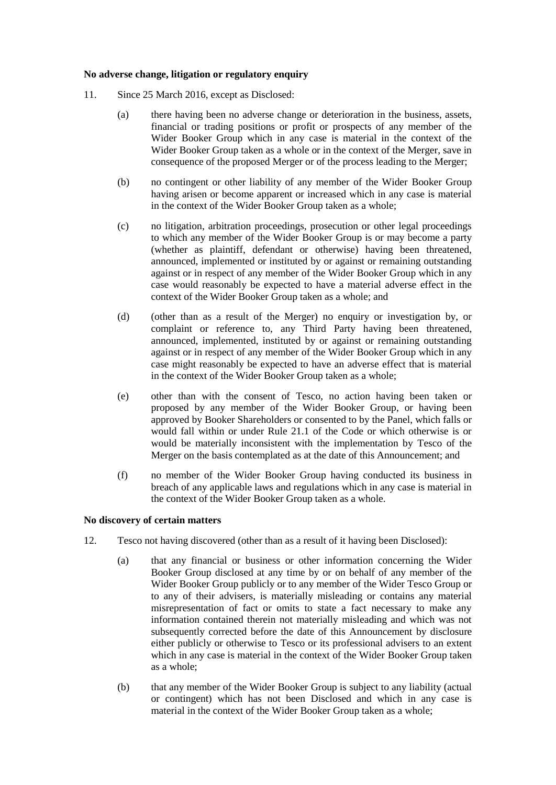### **No adverse change, litigation or regulatory enquiry**

- <span id="page-49-0"></span>11. Since 25 March 2016, except as Disclosed:
	- (a) there having been no adverse change or deterioration in the business, assets, financial or trading positions or profit or prospects of any member of the Wider Booker Group which in any case is material in the context of the Wider Booker Group taken as a whole or in the context of the Merger, save in consequence of the proposed Merger or of the process leading to the Merger;
	- (b) no contingent or other liability of any member of the Wider Booker Group having arisen or become apparent or increased which in any case is material in the context of the Wider Booker Group taken as a whole;
	- (c) no litigation, arbitration proceedings, prosecution or other legal proceedings to which any member of the Wider Booker Group is or may become a party (whether as plaintiff, defendant or otherwise) having been threatened, announced, implemented or instituted by or against or remaining outstanding against or in respect of any member of the Wider Booker Group which in any case would reasonably be expected to have a material adverse effect in the context of the Wider Booker Group taken as a whole; and
	- (d) (other than as a result of the Merger) no enquiry or investigation by, or complaint or reference to, any Third Party having been threatened, announced, implemented, instituted by or against or remaining outstanding against or in respect of any member of the Wider Booker Group which in any case might reasonably be expected to have an adverse effect that is material in the context of the Wider Booker Group taken as a whole;
	- (e) other than with the consent of Tesco, no action having been taken or proposed by any member of the Wider Booker Group, or having been approved by Booker Shareholders or consented to by the Panel, which falls or would fall within or under Rule 21.1 of the Code or which otherwise is or would be materially inconsistent with the implementation by Tesco of the Merger on the basis contemplated as at the date of this Announcement; and
	- (f) no member of the Wider Booker Group having conducted its business in breach of any applicable laws and regulations which in any case is material in the context of the Wider Booker Group taken as a whole.

### **No discovery of certain matters**

- 12. Tesco not having discovered (other than as a result of it having been Disclosed):
	- (a) that any financial or business or other information concerning the Wider Booker Group disclosed at any time by or on behalf of any member of the Wider Booker Group publicly or to any member of the Wider Tesco Group or to any of their advisers, is materially misleading or contains any material misrepresentation of fact or omits to state a fact necessary to make any information contained therein not materially misleading and which was not subsequently corrected before the date of this Announcement by disclosure either publicly or otherwise to Tesco or its professional advisers to an extent which in any case is material in the context of the Wider Booker Group taken as a whole;
	- (b) that any member of the Wider Booker Group is subject to any liability (actual or contingent) which has not been Disclosed and which in any case is material in the context of the Wider Booker Group taken as a whole;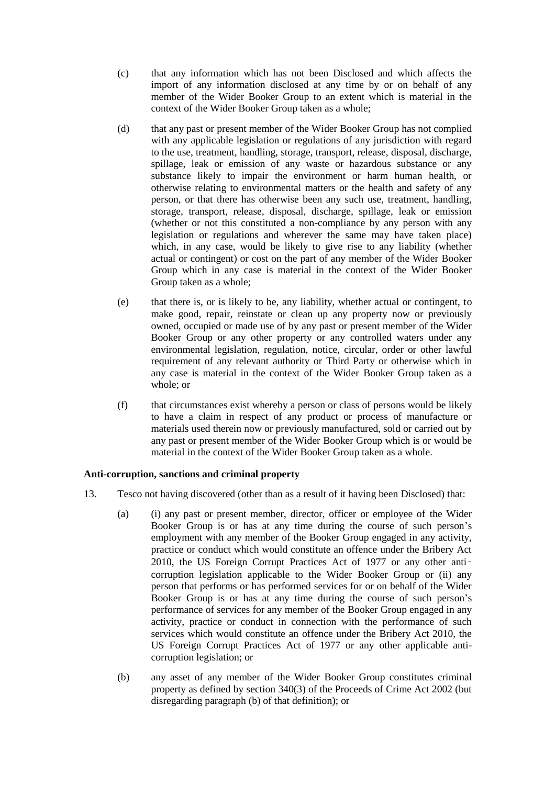- (c) that any information which has not been Disclosed and which affects the import of any information disclosed at any time by or on behalf of any member of the Wider Booker Group to an extent which is material in the context of the Wider Booker Group taken as a whole;
- (d) that any past or present member of the Wider Booker Group has not complied with any applicable legislation or regulations of any jurisdiction with regard to the use, treatment, handling, storage, transport, release, disposal, discharge, spillage, leak or emission of any waste or hazardous substance or any substance likely to impair the environment or harm human health, or otherwise relating to environmental matters or the health and safety of any person, or that there has otherwise been any such use, treatment, handling, storage, transport, release, disposal, discharge, spillage, leak or emission (whether or not this constituted a non-compliance by any person with any legislation or regulations and wherever the same may have taken place) which, in any case, would be likely to give rise to any liability (whether actual or contingent) or cost on the part of any member of the Wider Booker Group which in any case is material in the context of the Wider Booker Group taken as a whole;
- (e) that there is, or is likely to be, any liability, whether actual or contingent, to make good, repair, reinstate or clean up any property now or previously owned, occupied or made use of by any past or present member of the Wider Booker Group or any other property or any controlled waters under any environmental legislation, regulation, notice, circular, order or other lawful requirement of any relevant authority or Third Party or otherwise which in any case is material in the context of the Wider Booker Group taken as a whole; or
- (f) that circumstances exist whereby a person or class of persons would be likely to have a claim in respect of any product or process of manufacture or materials used therein now or previously manufactured, sold or carried out by any past or present member of the Wider Booker Group which is or would be material in the context of the Wider Booker Group taken as a whole.

## **Anti-corruption, sanctions and criminal property**

- 13. Tesco not having discovered (other than as a result of it having been Disclosed) that:
	- (a) (i) any past or present member, director, officer or employee of the Wider Booker Group is or has at any time during the course of such person's employment with any member of the Booker Group engaged in any activity, practice or conduct which would constitute an offence under the Bribery Act 2010, the US Foreign Corrupt Practices Act of 1977 or any other anticorruption legislation applicable to the Wider Booker Group or (ii) any person that performs or has performed services for or on behalf of the Wider Booker Group is or has at any time during the course of such person's performance of services for any member of the Booker Group engaged in any activity, practice or conduct in connection with the performance of such services which would constitute an offence under the Bribery Act 2010, the US Foreign Corrupt Practices Act of 1977 or any other applicable anticorruption legislation; or
	- (b) any asset of any member of the Wider Booker Group constitutes criminal property as defined by section 340(3) of the Proceeds of Crime Act 2002 (but disregarding paragraph (b) of that definition); or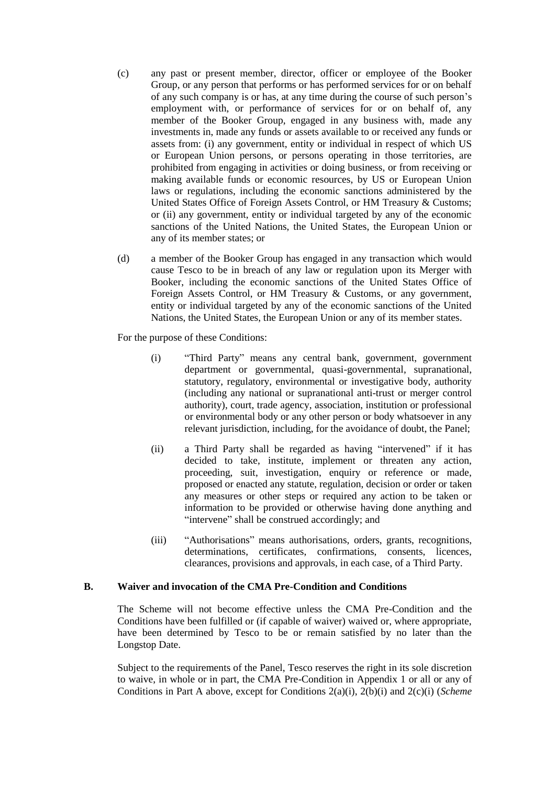- (c) any past or present member, director, officer or employee of the Booker Group, or any person that performs or has performed services for or on behalf of any such company is or has, at any time during the course of such person's employment with, or performance of services for or on behalf of, any member of the Booker Group, engaged in any business with, made any investments in, made any funds or assets available to or received any funds or assets from: (i) any government, entity or individual in respect of which US or European Union persons, or persons operating in those territories, are prohibited from engaging in activities or doing business, or from receiving or making available funds or economic resources, by US or European Union laws or regulations, including the economic sanctions administered by the United States Office of Foreign Assets Control, or HM Treasury & Customs; or (ii) any government, entity or individual targeted by any of the economic sanctions of the United Nations, the United States, the European Union or any of its member states; or
- (d) a member of the Booker Group has engaged in any transaction which would cause Tesco to be in breach of any law or regulation upon its Merger with Booker, including the economic sanctions of the United States Office of Foreign Assets Control, or HM Treasury & Customs, or any government, entity or individual targeted by any of the economic sanctions of the United Nations, the United States, the European Union or any of its member states.

For the purpose of these Conditions:

- (i) "Third Party" means any central bank, government, government department or governmental, quasi-governmental, supranational, statutory, regulatory, environmental or investigative body, authority (including any national or supranational anti-trust or merger control authority), court, trade agency, association, institution or professional or environmental body or any other person or body whatsoever in any relevant jurisdiction, including, for the avoidance of doubt, the Panel;
- (ii) a Third Party shall be regarded as having "intervened" if it has decided to take, institute, implement or threaten any action, proceeding, suit, investigation, enquiry or reference or made, proposed or enacted any statute, regulation, decision or order or taken any measures or other steps or required any action to be taken or information to be provided or otherwise having done anything and "intervene" shall be construed accordingly; and
- (iii) "Authorisations" means authorisations, orders, grants, recognitions, determinations, certificates, confirmations, consents, licences, clearances, provisions and approvals, in each case, of a Third Party.

### **B. Waiver and invocation of the CMA Pre-Condition and Conditions**

The Scheme will not become effective unless the CMA Pre-Condition and the Conditions have been fulfilled or (if capable of waiver) waived or, where appropriate, have been determined by Tesco to be or remain satisfied by no later than the Longstop Date.

Subject to the requirements of the Panel, Tesco reserves the right in its sole discretion to waive, in whole or in part, the CMA Pre-Condition in [Appendix 1](#page-42-0) or all or any of Conditions in Part [A](#page-43-0) above, except for Conditions 2(a)(i), 2(b)(i) and 2(c)(i) (*Scheme*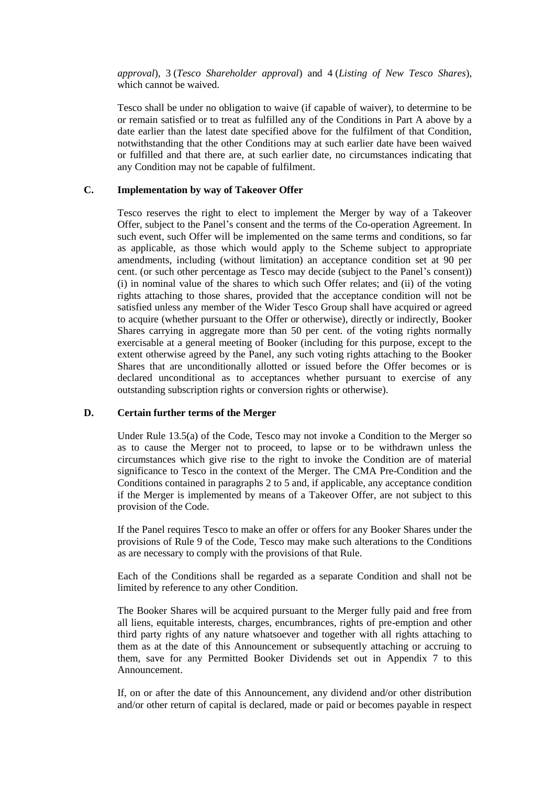*approval*), 3 (*Tesco Shareholder approval*) and 4 (*Listing of New Tesco Shares*), which cannot be waived.

Tesco shall be under no obligation to waive (if capable of waiver), to determine to be or remain satisfied or to treat as fulfilled any of the Conditions in Part [A](#page-43-0) above by a date earlier than the latest date specified above for the fulfilment of that Condition, notwithstanding that the other Conditions may at such earlier date have been waived or fulfilled and that there are, at such earlier date, no circumstances indicating that any Condition may not be capable of fulfilment.

### **C. Implementation by way of Takeover Offer**

Tesco reserves the right to elect to implement the Merger by way of a Takeover Offer, subject to the Panel's consent and the terms of the Co-operation Agreement. In such event, such Offer will be implemented on the same terms and conditions, so far as applicable, as those which would apply to the Scheme subject to appropriate amendments, including (without limitation) an acceptance condition set at 90 per cent. (or such other percentage as Tesco may decide (subject to the Panel's consent)) (i) in nominal value of the shares to which such Offer relates; and (ii) of the voting rights attaching to those shares, provided that the acceptance condition will not be satisfied unless any member of the Wider Tesco Group shall have acquired or agreed to acquire (whether pursuant to the Offer or otherwise), directly or indirectly, Booker Shares carrying in aggregate more than 50 per cent. of the voting rights normally exercisable at a general meeting of Booker (including for this purpose, except to the extent otherwise agreed by the Panel, any such voting rights attaching to the Booker Shares that are unconditionally allotted or issued before the Offer becomes or is declared unconditional as to acceptances whether pursuant to exercise of any outstanding subscription rights or conversion rights or otherwise).

### **D. Certain further terms of the Merger**

Under Rule 13.5(a) of the Code, Tesco may not invoke a Condition to the Merger so as to cause the Merger not to proceed, to lapse or to be withdrawn unless the circumstances which give rise to the right to invoke the Condition are of material significance to Tesco in the context of the Merger. The CMA Pre-Condition and the Conditions contained in paragraphs 2 to 5 and, if applicable, any acceptance condition if the Merger is implemented by means of a Takeover Offer, are not subject to this provision of the Code.

If the Panel requires Tesco to make an offer or offers for any Booker Shares under the provisions of Rule 9 of the Code, Tesco may make such alterations to the Conditions as are necessary to comply with the provisions of that Rule.

Each of the Conditions shall be regarded as a separate Condition and shall not be limited by reference to any other Condition.

The Booker Shares will be acquired pursuant to the Merger fully paid and free from all liens, equitable interests, charges, encumbrances, rights of pre-emption and other third party rights of any nature whatsoever and together with all rights attaching to them as at the date of this Announcement or subsequently attaching or accruing to them, save for any Permitted Booker Dividends set out in [Appendix 7](#page-72-0) to this Announcement.

If, on or after the date of this Announcement, any dividend and/or other distribution and/or other return of capital is declared, made or paid or becomes payable in respect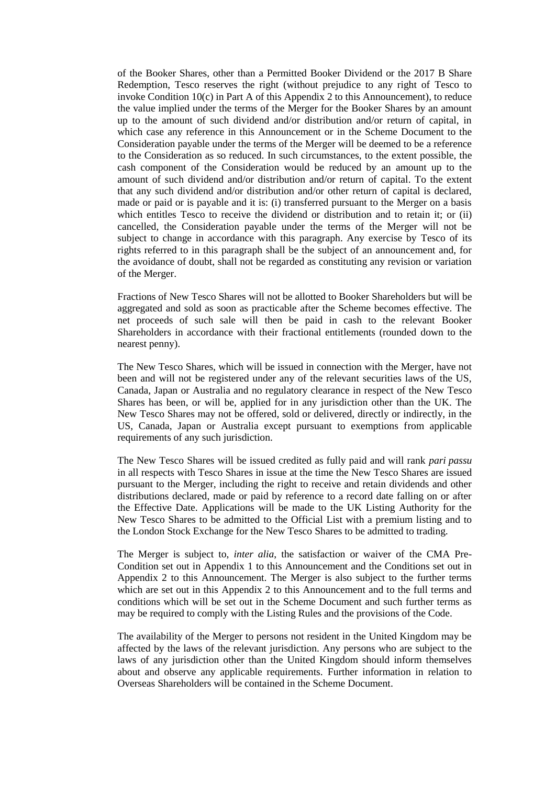of the Booker Shares, other than a Permitted Booker Dividend or the 2017 B Share Redemption, Tesco reserves the right (without prejudice to any right of Tesco to invoke Condition 1[0\(c\)](#page-49-0) in Part [A](#page-43-0) of this [Appendix 2](#page-43-1) to this Announcement), to reduce the value implied under the terms of the Merger for the Booker Shares by an amount up to the amount of such dividend and/or distribution and/or return of capital, in which case any reference in this Announcement or in the Scheme Document to the Consideration payable under the terms of the Merger will be deemed to be a reference to the Consideration as so reduced. In such circumstances, to the extent possible, the cash component of the Consideration would be reduced by an amount up to the amount of such dividend and/or distribution and/or return of capital. To the extent that any such dividend and/or distribution and/or other return of capital is declared, made or paid or is payable and it is: (i) transferred pursuant to the Merger on a basis which entitles Tesco to receive the dividend or distribution and to retain it; or (ii) cancelled, the Consideration payable under the terms of the Merger will not be subject to change in accordance with this paragraph. Any exercise by Tesco of its rights referred to in this paragraph shall be the subject of an announcement and, for the avoidance of doubt, shall not be regarded as constituting any revision or variation of the Merger.

Fractions of New Tesco Shares will not be allotted to Booker Shareholders but will be aggregated and sold as soon as practicable after the Scheme becomes effective. The net proceeds of such sale will then be paid in cash to the relevant Booker Shareholders in accordance with their fractional entitlements (rounded down to the nearest penny).

The New Tesco Shares, which will be issued in connection with the Merger, have not been and will not be registered under any of the relevant securities laws of the US, Canada, Japan or Australia and no regulatory clearance in respect of the New Tesco Shares has been, or will be, applied for in any jurisdiction other than the UK. The New Tesco Shares may not be offered, sold or delivered, directly or indirectly, in the US, Canada, Japan or Australia except pursuant to exemptions from applicable requirements of any such jurisdiction.

The New Tesco Shares will be issued credited as fully paid and will rank *pari passu* in all respects with Tesco Shares in issue at the time the New Tesco Shares are issued pursuant to the Merger, including the right to receive and retain dividends and other distributions declared, made or paid by reference to a record date falling on or after the Effective Date. Applications will be made to the UK Listing Authority for the New Tesco Shares to be admitted to the Official List with a premium listing and to the London Stock Exchange for the New Tesco Shares to be admitted to trading.

The Merger is subject to, *inter alia*, the satisfaction or waiver of the CMA Pre-Condition set out in [Appendix 1](#page-42-0) to this Announcement and the Conditions set out in [Appendix 2](#page-43-1) to this Announcement. The Merger is also subject to the further terms which are set out in this [Appendix 2](#page-43-1) to this Announcement and to the full terms and conditions which will be set out in the Scheme Document and such further terms as may be required to comply with the Listing Rules and the provisions of the Code.

The availability of the Merger to persons not resident in the United Kingdom may be affected by the laws of the relevant jurisdiction. Any persons who are subject to the laws of any jurisdiction other than the United Kingdom should inform themselves about and observe any applicable requirements. Further information in relation to Overseas Shareholders will be contained in the Scheme Document.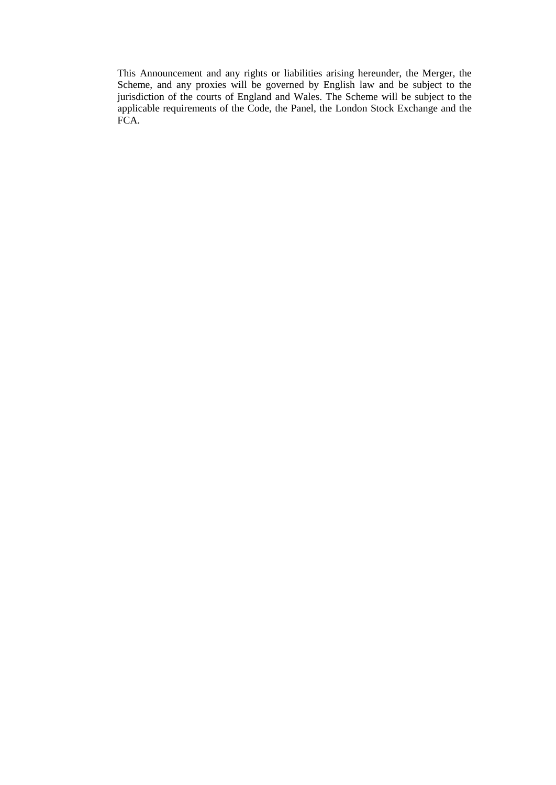This Announcement and any rights or liabilities arising hereunder, the Merger, the Scheme, and any proxies will be governed by English law and be subject to the jurisdiction of the courts of England and Wales. The Scheme will be subject to the applicable requirements of the Code, the Panel, the London Stock Exchange and the FCA.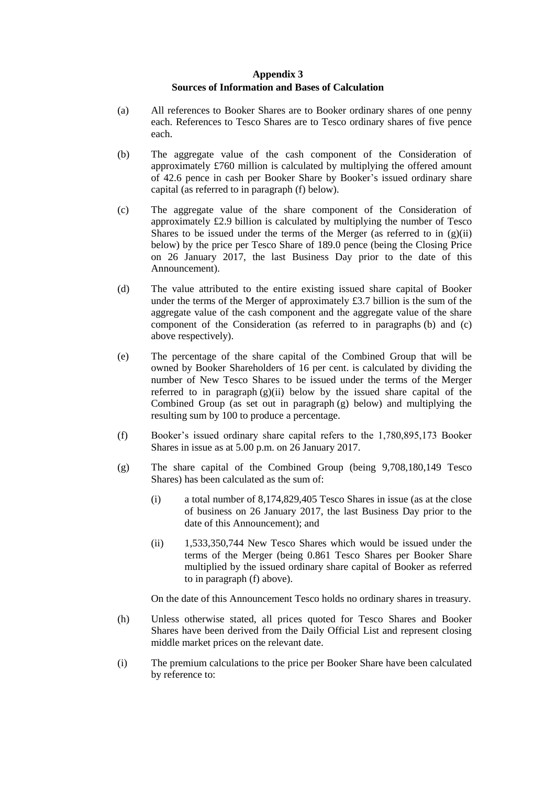## **Appendix 3 Sources of Information and Bases of Calculation**

- (a) All references to Booker Shares are to Booker ordinary shares of one penny each. References to Tesco Shares are to Tesco ordinary shares of five pence each.
- <span id="page-55-2"></span>(b) The aggregate value of the cash component of the Consideration of approximately £760 million is calculated by multiplying the offered amount of 42.6 pence in cash per Booker Share by Booker's issued ordinary share capital (as referred to in paragraph [\(f\)](#page-55-0) below).
- <span id="page-55-3"></span>(c) The aggregate value of the share component of the Consideration of approximately £2.9 billion is calculated by multiplying the number of Tesco Shares to be issued under the terms of the Merger (as referred to in  $(g)(ii)$ ) below) by the price per Tesco Share of 189.0 pence (being the Closing Price on 26 January 2017, the last Business Day prior to the date of this Announcement).
- (d) The value attributed to the entire existing issued share capital of Booker under the terms of the Merger of approximately £3.7 billion is the sum of the aggregate value of the cash component and the aggregate value of the share component of the Consideration (as referred to in paragraphs [\(b\)](#page-55-2) and [\(c\)](#page-55-3) above respectively).
- (e) The percentage of the share capital of the Combined Group that will be owned by Booker Shareholders of 16 per cent. is calculated by dividing the number of New Tesco Shares to be issued under the terms of the Merger referred to in paragraph  $(g)(ii)$  below by the issued share capital of the Combined Group (as set out in paragraph [\(g\)](#page-55-1) below) and multiplying the resulting sum by 100 to produce a percentage.
- <span id="page-55-0"></span>(f) Booker's issued ordinary share capital refers to the 1,780,895,173 Booker Shares in issue as at 5.00 p.m. on 26 January 2017.
- <span id="page-55-1"></span>(g) The share capital of the Combined Group (being 9,708,180,149 Tesco Shares) has been calculated as the sum of:
	- (i) a total number of 8,174,829,405 Tesco Shares in issue (as at the close of business on 26 January 2017, the last Business Day prior to the date of this Announcement); and
	- (ii) 1,533,350,744 New Tesco Shares which would be issued under the terms of the Merger (being 0.861 Tesco Shares per Booker Share multiplied by the issued ordinary share capital of Booker as referred to in paragraph [\(f\)](#page-55-0) above).

On the date of this Announcement Tesco holds no ordinary shares in treasury.

- (h) Unless otherwise stated, all prices quoted for Tesco Shares and Booker Shares have been derived from the Daily Official List and represent closing middle market prices on the relevant date.
- (i) The premium calculations to the price per Booker Share have been calculated by reference to: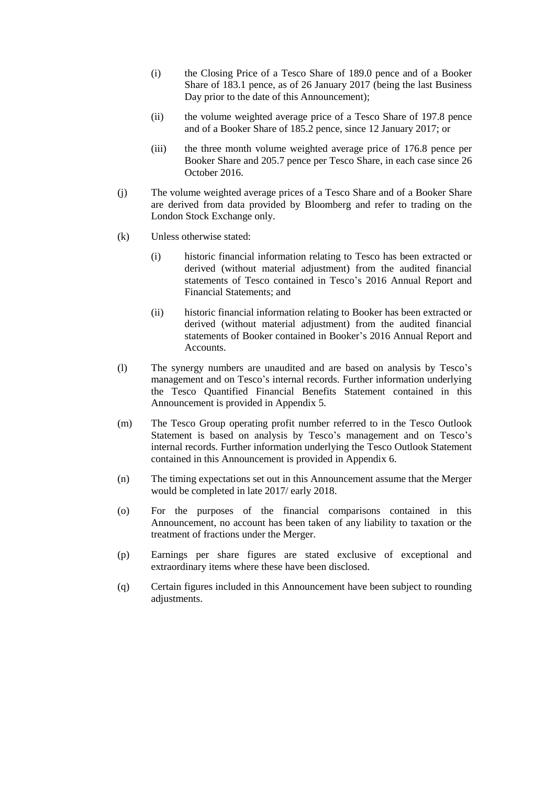- (i) the Closing Price of a Tesco Share of 189.0 pence and of a Booker Share of 183.1 pence, as of 26 January 2017 (being the last Business Day prior to the date of this Announcement);
- (ii) the volume weighted average price of a Tesco Share of 197.8 pence and of a Booker Share of 185.2 pence, since 12 January 2017; or
- (iii) the three month volume weighted average price of 176.8 pence per Booker Share and 205.7 pence per Tesco Share, in each case since 26 October 2016.
- (j) The volume weighted average prices of a Tesco Share and of a Booker Share are derived from data provided by Bloomberg and refer to trading on the London Stock Exchange only.
- (k) Unless otherwise stated:
	- (i) historic financial information relating to Tesco has been extracted or derived (without material adjustment) from the audited financial statements of Tesco contained in Tesco's 2016 Annual Report and Financial Statements; and
	- (ii) historic financial information relating to Booker has been extracted or derived (without material adjustment) from the audited financial statements of Booker contained in Booker's 2016 Annual Report and Accounts.
- (l) The synergy numbers are unaudited and are based on analysis by Tesco's management and on Tesco's internal records. Further information underlying the Tesco Quantified Financial Benefits Statement contained in this Announcement is provided in [Appendix 5.](#page-60-0)
- (m) The Tesco Group operating profit number referred to in the Tesco Outlook Statement is based on analysis by Tesco's management and on Tesco's internal records. Further information underlying the Tesco Outlook Statement contained in this Announcement is provided in [Appendix 6.](#page-67-0)
- (n) The timing expectations set out in this Announcement assume that the Merger would be completed in late 2017/ early 2018.
- (o) For the purposes of the financial comparisons contained in this Announcement, no account has been taken of any liability to taxation or the treatment of fractions under the Merger.
- (p) Earnings per share figures are stated exclusive of exceptional and extraordinary items where these have been disclosed.
- (q) Certain figures included in this Announcement have been subject to rounding adjustments.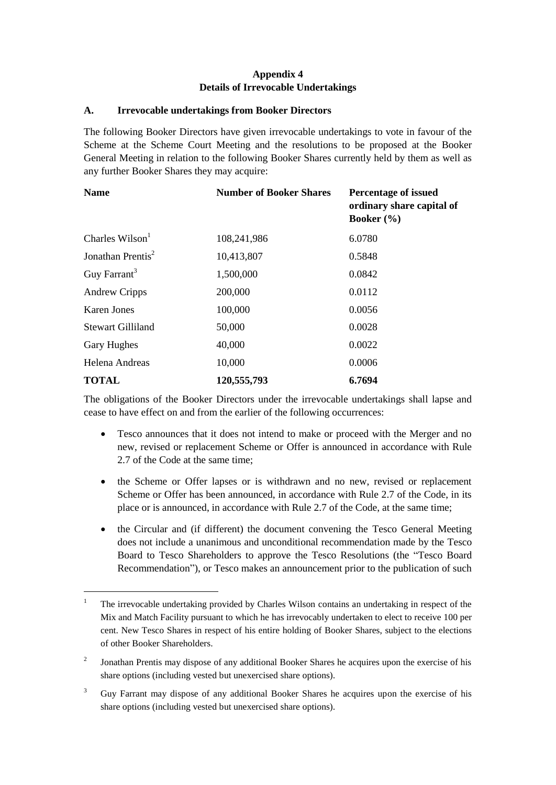# **Appendix 4 Details of Irrevocable Undertakings**

## **A. Irrevocable undertakings from Booker Directors**

The following Booker Directors have given irrevocable undertakings to vote in favour of the Scheme at the Scheme Court Meeting and the resolutions to be proposed at the Booker General Meeting in relation to the following Booker Shares currently held by them as well as any further Booker Shares they may acquire:

| <b>Name</b>                   | <b>Number of Booker Shares</b> | <b>Percentage of issued</b><br>ordinary share capital of<br>Booker $(\% )$ |  |
|-------------------------------|--------------------------------|----------------------------------------------------------------------------|--|
| Charles $Wilson1$             | 108,241,986                    | 6.0780                                                                     |  |
| Jonathan Prentis <sup>2</sup> | 10,413,807                     | 0.5848                                                                     |  |
| Guy Farrant <sup>3</sup>      | 1,500,000                      | 0.0842                                                                     |  |
| <b>Andrew Cripps</b>          | 200,000                        | 0.0112                                                                     |  |
| Karen Jones                   | 100,000                        | 0.0056                                                                     |  |
| <b>Stewart Gilliland</b>      | 50,000                         | 0.0028                                                                     |  |
| <b>Gary Hughes</b>            | 40,000                         | 0.0022                                                                     |  |
| Helena Andreas                | 10,000                         | 0.0006                                                                     |  |
| <b>TOTAL</b>                  | 120,555,793                    | 6.7694                                                                     |  |

The obligations of the Booker Directors under the irrevocable undertakings shall lapse and cease to have effect on and from the earlier of the following occurrences:

- Tesco announces that it does not intend to make or proceed with the Merger and no new, revised or replacement Scheme or Offer is announced in accordance with Rule 2.7 of the Code at the same time;
- the Scheme or Offer lapses or is withdrawn and no new, revised or replacement Scheme or Offer has been announced, in accordance with Rule 2.7 of the Code, in its place or is announced, in accordance with Rule 2.7 of the Code, at the same time;
- the Circular and (if different) the document convening the Tesco General Meeting does not include a unanimous and unconditional recommendation made by the Tesco Board to Tesco Shareholders to approve the Tesco Resolutions (the "Tesco Board Recommendation"), or Tesco makes an announcement prior to the publication of such

 $\overline{a}$ 

<sup>&</sup>lt;sup>1</sup> The irrevocable undertaking provided by Charles Wilson contains an undertaking in respect of the Mix and Match Facility pursuant to which he has irrevocably undertaken to elect to receive 100 per cent. New Tesco Shares in respect of his entire holding of Booker Shares, subject to the elections of other Booker Shareholders.

<sup>2</sup> Jonathan Prentis may dispose of any additional Booker Shares he acquires upon the exercise of his share options (including vested but unexercised share options).

<sup>3</sup> Guy Farrant may dispose of any additional Booker Shares he acquires upon the exercise of his share options (including vested but unexercised share options).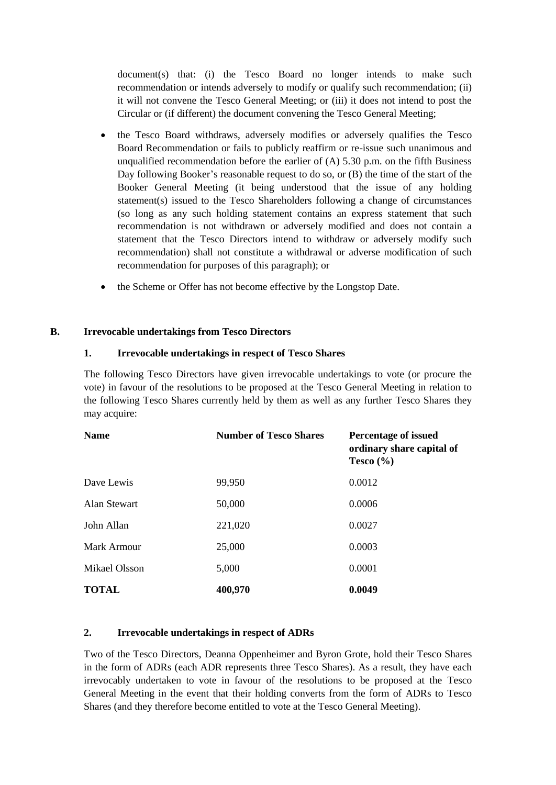document(s) that: (i) the Tesco Board no longer intends to make such recommendation or intends adversely to modify or qualify such recommendation; (ii) it will not convene the Tesco General Meeting; or (iii) it does not intend to post the Circular or (if different) the document convening the Tesco General Meeting;

- the Tesco Board withdraws, adversely modifies or adversely qualifies the Tesco Board Recommendation or fails to publicly reaffirm or re-issue such unanimous and unqualified recommendation before the earlier of  $(A)$  5.30 p.m. on the fifth Business Day following Booker's reasonable request to do so, or (B) the time of the start of the Booker General Meeting (it being understood that the issue of any holding statement(s) issued to the Tesco Shareholders following a change of circumstances (so long as any such holding statement contains an express statement that such recommendation is not withdrawn or adversely modified and does not contain a statement that the Tesco Directors intend to withdraw or adversely modify such recommendation) shall not constitute a withdrawal or adverse modification of such recommendation for purposes of this paragraph); or
- the Scheme or Offer has not become effective by the Longstop Date.

### **B. Irrevocable undertakings from Tesco Directors**

## **1. Irrevocable undertakings in respect of Tesco Shares**

The following Tesco Directors have given irrevocable undertakings to vote (or procure the vote) in favour of the resolutions to be proposed at the Tesco General Meeting in relation to the following Tesco Shares currently held by them as well as any further Tesco Shares they may acquire:

| <b>Name</b>   | <b>Number of Tesco Shares</b> | <b>Percentage of issued</b><br>ordinary share capital of<br>Tesco $(\% )$<br>0.0012 |  |
|---------------|-------------------------------|-------------------------------------------------------------------------------------|--|
| Dave Lewis    | 99,950                        |                                                                                     |  |
| Alan Stewart  | 50,000                        | 0.0006                                                                              |  |
| John Allan    | 221,020                       | 0.0027                                                                              |  |
| Mark Armour   | 25,000                        | 0.0003                                                                              |  |
| Mikael Olsson | 5,000                         | 0.0001                                                                              |  |
| <b>TOTAL</b>  | 400,970                       | 0.0049                                                                              |  |

### **2. Irrevocable undertakings in respect of ADRs**

Two of the Tesco Directors, Deanna Oppenheimer and Byron Grote, hold their Tesco Shares in the form of ADRs (each ADR represents three Tesco Shares). As a result, they have each irrevocably undertaken to vote in favour of the resolutions to be proposed at the Tesco General Meeting in the event that their holding converts from the form of ADRs to Tesco Shares (and they therefore become entitled to vote at the Tesco General Meeting).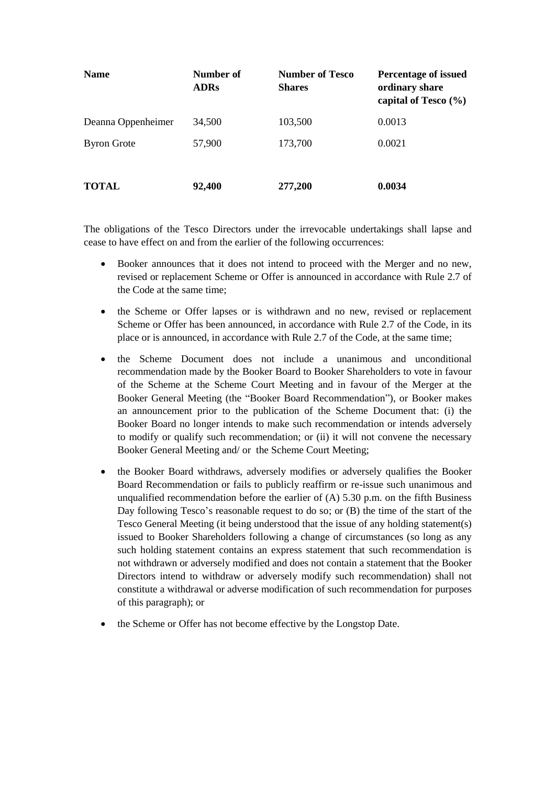| <b>Name</b>        | Number of<br><b>ADRs</b> | <b>Number of Tesco</b><br><b>Shares</b> | <b>Percentage of issued</b><br>ordinary share<br>capital of Tesco $(\% )$ |
|--------------------|--------------------------|-----------------------------------------|---------------------------------------------------------------------------|
| Deanna Oppenheimer | 34,500                   | 103,500                                 | 0.0013                                                                    |
| <b>Byron Grote</b> | 57,900                   | 173,700                                 | 0.0021                                                                    |
| <b>TOTAL</b>       | 92,400                   | 277,200                                 | 0.0034                                                                    |

The obligations of the Tesco Directors under the irrevocable undertakings shall lapse and cease to have effect on and from the earlier of the following occurrences:

- Booker announces that it does not intend to proceed with the Merger and no new, revised or replacement Scheme or Offer is announced in accordance with Rule 2.7 of the Code at the same time;
- the Scheme or Offer lapses or is withdrawn and no new, revised or replacement Scheme or Offer has been announced, in accordance with Rule 2.7 of the Code, in its place or is announced, in accordance with Rule 2.7 of the Code, at the same time;
- the Scheme Document does not include a unanimous and unconditional recommendation made by the Booker Board to Booker Shareholders to vote in favour of the Scheme at the Scheme Court Meeting and in favour of the Merger at the Booker General Meeting (the "Booker Board Recommendation"), or Booker makes an announcement prior to the publication of the Scheme Document that: (i) the Booker Board no longer intends to make such recommendation or intends adversely to modify or qualify such recommendation; or (ii) it will not convene the necessary Booker General Meeting and/ or the Scheme Court Meeting;
- the Booker Board withdraws, adversely modifies or adversely qualifies the Booker Board Recommendation or fails to publicly reaffirm or re-issue such unanimous and unqualified recommendation before the earlier of  $(A)$  5.30 p.m. on the fifth Business Day following Tesco's reasonable request to do so; or (B) the time of the start of the Tesco General Meeting (it being understood that the issue of any holding statement(s) issued to Booker Shareholders following a change of circumstances (so long as any such holding statement contains an express statement that such recommendation is not withdrawn or adversely modified and does not contain a statement that the Booker Directors intend to withdraw or adversely modify such recommendation) shall not constitute a withdrawal or adverse modification of such recommendation for purposes of this paragraph); or
- the Scheme or Offer has not become effective by the Longstop Date.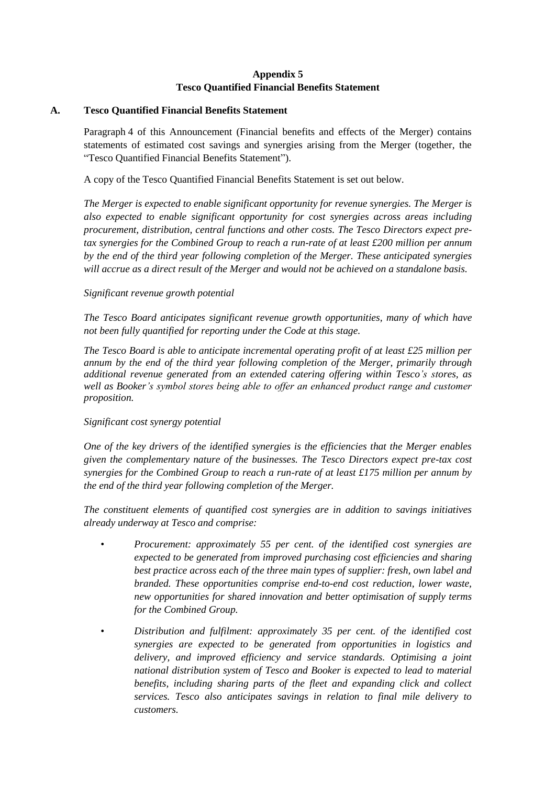# **Appendix 5 Tesco Quantified Financial Benefits Statement**

## <span id="page-60-0"></span>**A. Tesco Quantified Financial Benefits Statement**

<span id="page-60-1"></span>Paragraph [4](#page-19-0) of this Announcement (Financial benefits and effects of the Merger) contains statements of estimated cost savings and synergies arising from the Merger (together, the "Tesco Quantified Financial Benefits Statement").

A copy of the Tesco Quantified Financial Benefits Statement is set out below.

*The Merger is expected to enable significant opportunity for revenue synergies. The Merger is also expected to enable significant opportunity for cost synergies across areas including procurement, distribution, central functions and other costs. The Tesco Directors expect pretax synergies for the Combined Group to reach a run-rate of at least £200 million per annum by the end of the third year following completion of the Merger. These anticipated synergies will accrue as a direct result of the Merger and would not be achieved on a standalone basis.*

## *Significant revenue growth potential*

*The Tesco Board anticipates significant revenue growth opportunities, many of which have not been fully quantified for reporting under the Code at this stage.* 

*The Tesco Board is able to anticipate incremental operating profit of at least £25 million per annum by the end of the third year following completion of the Merger, primarily through additional revenue generated from an extended catering offering within Tesco's stores, as well as Booker's symbol stores being able to offer an enhanced product range and customer proposition.*

### *Significant cost synergy potential*

*One of the key drivers of the identified synergies is the efficiencies that the Merger enables given the complementary nature of the businesses. The Tesco Directors expect pre-tax cost synergies for the Combined Group to reach a run-rate of at least £175 million per annum by the end of the third year following completion of the Merger.* 

*The constituent elements of quantified cost synergies are in addition to savings initiatives already underway at Tesco and comprise:*

- *Procurement: approximately 55 per cent. of the identified cost synergies are expected to be generated from improved purchasing cost efficiencies and sharing best practice across each of the three main types of supplier: fresh, own label and branded. These opportunities comprise end-to-end cost reduction, lower waste, new opportunities for shared innovation and better optimisation of supply terms for the Combined Group.*
- *Distribution and fulfilment: approximately 35 per cent. of the identified cost synergies are expected to be generated from opportunities in logistics and delivery, and improved efficiency and service standards. Optimising a joint national distribution system of Tesco and Booker is expected to lead to material benefits, including sharing parts of the fleet and expanding click and collect services. Tesco also anticipates savings in relation to final mile delivery to customers.*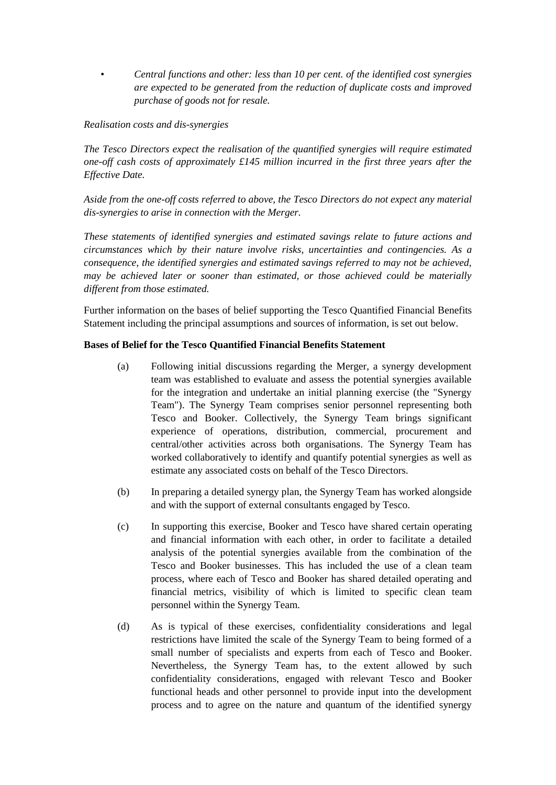• *Central functions and other: less than 10 per cent. of the identified cost synergies are expected to be generated from the reduction of duplicate costs and improved purchase of goods not for resale.* 

## *Realisation costs and dis-synergies*

*The Tesco Directors expect the realisation of the quantified synergies will require estimated one-off cash costs of approximately £145 million incurred in the first three years after the Effective Date.*

*Aside from the one-off costs referred to above, the Tesco Directors do not expect any material dis-synergies to arise in connection with the Merger.*

*These statements of identified synergies and estimated savings relate to future actions and circumstances which by their nature involve risks, uncertainties and contingencies. As a consequence, the identified synergies and estimated savings referred to may not be achieved, may be achieved later or sooner than estimated, or those achieved could be materially different from those estimated.*

Further information on the bases of belief supporting the Tesco Quantified Financial Benefits Statement including the principal assumptions and sources of information, is set out below.

### **Bases of Belief for the Tesco Quantified Financial Benefits Statement**

- (a) Following initial discussions regarding the Merger, a synergy development team was established to evaluate and assess the potential synergies available for the integration and undertake an initial planning exercise (the "Synergy Team"). The Synergy Team comprises senior personnel representing both Tesco and Booker. Collectively, the Synergy Team brings significant experience of operations, distribution, commercial, procurement and central/other activities across both organisations. The Synergy Team has worked collaboratively to identify and quantify potential synergies as well as estimate any associated costs on behalf of the Tesco Directors.
- (b) In preparing a detailed synergy plan, the Synergy Team has worked alongside and with the support of external consultants engaged by Tesco.
- (c) In supporting this exercise, Booker and Tesco have shared certain operating and financial information with each other, in order to facilitate a detailed analysis of the potential synergies available from the combination of the Tesco and Booker businesses. This has included the use of a clean team process, where each of Tesco and Booker has shared detailed operating and financial metrics, visibility of which is limited to specific clean team personnel within the Synergy Team.
- (d) As is typical of these exercises, confidentiality considerations and legal restrictions have limited the scale of the Synergy Team to being formed of a small number of specialists and experts from each of Tesco and Booker. Nevertheless, the Synergy Team has, to the extent allowed by such confidentiality considerations, engaged with relevant Tesco and Booker functional heads and other personnel to provide input into the development process and to agree on the nature and quantum of the identified synergy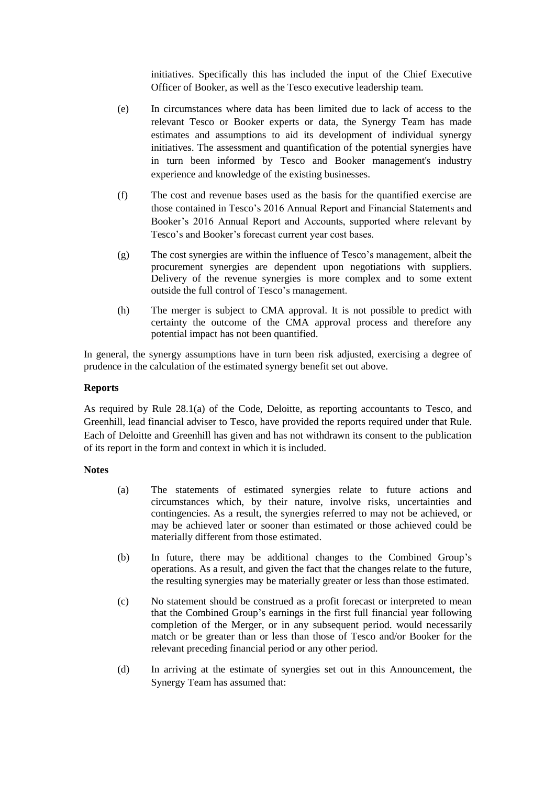initiatives. Specifically this has included the input of the Chief Executive Officer of Booker, as well as the Tesco executive leadership team.

- (e) In circumstances where data has been limited due to lack of access to the relevant Tesco or Booker experts or data, the Synergy Team has made estimates and assumptions to aid its development of individual synergy initiatives. The assessment and quantification of the potential synergies have in turn been informed by Tesco and Booker management's industry experience and knowledge of the existing businesses.
- (f) The cost and revenue bases used as the basis for the quantified exercise are those contained in Tesco's 2016 Annual Report and Financial Statements and Booker's 2016 Annual Report and Accounts, supported where relevant by Tesco's and Booker's forecast current year cost bases.
- (g) The cost synergies are within the influence of Tesco's management, albeit the procurement synergies are dependent upon negotiations with suppliers. Delivery of the revenue synergies is more complex and to some extent outside the full control of Tesco's management.
- (h) The merger is subject to CMA approval. It is not possible to predict with certainty the outcome of the CMA approval process and therefore any potential impact has not been quantified.

In general, the synergy assumptions have in turn been risk adjusted, exercising a degree of prudence in the calculation of the estimated synergy benefit set out above.

### **Reports**

As required by Rule 28.1(a) of the Code, Deloitte, as reporting accountants to Tesco, and Greenhill, lead financial adviser to Tesco, have provided the reports required under that Rule. Each of Deloitte and Greenhill has given and has not withdrawn its consent to the publication of its report in the form and context in which it is included.

### **Notes**

- (a) The statements of estimated synergies relate to future actions and circumstances which, by their nature, involve risks, uncertainties and contingencies. As a result, the synergies referred to may not be achieved, or may be achieved later or sooner than estimated or those achieved could be materially different from those estimated.
- (b) In future, there may be additional changes to the Combined Group's operations. As a result, and given the fact that the changes relate to the future, the resulting synergies may be materially greater or less than those estimated.
- (c) No statement should be construed as a profit forecast or interpreted to mean that the Combined Group's earnings in the first full financial year following completion of the Merger, or in any subsequent period. would necessarily match or be greater than or less than those of Tesco and/or Booker for the relevant preceding financial period or any other period.
- (d) In arriving at the estimate of synergies set out in this Announcement, the Synergy Team has assumed that: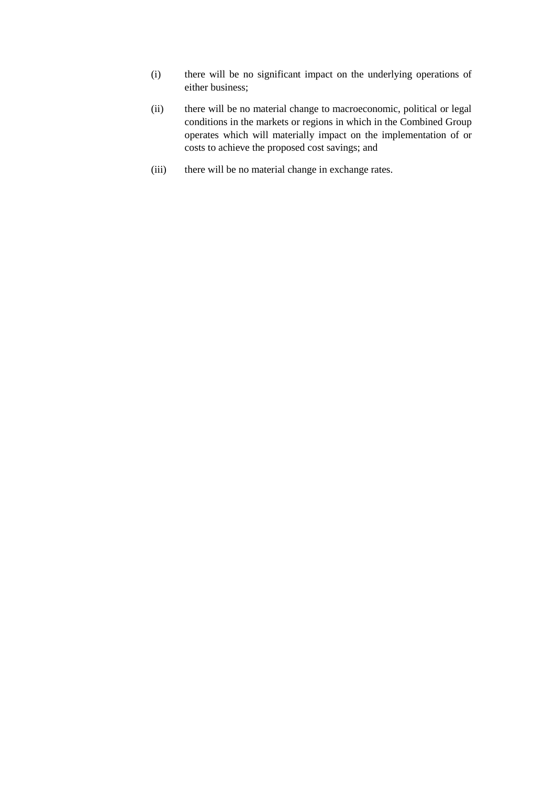- (i) there will be no significant impact on the underlying operations of either business;
- (ii) there will be no material change to macroeconomic, political or legal conditions in the markets or regions in which in the Combined Group operates which will materially impact on the implementation of or costs to achieve the proposed cost savings; and
- (iii) there will be no material change in exchange rates.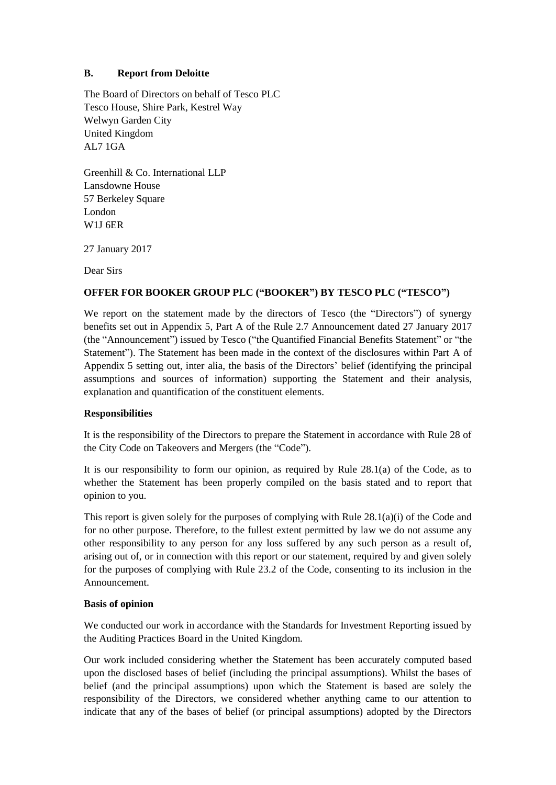## <span id="page-64-0"></span>**B. Report from Deloitte**

The Board of Directors on behalf of Tesco PLC Tesco House, Shire Park, Kestrel Way Welwyn Garden City United Kingdom AL7 1GA

Greenhill & Co. International LLP Lansdowne House 57 Berkeley Square London W1J 6ER

27 January 2017

Dear Sirs

## **OFFER FOR BOOKER GROUP PLC ("BOOKER") BY TESCO PLC ("TESCO")**

We report on the statement made by the directors of Tesco (the "Directors") of synergy benefits set out in [Appendix 5,](#page-60-0) Part A of the Rule 2.7 Announcement dated 27 January 2017 (the "Announcement") issued by Tesco ("the Quantified Financial Benefits Statement" or "the Statement"). The Statement has been made in the context of the disclosures within Part [A](#page-60-1) of [Appendix 5](#page-60-0) setting out, inter alia, the basis of the Directors' belief (identifying the principal assumptions and sources of information) supporting the Statement and their analysis, explanation and quantification of the constituent elements.

## **Responsibilities**

It is the responsibility of the Directors to prepare the Statement in accordance with Rule 28 of the City Code on Takeovers and Mergers (the "Code").

It is our responsibility to form our opinion, as required by Rule 28.1(a) of the Code, as to whether the Statement has been properly compiled on the basis stated and to report that opinion to you.

This report is given solely for the purposes of complying with Rule 28.1(a)(i) of the Code and for no other purpose. Therefore, to the fullest extent permitted by law we do not assume any other responsibility to any person for any loss suffered by any such person as a result of, arising out of, or in connection with this report or our statement, required by and given solely for the purposes of complying with Rule 23.2 of the Code, consenting to its inclusion in the Announcement.

### **Basis of opinion**

We conducted our work in accordance with the Standards for Investment Reporting issued by the Auditing Practices Board in the United Kingdom.

Our work included considering whether the Statement has been accurately computed based upon the disclosed bases of belief (including the principal assumptions). Whilst the bases of belief (and the principal assumptions) upon which the Statement is based are solely the responsibility of the Directors, we considered whether anything came to our attention to indicate that any of the bases of belief (or principal assumptions) adopted by the Directors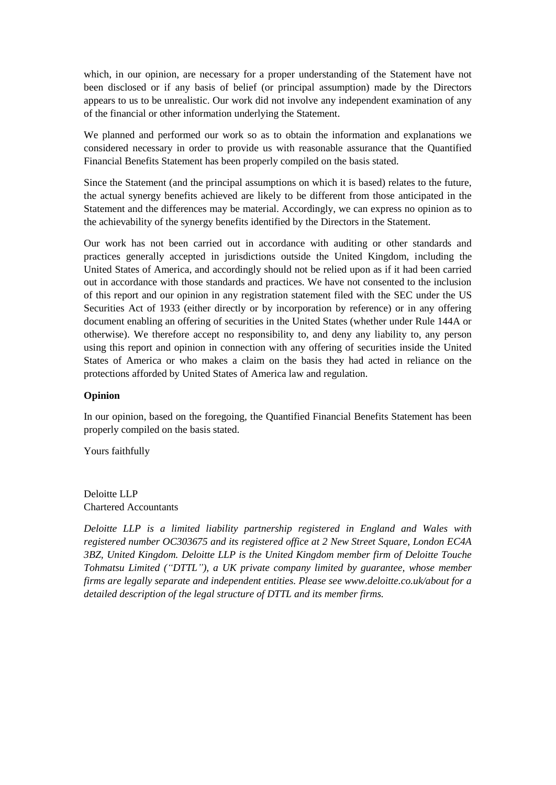which, in our opinion, are necessary for a proper understanding of the Statement have not been disclosed or if any basis of belief (or principal assumption) made by the Directors appears to us to be unrealistic. Our work did not involve any independent examination of any of the financial or other information underlying the Statement.

We planned and performed our work so as to obtain the information and explanations we considered necessary in order to provide us with reasonable assurance that the Quantified Financial Benefits Statement has been properly compiled on the basis stated.

Since the Statement (and the principal assumptions on which it is based) relates to the future, the actual synergy benefits achieved are likely to be different from those anticipated in the Statement and the differences may be material. Accordingly, we can express no opinion as to the achievability of the synergy benefits identified by the Directors in the Statement.

Our work has not been carried out in accordance with auditing or other standards and practices generally accepted in jurisdictions outside the United Kingdom, including the United States of America, and accordingly should not be relied upon as if it had been carried out in accordance with those standards and practices. We have not consented to the inclusion of this report and our opinion in any registration statement filed with the SEC under the US Securities Act of 1933 (either directly or by incorporation by reference) or in any offering document enabling an offering of securities in the United States (whether under Rule 144A or otherwise). We therefore accept no responsibility to, and deny any liability to, any person using this report and opinion in connection with any offering of securities inside the United States of America or who makes a claim on the basis they had acted in reliance on the protections afforded by United States of America law and regulation.

### **Opinion**

In our opinion, based on the foregoing, the Quantified Financial Benefits Statement has been properly compiled on the basis stated.

Yours faithfully

Deloitte LLP Chartered Accountants

*Deloitte LLP is a limited liability partnership registered in England and Wales with registered number OC303675 and its registered office at 2 New Street Square, London EC4A 3BZ, United Kingdom. Deloitte LLP is the United Kingdom member firm of Deloitte Touche Tohmatsu Limited ("DTTL"), a UK private company limited by guarantee, whose member firms are legally separate and independent entities. Please see www.deloitte.co.uk/about for a detailed description of the legal structure of DTTL and its member firms.*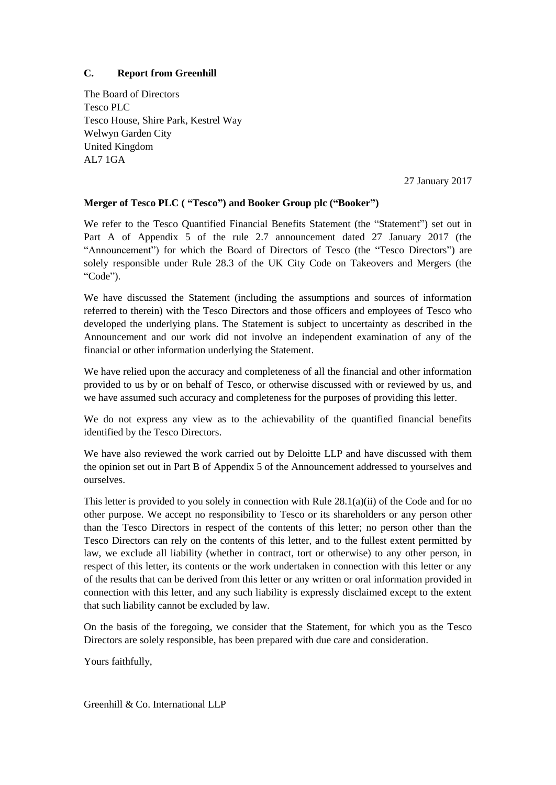## **C. Report from Greenhill**

The Board of Directors Tesco PLC Tesco House, Shire Park, Kestrel Way Welwyn Garden City United Kingdom AL7 1GA

27 January 2017

## **Merger of Tesco PLC ( "Tesco") and Booker Group plc ("Booker")**

We refer to the Tesco Quantified Financial Benefits Statement (the "Statement") set out in Part [A](#page-60-1) of [Appendix 5](#page-60-0) of the rule 2.7 announcement dated 27 January 2017 (the "Announcement") for which the Board of Directors of Tesco (the "Tesco Directors") are solely responsible under Rule 28.3 of the UK City Code on Takeovers and Mergers (the "Code").

We have discussed the Statement (including the assumptions and sources of information referred to therein) with the Tesco Directors and those officers and employees of Tesco who developed the underlying plans. The Statement is subject to uncertainty as described in the Announcement and our work did not involve an independent examination of any of the financial or other information underlying the Statement.

We have relied upon the accuracy and completeness of all the financial and other information provided to us by or on behalf of Tesco, or otherwise discussed with or reviewed by us, and we have assumed such accuracy and completeness for the purposes of providing this letter.

We do not express any view as to the achievability of the quantified financial benefits identified by the Tesco Directors.

We have also reviewed the work carried out by Deloitte LLP and have discussed with them the opinion set out in Part [B](#page-64-0) of [Appendix 5](#page-60-0) of the Announcement addressed to yourselves and ourselves.

This letter is provided to you solely in connection with Rule 28.1(a)(ii) of the Code and for no other purpose. We accept no responsibility to Tesco or its shareholders or any person other than the Tesco Directors in respect of the contents of this letter; no person other than the Tesco Directors can rely on the contents of this letter, and to the fullest extent permitted by law, we exclude all liability (whether in contract, tort or otherwise) to any other person, in respect of this letter, its contents or the work undertaken in connection with this letter or any of the results that can be derived from this letter or any written or oral information provided in connection with this letter, and any such liability is expressly disclaimed except to the extent that such liability cannot be excluded by law.

On the basis of the foregoing, we consider that the Statement, for which you as the Tesco Directors are solely responsible, has been prepared with due care and consideration.

Yours faithfully,

Greenhill & Co. International LLP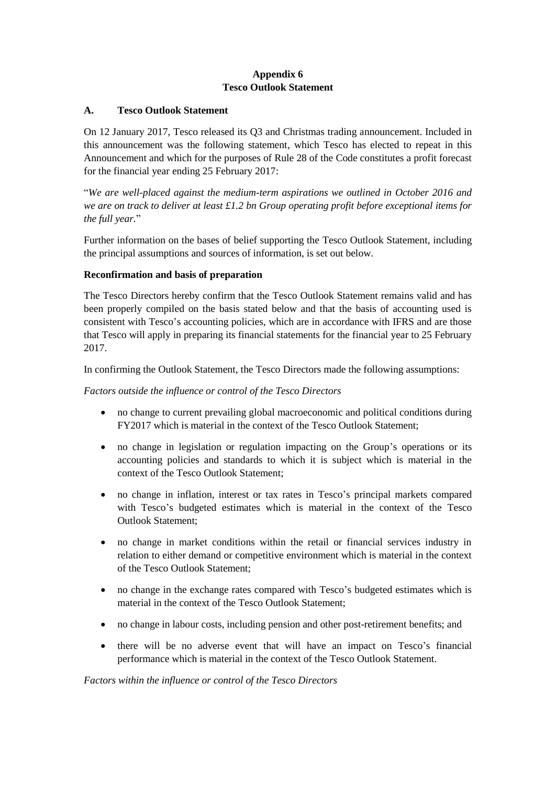# **Appendix 6 Tesco Outlook Statement**

### <span id="page-67-0"></span>**A. Tesco Outlook Statement**

On 12 January 2017, Tesco released its Q3 and Christmas trading announcement. Included in this announcement was the following statement, which Tesco has elected to repeat in this Announcement and which for the purposes of Rule 28 of the Code constitutes a profit forecast for the financial year ending 25 February 2017:

"*We are well-placed against the medium-term aspirations we outlined in October 2016 and we are on track to deliver at least £1.2 bn Group operating profit before exceptional items for the full year.*"

Further information on the bases of belief supporting the Tesco Outlook Statement, including the principal assumptions and sources of information, is set out below.

## **Reconfirmation and basis of preparation**

The Tesco Directors hereby confirm that the Tesco Outlook Statement remains valid and has been properly compiled on the basis stated below and that the basis of accounting used is consistent with Tesco's accounting policies, which are in accordance with IFRS and are those that Tesco will apply in preparing its financial statements for the financial year to 25 February 2017.

In confirming the Outlook Statement, the Tesco Directors made the following assumptions:

## *Factors outside the influence or control of the Tesco Directors*

- no change to current prevailing global macroeconomic and political conditions during FY2017 which is material in the context of the Tesco Outlook Statement;
- no change in legislation or regulation impacting on the Group's operations or its accounting policies and standards to which it is subject which is material in the context of the Tesco Outlook Statement;
- no change in inflation, interest or tax rates in Tesco's principal markets compared with Tesco's budgeted estimates which is material in the context of the Tesco Outlook Statement;
- no change in market conditions within the retail or financial services industry in relation to either demand or competitive environment which is material in the context of the Tesco Outlook Statement;
- no change in the exchange rates compared with Tesco's budgeted estimates which is material in the context of the Tesco Outlook Statement;
- no change in labour costs, including pension and other post-retirement benefits; and
- there will be no adverse event that will have an impact on Tesco's financial performance which is material in the context of the Tesco Outlook Statement.

### *Factors within the influence or control of the Tesco Directors*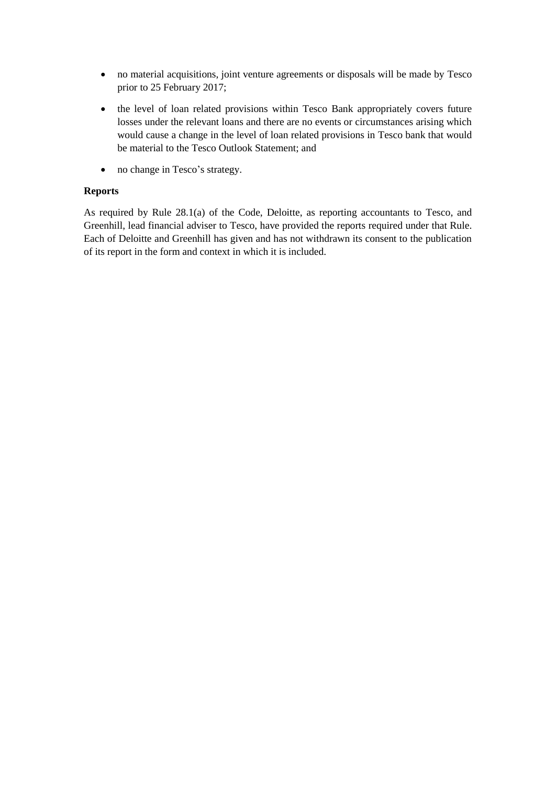- no material acquisitions, joint venture agreements or disposals will be made by Tesco prior to 25 February 2017;
- the level of loan related provisions within Tesco Bank appropriately covers future losses under the relevant loans and there are no events or circumstances arising which would cause a change in the level of loan related provisions in Tesco bank that would be material to the Tesco Outlook Statement; and
- no change in Tesco's strategy.

# **Reports**

As required by Rule 28.1(a) of the Code, Deloitte, as reporting accountants to Tesco, and Greenhill, lead financial adviser to Tesco, have provided the reports required under that Rule. Each of Deloitte and Greenhill has given and has not withdrawn its consent to the publication of its report in the form and context in which it is included.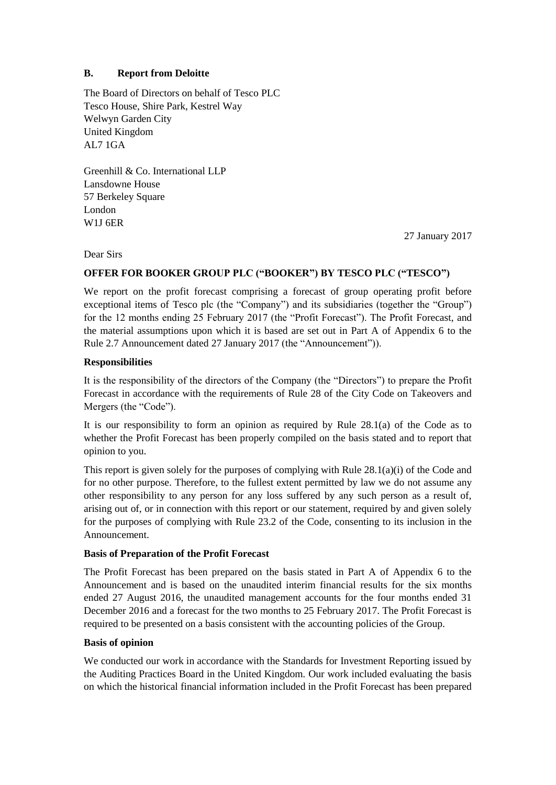## **B. Report from Deloitte**

The Board of Directors on behalf of Tesco PLC Tesco House, Shire Park, Kestrel Way Welwyn Garden City United Kingdom AL7 1GA

Greenhill & Co. International LLP Lansdowne House 57 Berkeley Square London W1J 6ER

27 January 2017

Dear Sirs

## **OFFER FOR BOOKER GROUP PLC ("BOOKER") BY TESCO PLC ("TESCO")**

We report on the profit forecast comprising a forecast of group operating profit before exceptional items of Tesco plc (the "Company") and its subsidiaries (together the "Group") for the 12 months ending 25 February 2017 (the "Profit Forecast"). The Profit Forecast, and the material assumptions upon which it is based are set out in Part A of Appendix 6 to the Rule 2.7 Announcement dated 27 January 2017 (the "Announcement")).

## **Responsibilities**

It is the responsibility of the directors of the Company (the "Directors") to prepare the Profit Forecast in accordance with the requirements of Rule 28 of the City Code on Takeovers and Mergers (the "Code").

It is our responsibility to form an opinion as required by Rule 28.1(a) of the Code as to whether the Profit Forecast has been properly compiled on the basis stated and to report that opinion to you.

This report is given solely for the purposes of complying with Rule 28.1(a)(i) of the Code and for no other purpose. Therefore, to the fullest extent permitted by law we do not assume any other responsibility to any person for any loss suffered by any such person as a result of, arising out of, or in connection with this report or our statement, required by and given solely for the purposes of complying with Rule 23.2 of the Code, consenting to its inclusion in the Announcement.

### **Basis of Preparation of the Profit Forecast**

The Profit Forecast has been prepared on the basis stated in Part A of Appendix 6 to the Announcement and is based on the unaudited interim financial results for the six months ended 27 August 2016, the unaudited management accounts for the four months ended 31 December 2016 and a forecast for the two months to 25 February 2017. The Profit Forecast is required to be presented on a basis consistent with the accounting policies of the Group.

### **Basis of opinion**

We conducted our work in accordance with the Standards for Investment Reporting issued by the Auditing Practices Board in the United Kingdom. Our work included evaluating the basis on which the historical financial information included in the Profit Forecast has been prepared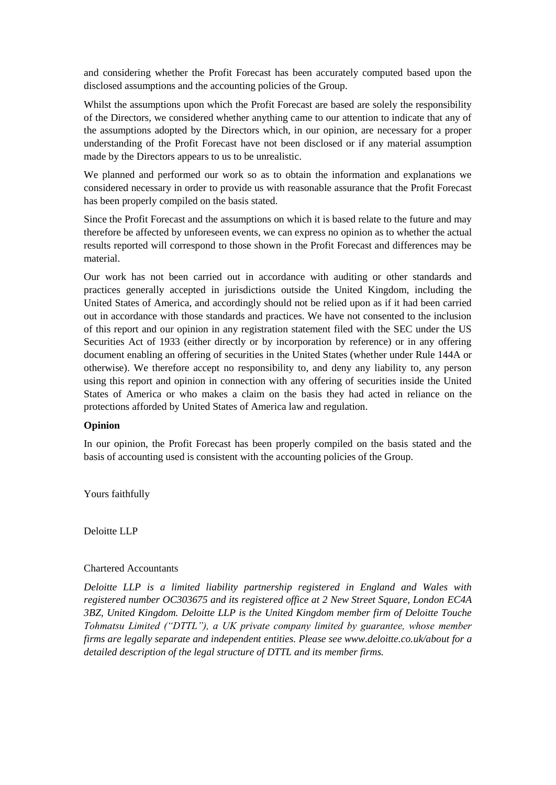and considering whether the Profit Forecast has been accurately computed based upon the disclosed assumptions and the accounting policies of the Group.

Whilst the assumptions upon which the Profit Forecast are based are solely the responsibility of the Directors, we considered whether anything came to our attention to indicate that any of the assumptions adopted by the Directors which, in our opinion, are necessary for a proper understanding of the Profit Forecast have not been disclosed or if any material assumption made by the Directors appears to us to be unrealistic.

We planned and performed our work so as to obtain the information and explanations we considered necessary in order to provide us with reasonable assurance that the Profit Forecast has been properly compiled on the basis stated.

Since the Profit Forecast and the assumptions on which it is based relate to the future and may therefore be affected by unforeseen events, we can express no opinion as to whether the actual results reported will correspond to those shown in the Profit Forecast and differences may be material.

Our work has not been carried out in accordance with auditing or other standards and practices generally accepted in jurisdictions outside the United Kingdom, including the United States of America, and accordingly should not be relied upon as if it had been carried out in accordance with those standards and practices. We have not consented to the inclusion of this report and our opinion in any registration statement filed with the SEC under the US Securities Act of 1933 (either directly or by incorporation by reference) or in any offering document enabling an offering of securities in the United States (whether under Rule 144A or otherwise). We therefore accept no responsibility to, and deny any liability to, any person using this report and opinion in connection with any offering of securities inside the United States of America or who makes a claim on the basis they had acted in reliance on the protections afforded by United States of America law and regulation.

### **Opinion**

In our opinion, the Profit Forecast has been properly compiled on the basis stated and the basis of accounting used is consistent with the accounting policies of the Group.

Yours faithfully

Deloitte LLP

#### Chartered Accountants

*Deloitte LLP is a limited liability partnership registered in England and Wales with registered number OC303675 and its registered office at 2 New Street Square, London EC4A 3BZ, United Kingdom. Deloitte LLP is the United Kingdom member firm of Deloitte Touche Tohmatsu Limited ("DTTL"), a UK private company limited by guarantee, whose member firms are legally separate and independent entities. Please see www.deloitte.co.uk/about for a detailed description of the legal structure of DTTL and its member firms.*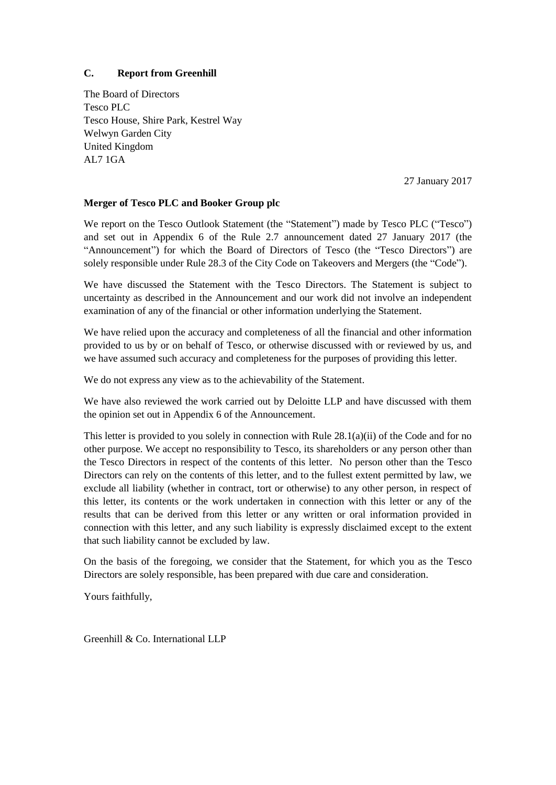## **C. Report from Greenhill**

The Board of Directors Tesco PLC Tesco House, Shire Park, Kestrel Way Welwyn Garden City United Kingdom AL7 1GA

27 January 2017

### **Merger of Tesco PLC and Booker Group plc**

We report on the Tesco Outlook Statement (the "Statement") made by Tesco PLC ("Tesco") and set out in [Appendix 6](#page-67-0) of the Rule 2.7 announcement dated 27 January 2017 (the "Announcement") for which the Board of Directors of Tesco (the "Tesco Directors") are solely responsible under Rule 28.3 of the City Code on Takeovers and Mergers (the "Code").

We have discussed the Statement with the Tesco Directors. The Statement is subject to uncertainty as described in the Announcement and our work did not involve an independent examination of any of the financial or other information underlying the Statement.

We have relied upon the accuracy and completeness of all the financial and other information provided to us by or on behalf of Tesco, or otherwise discussed with or reviewed by us, and we have assumed such accuracy and completeness for the purposes of providing this letter.

We do not express any view as to the achievability of the Statement.

We have also reviewed the work carried out by Deloitte LLP and have discussed with them the opinion set out in [Appendix 6](#page-67-0) of the Announcement.

This letter is provided to you solely in connection with Rule 28.1(a)(ii) of the Code and for no other purpose. We accept no responsibility to Tesco, its shareholders or any person other than the Tesco Directors in respect of the contents of this letter. No person other than the Tesco Directors can rely on the contents of this letter, and to the fullest extent permitted by law, we exclude all liability (whether in contract, tort or otherwise) to any other person, in respect of this letter, its contents or the work undertaken in connection with this letter or any of the results that can be derived from this letter or any written or oral information provided in connection with this letter, and any such liability is expressly disclaimed except to the extent that such liability cannot be excluded by law.

On the basis of the foregoing, we consider that the Statement, for which you as the Tesco Directors are solely responsible, has been prepared with due care and consideration.

Yours faithfully,

Greenhill & Co. International LLP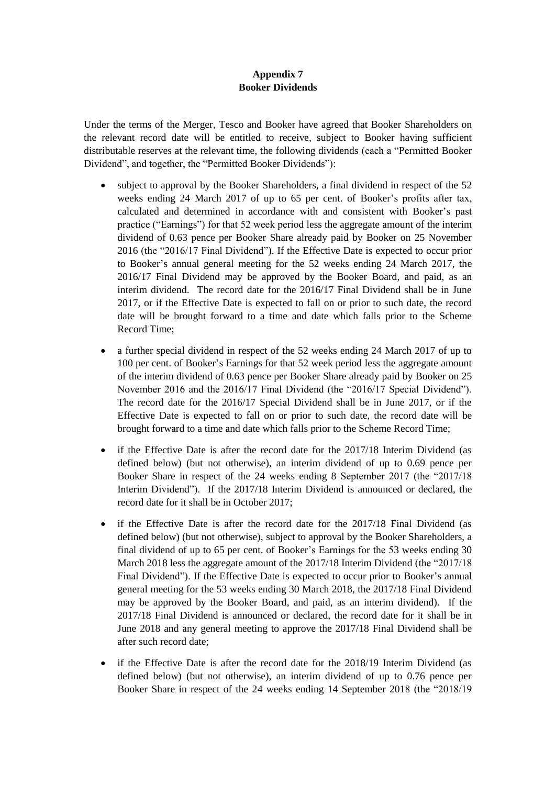## **Appendix 7 Booker Dividends**

<span id="page-72-0"></span>Under the terms of the Merger, Tesco and Booker have agreed that Booker Shareholders on the relevant record date will be entitled to receive, subject to Booker having sufficient distributable reserves at the relevant time, the following dividends (each a "Permitted Booker Dividend", and together, the "Permitted Booker Dividends"):

- subject to approval by the Booker Shareholders, a final dividend in respect of the 52 weeks ending 24 March 2017 of up to 65 per cent. of Booker's profits after tax, calculated and determined in accordance with and consistent with Booker's past practice ("Earnings") for that 52 week period less the aggregate amount of the interim dividend of 0.63 pence per Booker Share already paid by Booker on 25 November 2016 (the "2016/17 Final Dividend"). If the Effective Date is expected to occur prior to Booker's annual general meeting for the 52 weeks ending 24 March 2017, the 2016/17 Final Dividend may be approved by the Booker Board, and paid, as an interim dividend. The record date for the 2016/17 Final Dividend shall be in June 2017, or if the Effective Date is expected to fall on or prior to such date, the record date will be brought forward to a time and date which falls prior to the Scheme Record Time;
- a further special dividend in respect of the 52 weeks ending 24 March 2017 of up to 100 per cent. of Booker's Earnings for that 52 week period less the aggregate amount of the interim dividend of 0.63 pence per Booker Share already paid by Booker on 25 November 2016 and the 2016/17 Final Dividend (the "2016/17 Special Dividend"). The record date for the 2016/17 Special Dividend shall be in June 2017, or if the Effective Date is expected to fall on or prior to such date, the record date will be brought forward to a time and date which falls prior to the Scheme Record Time;
- if the Effective Date is after the record date for the 2017/18 Interim Dividend (as defined below) (but not otherwise), an interim dividend of up to 0.69 pence per Booker Share in respect of the 24 weeks ending 8 September 2017 (the "2017/18 Interim Dividend"). If the 2017/18 Interim Dividend is announced or declared, the record date for it shall be in October 2017;
- if the Effective Date is after the record date for the 2017/18 Final Dividend (as defined below) (but not otherwise), subject to approval by the Booker Shareholders, a final dividend of up to 65 per cent. of Booker's Earnings for the 53 weeks ending 30 March 2018 less the aggregate amount of the 2017/18 Interim Dividend (the "2017/18 Final Dividend"). If the Effective Date is expected to occur prior to Booker's annual general meeting for the 53 weeks ending 30 March 2018, the 2017/18 Final Dividend may be approved by the Booker Board, and paid, as an interim dividend). If the 2017/18 Final Dividend is announced or declared, the record date for it shall be in June 2018 and any general meeting to approve the 2017/18 Final Dividend shall be after such record date;
- if the Effective Date is after the record date for the 2018/19 Interim Dividend (as defined below) (but not otherwise), an interim dividend of up to 0.76 pence per Booker Share in respect of the 24 weeks ending 14 September 2018 (the "2018/19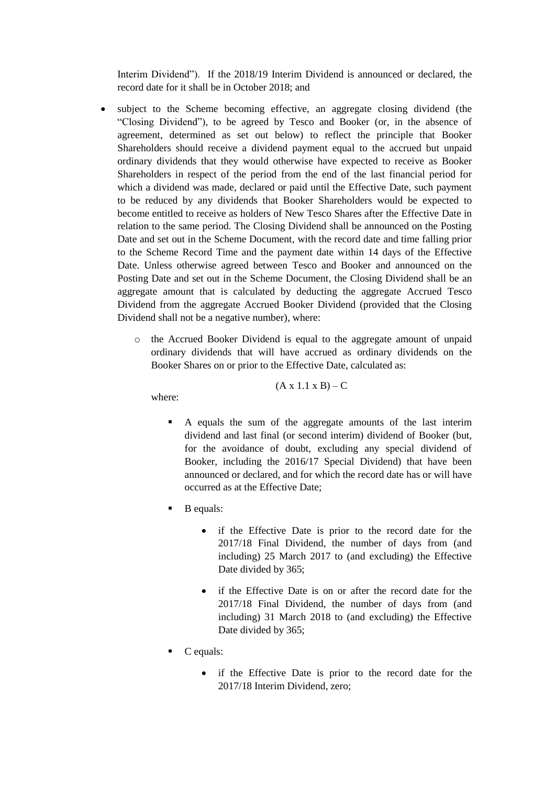Interim Dividend"). If the 2018/19 Interim Dividend is announced or declared, the record date for it shall be in October 2018; and

- subject to the Scheme becoming effective, an aggregate closing dividend (the "Closing Dividend"), to be agreed by Tesco and Booker (or, in the absence of agreement, determined as set out below) to reflect the principle that Booker Shareholders should receive a dividend payment equal to the accrued but unpaid ordinary dividends that they would otherwise have expected to receive as Booker Shareholders in respect of the period from the end of the last financial period for which a dividend was made, declared or paid until the Effective Date, such payment to be reduced by any dividends that Booker Shareholders would be expected to become entitled to receive as holders of New Tesco Shares after the Effective Date in relation to the same period. The Closing Dividend shall be announced on the Posting Date and set out in the Scheme Document, with the record date and time falling prior to the Scheme Record Time and the payment date within 14 days of the Effective Date. Unless otherwise agreed between Tesco and Booker and announced on the Posting Date and set out in the Scheme Document, the Closing Dividend shall be an aggregate amount that is calculated by deducting the aggregate Accrued Tesco Dividend from the aggregate Accrued Booker Dividend (provided that the Closing Dividend shall not be a negative number), where:
	- o the Accrued Booker Dividend is equal to the aggregate amount of unpaid ordinary dividends that will have accrued as ordinary dividends on the Booker Shares on or prior to the Effective Date, calculated as:

$$
(A x 1.1 x B) - C
$$

where:

- A equals the sum of the aggregate amounts of the last interim dividend and last final (or second interim) dividend of Booker (but, for the avoidance of doubt, excluding any special dividend of Booker, including the 2016/17 Special Dividend) that have been announced or declared, and for which the record date has or will have occurred as at the Effective Date;
- B equals:
	- if the Effective Date is prior to the record date for the 2017/18 Final Dividend, the number of days from (and including) 25 March 2017 to (and excluding) the Effective Date divided by 365;
	- if the Effective Date is on or after the record date for the 2017/18 Final Dividend, the number of days from (and including) 31 March 2018 to (and excluding) the Effective Date divided by 365;
- C equals:
	- if the Effective Date is prior to the record date for the 2017/18 Interim Dividend, zero;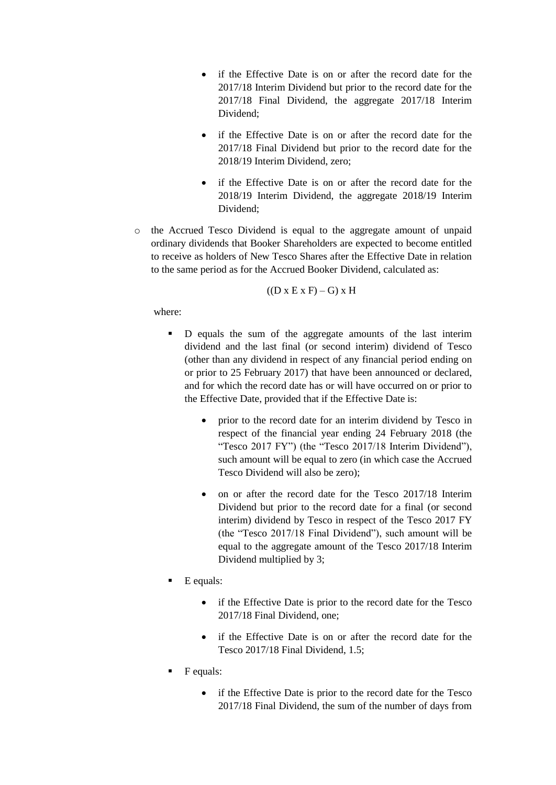- if the Effective Date is on or after the record date for the 2017/18 Interim Dividend but prior to the record date for the 2017/18 Final Dividend, the aggregate 2017/18 Interim Dividend<sup>.</sup>
- if the Effective Date is on or after the record date for the 2017/18 Final Dividend but prior to the record date for the 2018/19 Interim Dividend, zero;
- if the Effective Date is on or after the record date for the 2018/19 Interim Dividend, the aggregate 2018/19 Interim Dividend;
- o the Accrued Tesco Dividend is equal to the aggregate amount of unpaid ordinary dividends that Booker Shareholders are expected to become entitled to receive as holders of New Tesco Shares after the Effective Date in relation to the same period as for the Accrued Booker Dividend, calculated as:

$$
((D x E x F) - G) x H
$$

where:

- D equals the sum of the aggregate amounts of the last interim dividend and the last final (or second interim) dividend of Tesco (other than any dividend in respect of any financial period ending on or prior to 25 February 2017) that have been announced or declared, and for which the record date has or will have occurred on or prior to the Effective Date, provided that if the Effective Date is:
	- prior to the record date for an interim dividend by Tesco in respect of the financial year ending 24 February 2018 (the "Tesco 2017 FY") (the "Tesco 2017/18 Interim Dividend"), such amount will be equal to zero (in which case the Accrued Tesco Dividend will also be zero);
	- on or after the record date for the Tesco 2017/18 Interim Dividend but prior to the record date for a final (or second interim) dividend by Tesco in respect of the Tesco 2017 FY (the "Tesco 2017/18 Final Dividend"), such amount will be equal to the aggregate amount of the Tesco 2017/18 Interim Dividend multiplied by 3;
- E equals:
	- if the Effective Date is prior to the record date for the Tesco 2017/18 Final Dividend, one;
	- if the Effective Date is on or after the record date for the Tesco 2017/18 Final Dividend, 1.5;
- F equals:
	- if the Effective Date is prior to the record date for the Tesco 2017/18 Final Dividend, the sum of the number of days from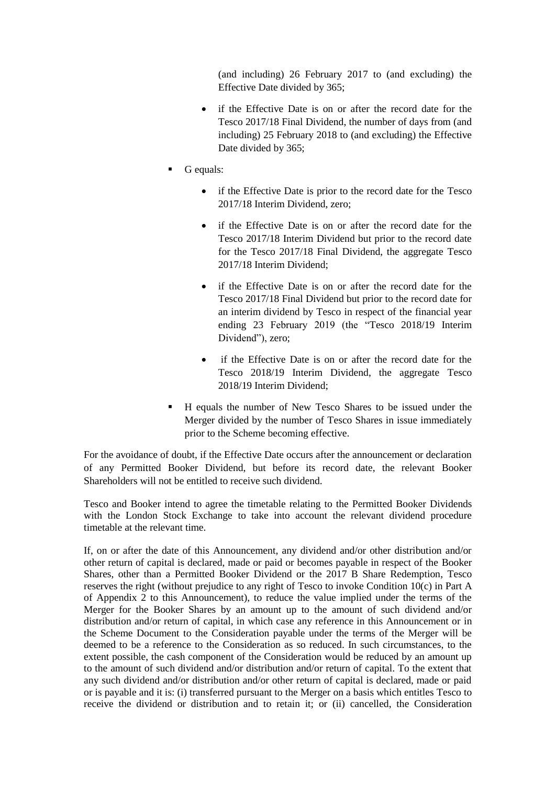(and including) 26 February 2017 to (and excluding) the Effective Date divided by 365;

- if the Effective Date is on or after the record date for the Tesco 2017/18 Final Dividend, the number of days from (and including) 25 February 2018 to (and excluding) the Effective Date divided by 365;
- G equals:
	- if the Effective Date is prior to the record date for the Tesco 2017/18 Interim Dividend, zero;
	- if the Effective Date is on or after the record date for the Tesco 2017/18 Interim Dividend but prior to the record date for the Tesco 2017/18 Final Dividend, the aggregate Tesco 2017/18 Interim Dividend;
	- if the Effective Date is on or after the record date for the Tesco 2017/18 Final Dividend but prior to the record date for an interim dividend by Tesco in respect of the financial year ending 23 February 2019 (the "Tesco 2018/19 Interim Dividend"), zero;
	- if the Effective Date is on or after the record date for the Tesco 2018/19 Interim Dividend, the aggregate Tesco 2018/19 Interim Dividend;
- H equals the number of New Tesco Shares to be issued under the Merger divided by the number of Tesco Shares in issue immediately prior to the Scheme becoming effective.

For the avoidance of doubt, if the Effective Date occurs after the announcement or declaration of any Permitted Booker Dividend, but before its record date, the relevant Booker Shareholders will not be entitled to receive such dividend.

Tesco and Booker intend to agree the timetable relating to the Permitted Booker Dividends with the London Stock Exchange to take into account the relevant dividend procedure timetable at the relevant time.

If, on or after the date of this Announcement, any dividend and/or other distribution and/or other return of capital is declared, made or paid or becomes payable in respect of the Booker Shares, other than a Permitted Booker Dividend or the 2017 B Share Redemption, Tesco reserves the right (without prejudice to any right of Tesco to invoke Condition 1[0\(c\)](#page-49-0) in Part [A](#page-43-0) of [Appendix 2](#page-43-1) to this Announcement), to reduce the value implied under the terms of the Merger for the Booker Shares by an amount up to the amount of such dividend and/or distribution and/or return of capital, in which case any reference in this Announcement or in the Scheme Document to the Consideration payable under the terms of the Merger will be deemed to be a reference to the Consideration as so reduced. In such circumstances, to the extent possible, the cash component of the Consideration would be reduced by an amount up to the amount of such dividend and/or distribution and/or return of capital. To the extent that any such dividend and/or distribution and/or other return of capital is declared, made or paid or is payable and it is: (i) transferred pursuant to the Merger on a basis which entitles Tesco to receive the dividend or distribution and to retain it; or (ii) cancelled, the Consideration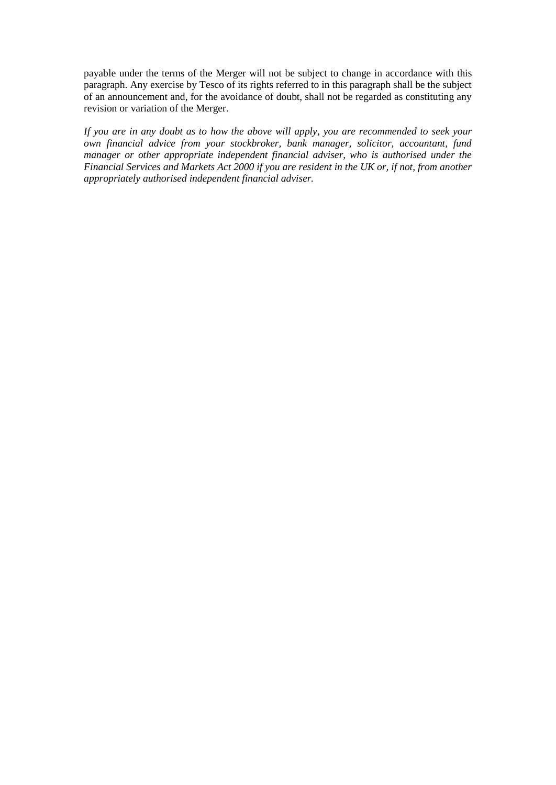payable under the terms of the Merger will not be subject to change in accordance with this paragraph. Any exercise by Tesco of its rights referred to in this paragraph shall be the subject of an announcement and, for the avoidance of doubt, shall not be regarded as constituting any revision or variation of the Merger.

*If you are in any doubt as to how the above will apply, you are recommended to seek your own financial advice from your stockbroker, bank manager, solicitor, accountant, fund manager or other appropriate independent financial adviser, who is authorised under the Financial Services and Markets Act 2000 if you are resident in the UK or, if not, from another appropriately authorised independent financial adviser.*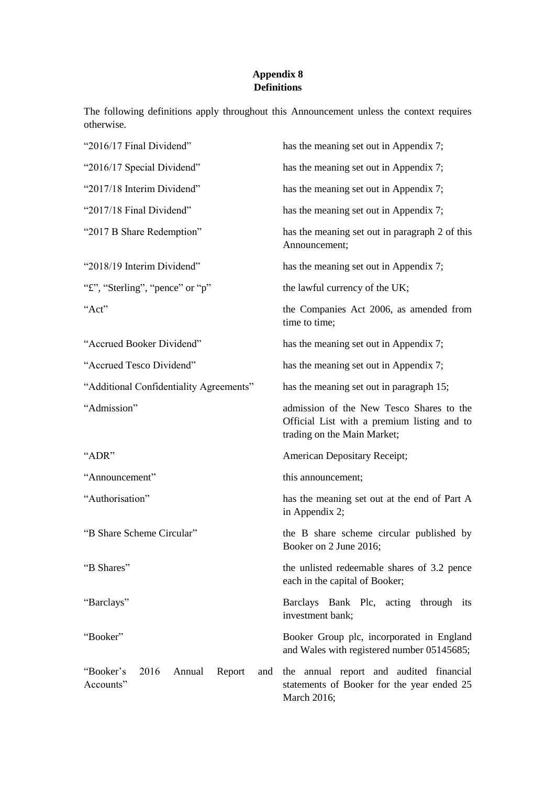## **Appendix 8 Definitions**

The following definitions apply throughout this Announcement unless the context requires otherwise.

| "2016/17 Final Dividend"                                  | has the meaning set out in Appendix 7;                                                                                 |
|-----------------------------------------------------------|------------------------------------------------------------------------------------------------------------------------|
| "2016/17 Special Dividend"                                | has the meaning set out in Appendix 7;                                                                                 |
| "2017/18 Interim Dividend"                                | has the meaning set out in Appendix 7;                                                                                 |
| "2017/18 Final Dividend"                                  | has the meaning set out in Appendix 7;                                                                                 |
| "2017 B Share Redemption"                                 | has the meaning set out in paragraph 2 of this<br>Announcement;                                                        |
| "2018/19 Interim Dividend"                                | has the meaning set out in Appendix 7;                                                                                 |
| "f", "Sterling", "pence" or "p"                           | the lawful currency of the UK;                                                                                         |
| "Act"                                                     | the Companies Act 2006, as amended from<br>time to time;                                                               |
| "Accrued Booker Dividend"                                 | has the meaning set out in Appendix 7;                                                                                 |
| "Accrued Tesco Dividend"                                  | has the meaning set out in Appendix 7;                                                                                 |
| "Additional Confidentiality Agreements"                   | has the meaning set out in paragraph 15;                                                                               |
| "Admission"                                               | admission of the New Tesco Shares to the<br>Official List with a premium listing and to<br>trading on the Main Market; |
| "ADR"                                                     | American Depositary Receipt;                                                                                           |
| "Announcement"                                            | this announcement;                                                                                                     |
| "Authorisation"                                           | has the meaning set out at the end of Part A<br>in Appendix 2;                                                         |
| "B Share Scheme Circular"                                 | the B share scheme circular published by<br>Booker on 2 June 2016;                                                     |
| "B Shares"                                                | the unlisted redeemable shares of 3.2 pence<br>each in the capital of Booker;                                          |
| "Barclays"                                                | Barclays Bank Plc, acting through its<br>investment bank;                                                              |
| "Booker"                                                  | Booker Group plc, incorporated in England<br>and Wales with registered number 05145685;                                |
| "Booker's<br>2016<br>Annual<br>Report<br>and<br>Accounts" | the annual report and audited financial<br>statements of Booker for the year ended 25<br>March 2016;                   |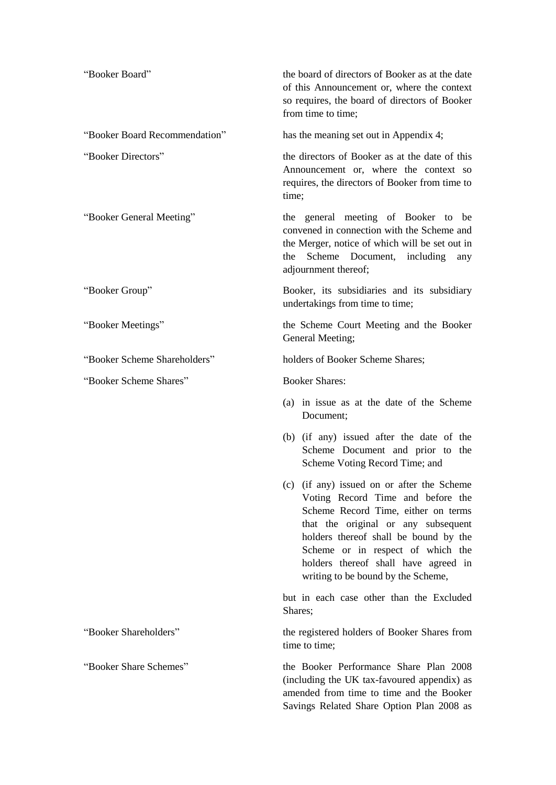| "Booker Board"                | the board of directors of Booker as at the date<br>of this Announcement or, where the context<br>so requires, the board of directors of Booker<br>from time to time;                                                                                                                                                      |
|-------------------------------|---------------------------------------------------------------------------------------------------------------------------------------------------------------------------------------------------------------------------------------------------------------------------------------------------------------------------|
| "Booker Board Recommendation" | has the meaning set out in Appendix 4;                                                                                                                                                                                                                                                                                    |
| "Booker Directors"            | the directors of Booker as at the date of this<br>Announcement or, where the context so<br>requires, the directors of Booker from time to<br>time;                                                                                                                                                                        |
| "Booker General Meeting"      | the general meeting of Booker to be<br>convened in connection with the Scheme and<br>the Merger, notice of which will be set out in<br>Scheme Document,<br>the<br>including<br>any<br>adjournment thereof;                                                                                                                |
| "Booker Group"                | Booker, its subsidiaries and its subsidiary<br>undertakings from time to time;                                                                                                                                                                                                                                            |
| "Booker Meetings"             | the Scheme Court Meeting and the Booker<br>General Meeting;                                                                                                                                                                                                                                                               |
| "Booker Scheme Shareholders"  | holders of Booker Scheme Shares;                                                                                                                                                                                                                                                                                          |
| "Booker Scheme Shares"        | <b>Booker Shares:</b>                                                                                                                                                                                                                                                                                                     |
|                               | (a) in issue as at the date of the Scheme<br>Document;                                                                                                                                                                                                                                                                    |
|                               | (b) (if any) issued after the date of the<br>Scheme Document and prior to the<br>Scheme Voting Record Time; and                                                                                                                                                                                                           |
|                               | (c) (if any) issued on or after the Scheme<br>Voting Record Time and before the<br>Scheme Record Time, either on terms<br>that the original or any subsequent<br>holders thereof shall be bound by the<br>Scheme or in respect of which the<br>holders thereof shall have agreed in<br>writing to be bound by the Scheme, |
|                               | but in each case other than the Excluded<br>Shares;                                                                                                                                                                                                                                                                       |
| "Booker Shareholders"         | the registered holders of Booker Shares from<br>time to time;                                                                                                                                                                                                                                                             |
| "Booker Share Schemes"        | the Booker Performance Share Plan 2008<br>(including the UK tax-favoured appendix) as<br>amended from time to time and the Booker<br>Savings Related Share Option Plan 2008 as                                                                                                                                            |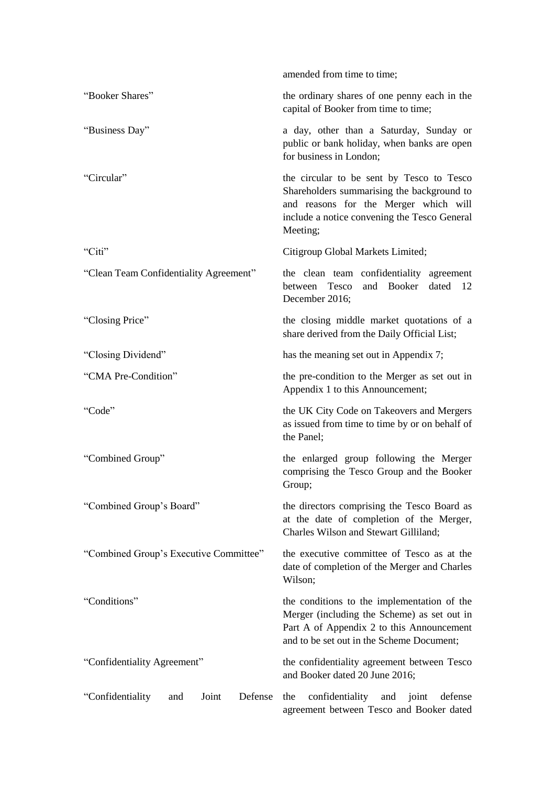|                                             | amended from time to time;                                                                                                                                                                   |
|---------------------------------------------|----------------------------------------------------------------------------------------------------------------------------------------------------------------------------------------------|
| "Booker Shares"                             | the ordinary shares of one penny each in the<br>capital of Booker from time to time;                                                                                                         |
| "Business Day"                              | a day, other than a Saturday, Sunday or<br>public or bank holiday, when banks are open<br>for business in London;                                                                            |
| "Circular"                                  | the circular to be sent by Tesco to Tesco<br>Shareholders summarising the background to<br>and reasons for the Merger which will<br>include a notice convening the Tesco General<br>Meeting; |
| "Citi"                                      | Citigroup Global Markets Limited;                                                                                                                                                            |
| "Clean Team Confidentiality Agreement"      | the clean team confidentiality agreement<br>and Booker<br>between Tesco<br>dated 12<br>December 2016;                                                                                        |
| "Closing Price"                             | the closing middle market quotations of a<br>share derived from the Daily Official List;                                                                                                     |
| "Closing Dividend"                          | has the meaning set out in Appendix 7;                                                                                                                                                       |
| "CMA Pre-Condition"                         | the pre-condition to the Merger as set out in<br>Appendix 1 to this Announcement;                                                                                                            |
| "Code"                                      | the UK City Code on Takeovers and Mergers<br>as issued from time to time by or on behalf of<br>the Panel:                                                                                    |
| "Combined Group"                            | the enlarged group following the Merger<br>comprising the Tesco Group and the Booker<br>Group;                                                                                               |
| "Combined Group's Board"                    | the directors comprising the Tesco Board as<br>at the date of completion of the Merger,<br>Charles Wilson and Stewart Gilliland;                                                             |
| "Combined Group's Executive Committee"      | the executive committee of Tesco as at the<br>date of completion of the Merger and Charles<br>Wilson;                                                                                        |
| "Conditions"                                | the conditions to the implementation of the<br>Merger (including the Scheme) as set out in<br>Part A of Appendix 2 to this Announcement<br>and to be set out in the Scheme Document;         |
| "Confidentiality Agreement"                 | the confidentiality agreement between Tesco<br>and Booker dated 20 June 2016;                                                                                                                |
| "Confidentiality<br>Joint<br>Defense<br>and | confidentiality<br>joint<br>defense<br>the<br>and<br>agreement between Tesco and Booker dated                                                                                                |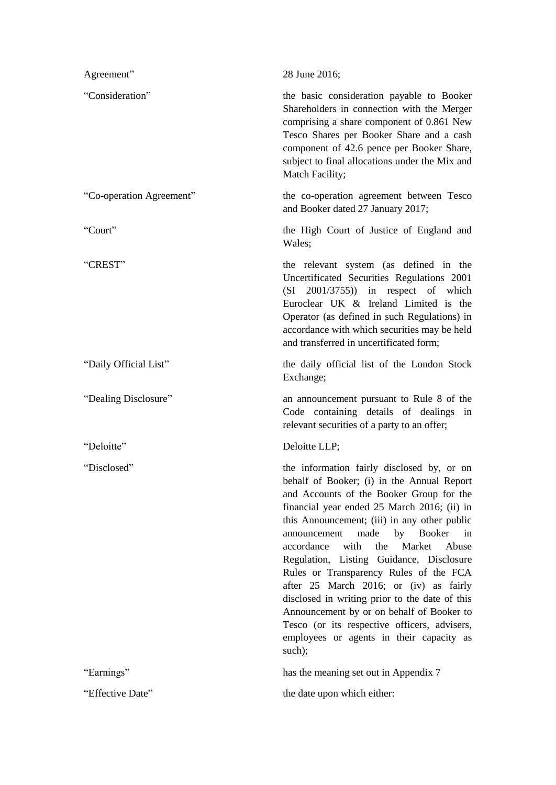| Agreement"               | 28 June 2016;                                                                                                                                                                                                                                                                                                                                                                                                                                                                                                                                                                                                                                                              |
|--------------------------|----------------------------------------------------------------------------------------------------------------------------------------------------------------------------------------------------------------------------------------------------------------------------------------------------------------------------------------------------------------------------------------------------------------------------------------------------------------------------------------------------------------------------------------------------------------------------------------------------------------------------------------------------------------------------|
| "Consideration"          | the basic consideration payable to Booker<br>Shareholders in connection with the Merger<br>comprising a share component of 0.861 New<br>Tesco Shares per Booker Share and a cash<br>component of 42.6 pence per Booker Share,<br>subject to final allocations under the Mix and<br>Match Facility;                                                                                                                                                                                                                                                                                                                                                                         |
| "Co-operation Agreement" | the co-operation agreement between Tesco<br>and Booker dated 27 January 2017;                                                                                                                                                                                                                                                                                                                                                                                                                                                                                                                                                                                              |
| "Court"                  | the High Court of Justice of England and<br>Wales;                                                                                                                                                                                                                                                                                                                                                                                                                                                                                                                                                                                                                         |
| "CREST"                  | the relevant system (as defined in the<br>Uncertificated Securities Regulations 2001<br>$(SI \quad 2001/3755)$ in respect of which<br>Euroclear UK & Ireland Limited is the<br>Operator (as defined in such Regulations) in<br>accordance with which securities may be held<br>and transferred in uncertificated form;                                                                                                                                                                                                                                                                                                                                                     |
| "Daily Official List"    | the daily official list of the London Stock<br>Exchange;                                                                                                                                                                                                                                                                                                                                                                                                                                                                                                                                                                                                                   |
| "Dealing Disclosure"     | an announcement pursuant to Rule 8 of the<br>Code containing details of dealings in                                                                                                                                                                                                                                                                                                                                                                                                                                                                                                                                                                                        |
|                          | relevant securities of a party to an offer;                                                                                                                                                                                                                                                                                                                                                                                                                                                                                                                                                                                                                                |
| "Deloitte"               | Deloitte LLP;                                                                                                                                                                                                                                                                                                                                                                                                                                                                                                                                                                                                                                                              |
| "Disclosed"              | the information fairly disclosed by, or on<br>behalf of Booker; (i) in the Annual Report<br>and Accounts of the Booker Group for the<br>financial year ended 25 March 2016; (ii) in<br>this Announcement; (iii) in any other public<br>made<br>announcement<br>by<br><b>Booker</b><br>in<br>with<br>the<br>Market Abuse<br>accordance<br>Regulation, Listing Guidance, Disclosure<br>Rules or Transparency Rules of the FCA<br>after 25 March 2016; or (iv) as fairly<br>disclosed in writing prior to the date of this<br>Announcement by or on behalf of Booker to<br>Tesco (or its respective officers, advisers,<br>employees or agents in their capacity as<br>such); |
| "Earnings"               | has the meaning set out in Appendix 7                                                                                                                                                                                                                                                                                                                                                                                                                                                                                                                                                                                                                                      |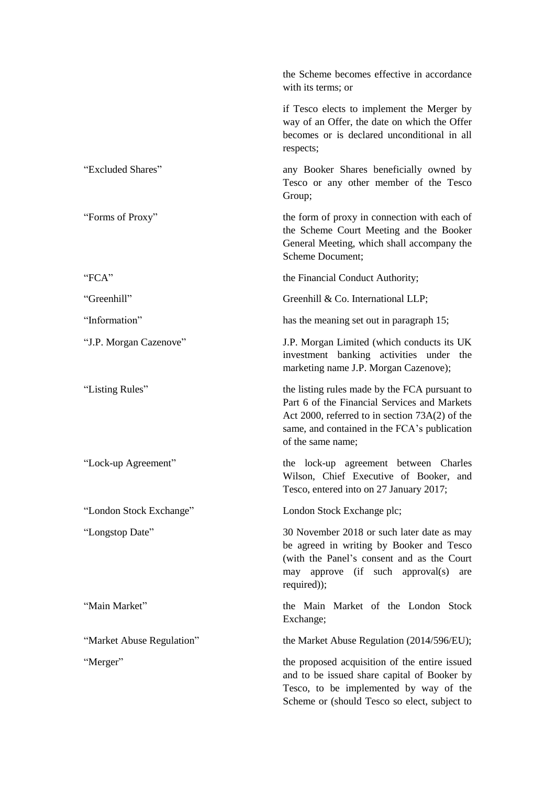|                           | the Scheme becomes effective in accordance<br>with its terms; or                                                                                                                                                       |
|---------------------------|------------------------------------------------------------------------------------------------------------------------------------------------------------------------------------------------------------------------|
|                           | if Tesco elects to implement the Merger by<br>way of an Offer, the date on which the Offer<br>becomes or is declared unconditional in all<br>respects;                                                                 |
| "Excluded Shares"         | any Booker Shares beneficially owned by<br>Tesco or any other member of the Tesco<br>Group;                                                                                                                            |
| "Forms of Proxy"          | the form of proxy in connection with each of<br>the Scheme Court Meeting and the Booker<br>General Meeting, which shall accompany the<br>Scheme Document;                                                              |
| "FCA"                     | the Financial Conduct Authority;                                                                                                                                                                                       |
| "Greenhill"               | Greenhill & Co. International LLP;                                                                                                                                                                                     |
| "Information"             | has the meaning set out in paragraph 15;                                                                                                                                                                               |
| "J.P. Morgan Cazenove"    | J.P. Morgan Limited (which conducts its UK<br>investment banking activities under the<br>marketing name J.P. Morgan Cazenove);                                                                                         |
| "Listing Rules"           | the listing rules made by the FCA pursuant to<br>Part 6 of the Financial Services and Markets<br>Act 2000, referred to in section $73A(2)$ of the<br>same, and contained in the FCA's publication<br>of the same name; |
| "Lock-up Agreement"       | the lock-up agreement between Charles<br>Wilson, Chief Executive of Booker, and<br>Tesco, entered into on 27 January 2017;                                                                                             |
| "London Stock Exchange"   | London Stock Exchange plc;                                                                                                                                                                                             |
| "Longstop Date"           | 30 November 2018 or such later date as may<br>be agreed in writing by Booker and Tesco<br>(with the Panel's consent and as the Court<br>may approve (if such approval(s)<br>are<br>required));                         |
| "Main Market"             | the Main Market of the London Stock<br>Exchange;                                                                                                                                                                       |
| "Market Abuse Regulation" | the Market Abuse Regulation (2014/596/EU);                                                                                                                                                                             |
| "Merger"                  | the proposed acquisition of the entire issued<br>and to be issued share capital of Booker by<br>Tesco, to be implemented by way of the<br>Scheme or (should Tesco so elect, subject to                                 |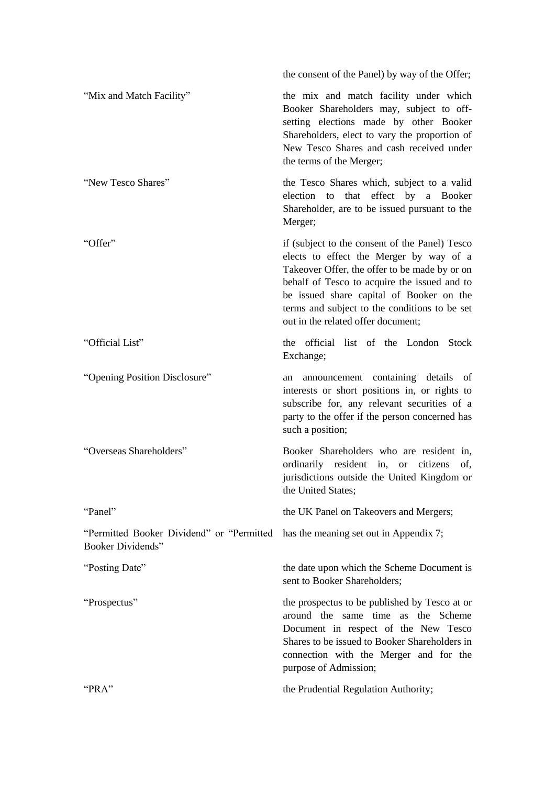|                                                                        | the consent of the Panel) by way of the Offer;                                                                                                                                                                                                                                                                                |
|------------------------------------------------------------------------|-------------------------------------------------------------------------------------------------------------------------------------------------------------------------------------------------------------------------------------------------------------------------------------------------------------------------------|
| "Mix and Match Facility"                                               | the mix and match facility under which<br>Booker Shareholders may, subject to off-<br>setting elections made by other Booker<br>Shareholders, elect to vary the proportion of<br>New Tesco Shares and cash received under<br>the terms of the Merger;                                                                         |
| "New Tesco Shares"                                                     | the Tesco Shares which, subject to a valid<br>effect<br>that<br>by<br>election<br>to<br>a<br>Booker<br>Shareholder, are to be issued pursuant to the<br>Merger;                                                                                                                                                               |
| "Offer"                                                                | if (subject to the consent of the Panel) Tesco<br>elects to effect the Merger by way of a<br>Takeover Offer, the offer to be made by or on<br>behalf of Tesco to acquire the issued and to<br>be issued share capital of Booker on the<br>terms and subject to the conditions to be set<br>out in the related offer document; |
| "Official List"                                                        | the official list of the London Stock<br>Exchange;                                                                                                                                                                                                                                                                            |
| "Opening Position Disclosure"                                          | announcement containing details of<br>an<br>interests or short positions in, or rights to<br>subscribe for, any relevant securities of a<br>party to the offer if the person concerned has<br>such a position;                                                                                                                |
| "Overseas Shareholders"                                                | Booker Shareholders who are resident in,<br>ordinarily resident in, or<br>citizens<br>of,<br>jurisdictions outside the United Kingdom or<br>the United States;                                                                                                                                                                |
| "Panel"                                                                | the UK Panel on Takeovers and Mergers;                                                                                                                                                                                                                                                                                        |
| "Permitted Booker Dividend" or "Permitted"<br><b>Booker Dividends"</b> | has the meaning set out in Appendix 7;                                                                                                                                                                                                                                                                                        |
| "Posting Date"                                                         | the date upon which the Scheme Document is<br>sent to Booker Shareholders;                                                                                                                                                                                                                                                    |
| "Prospectus"                                                           | the prospectus to be published by Tesco at or<br>around the same time as the Scheme<br>Document in respect of the New Tesco<br>Shares to be issued to Booker Shareholders in<br>connection with the Merger and for the<br>purpose of Admission;                                                                               |
| "PRA"                                                                  | the Prudential Regulation Authority;                                                                                                                                                                                                                                                                                          |
|                                                                        |                                                                                                                                                                                                                                                                                                                               |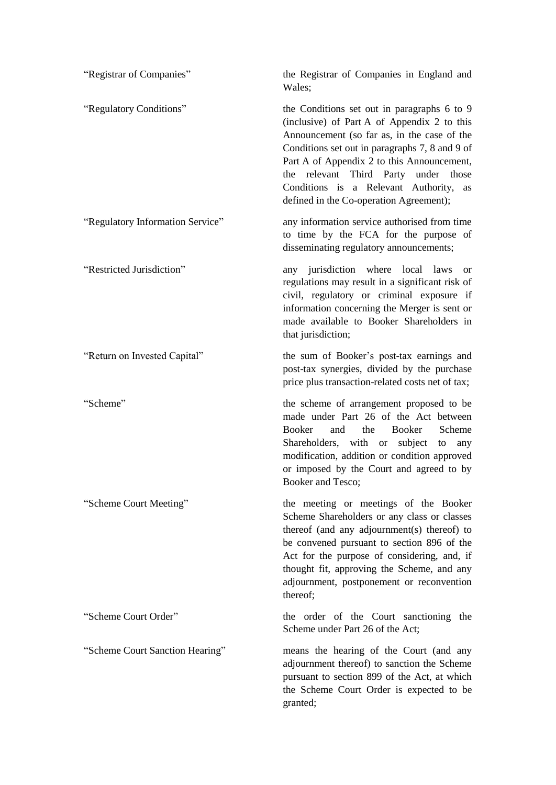| "Registrar of Companies"         | the Registrar of Companies in England and<br>Wales;                                                                                                                                                                                                                                                                                                                          |
|----------------------------------|------------------------------------------------------------------------------------------------------------------------------------------------------------------------------------------------------------------------------------------------------------------------------------------------------------------------------------------------------------------------------|
| "Regulatory Conditions"          | the Conditions set out in paragraphs 6 to 9<br>(inclusive) of Part A of Appendix 2 to this<br>Announcement (so far as, in the case of the<br>Conditions set out in paragraphs 7, 8 and 9 of<br>Part A of Appendix 2 to this Announcement,<br>relevant Third Party under those<br>the<br>Conditions is a Relevant Authority,<br>as<br>defined in the Co-operation Agreement); |
| "Regulatory Information Service" | any information service authorised from time<br>to time by the FCA for the purpose of<br>disseminating regulatory announcements;                                                                                                                                                                                                                                             |
| "Restricted Jurisdiction"        | any jurisdiction where local laws<br><sub>or</sub><br>regulations may result in a significant risk of<br>civil, regulatory or criminal exposure if<br>information concerning the Merger is sent or<br>made available to Booker Shareholders in<br>that jurisdiction;                                                                                                         |
| "Return on Invested Capital"     | the sum of Booker's post-tax earnings and<br>post-tax synergies, divided by the purchase<br>price plus transaction-related costs net of tax;                                                                                                                                                                                                                                 |
| "Scheme"                         | the scheme of arrangement proposed to be<br>made under Part 26 of the Act between<br>Booker<br>Booker<br>the<br>Scheme<br>and<br>Shareholders, with or subject to<br>any<br>modification, addition or condition approved<br>or imposed by the Court and agreed to by<br>Booker and Tesco;                                                                                    |
| "Scheme Court Meeting"           | the meeting or meetings of the Booker<br>Scheme Shareholders or any class or classes<br>thereof (and any adjournment(s) thereof) to<br>be convened pursuant to section 896 of the<br>Act for the purpose of considering, and, if<br>thought fit, approving the Scheme, and any<br>adjournment, postponement or reconvention<br>thereof;                                      |
| "Scheme Court Order"             | the order of the Court sanctioning the<br>Scheme under Part 26 of the Act;                                                                                                                                                                                                                                                                                                   |
| "Scheme Court Sanction Hearing"  | means the hearing of the Court (and any<br>adjournment thereof) to sanction the Scheme<br>pursuant to section 899 of the Act, at which<br>the Scheme Court Order is expected to be<br>granted;                                                                                                                                                                               |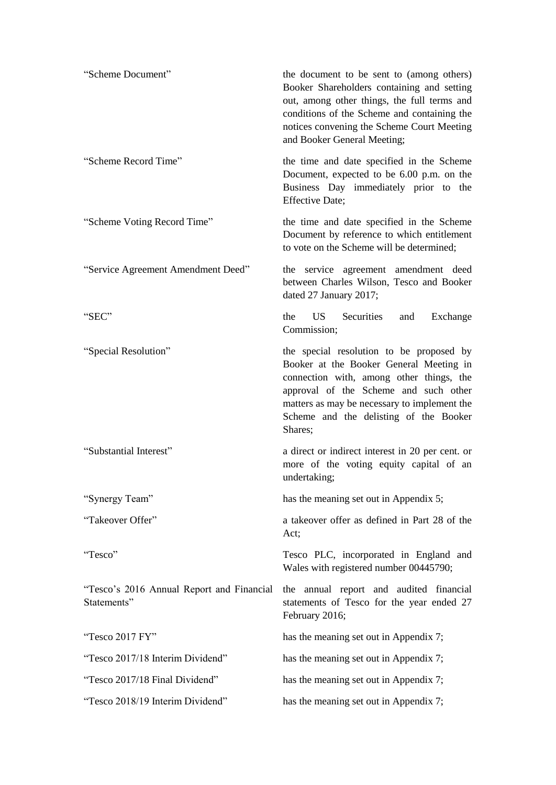| "Scheme Document"                                        | the document to be sent to (among others)<br>Booker Shareholders containing and setting<br>out, among other things, the full terms and<br>conditions of the Scheme and containing the<br>notices convening the Scheme Court Meeting<br>and Booker General Meeting;            |
|----------------------------------------------------------|-------------------------------------------------------------------------------------------------------------------------------------------------------------------------------------------------------------------------------------------------------------------------------|
| "Scheme Record Time"                                     | the time and date specified in the Scheme<br>Document, expected to be 6.00 p.m. on the<br>Business Day immediately prior to the<br><b>Effective Date;</b>                                                                                                                     |
| "Scheme Voting Record Time"                              | the time and date specified in the Scheme<br>Document by reference to which entitlement<br>to vote on the Scheme will be determined;                                                                                                                                          |
| "Service Agreement Amendment Deed"                       | the service agreement amendment deed<br>between Charles Wilson, Tesco and Booker<br>dated 27 January 2017;                                                                                                                                                                    |
| "SEC"                                                    | the<br>US.<br>Securities<br>Exchange<br>and<br>Commission;                                                                                                                                                                                                                    |
| "Special Resolution"                                     | the special resolution to be proposed by<br>Booker at the Booker General Meeting in<br>connection with, among other things, the<br>approval of the Scheme and such other<br>matters as may be necessary to implement the<br>Scheme and the delisting of the Booker<br>Shares; |
| "Substantial Interest"                                   | a direct or indirect interest in 20 per cent. or<br>more of the voting equity capital of an<br>undertaking;                                                                                                                                                                   |
| "Synergy Team"                                           | has the meaning set out in Appendix 5;                                                                                                                                                                                                                                        |
| "Takeover Offer"                                         | a takeover offer as defined in Part 28 of the<br>Act;                                                                                                                                                                                                                         |
| "Tesco"                                                  | Tesco PLC, incorporated in England and<br>Wales with registered number 00445790;                                                                                                                                                                                              |
| "Tesco's 2016 Annual Report and Financial<br>Statements" | the annual report and audited financial<br>statements of Tesco for the year ended 27<br>February 2016;                                                                                                                                                                        |
| "Tesco 2017 FY"                                          | has the meaning set out in Appendix 7;                                                                                                                                                                                                                                        |
| "Tesco 2017/18 Interim Dividend"                         | has the meaning set out in Appendix 7;                                                                                                                                                                                                                                        |
| "Tesco 2017/18 Final Dividend"                           | has the meaning set out in Appendix 7;                                                                                                                                                                                                                                        |
| "Tesco 2018/19 Interim Dividend"                         | has the meaning set out in Appendix 7;                                                                                                                                                                                                                                        |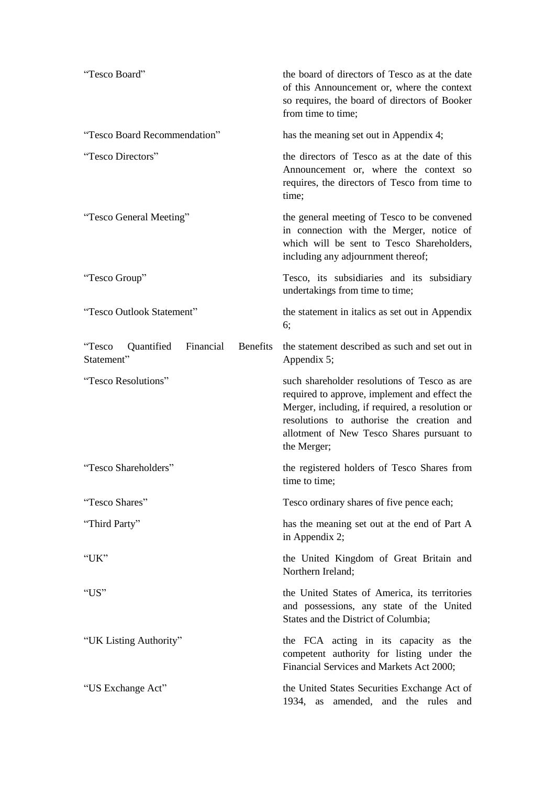| "Tesco Board"                                                      | the board of directors of Tesco as at the date<br>of this Announcement or, where the context<br>so requires, the board of directors of Booker<br>from time to time;                                                                                       |
|--------------------------------------------------------------------|-----------------------------------------------------------------------------------------------------------------------------------------------------------------------------------------------------------------------------------------------------------|
| "Tesco Board Recommendation"                                       | has the meaning set out in Appendix 4;                                                                                                                                                                                                                    |
| "Tesco Directors"                                                  | the directors of Tesco as at the date of this<br>Announcement or, where the context so<br>requires, the directors of Tesco from time to<br>time;                                                                                                          |
| "Tesco General Meeting"                                            | the general meeting of Tesco to be convened<br>in connection with the Merger, notice of<br>which will be sent to Tesco Shareholders,<br>including any adjournment thereof;                                                                                |
| "Tesco Group"                                                      | Tesco, its subsidiaries and its subsidiary<br>undertakings from time to time;                                                                                                                                                                             |
| "Tesco Outlook Statement"                                          | the statement in italics as set out in Appendix<br>6;                                                                                                                                                                                                     |
| "Tesco<br>Quantified<br>Financial<br><b>Benefits</b><br>Statement" | the statement described as such and set out in<br>Appendix 5;                                                                                                                                                                                             |
| "Tesco Resolutions"                                                | such shareholder resolutions of Tesco as are<br>required to approve, implement and effect the<br>Merger, including, if required, a resolution or<br>resolutions to authorise the creation and<br>allotment of New Tesco Shares pursuant to<br>the Merger; |
| "Tesco Shareholders"                                               | the registered holders of Tesco Shares from<br>time to time;                                                                                                                                                                                              |
| "Tesco Shares"                                                     | Tesco ordinary shares of five pence each;                                                                                                                                                                                                                 |
| "Third Party"                                                      | has the meaning set out at the end of Part A<br>in Appendix 2;                                                                                                                                                                                            |
| "UK"                                                               | the United Kingdom of Great Britain and<br>Northern Ireland;                                                                                                                                                                                              |
| "US"                                                               | the United States of America, its territories<br>and possessions, any state of the United<br>States and the District of Columbia;                                                                                                                         |
| "UK Listing Authority"                                             | the FCA acting in its capacity as the<br>competent authority for listing under the<br>Financial Services and Markets Act 2000;                                                                                                                            |
| "US Exchange Act"                                                  | the United States Securities Exchange Act of<br>1934, as amended, and the rules and                                                                                                                                                                       |